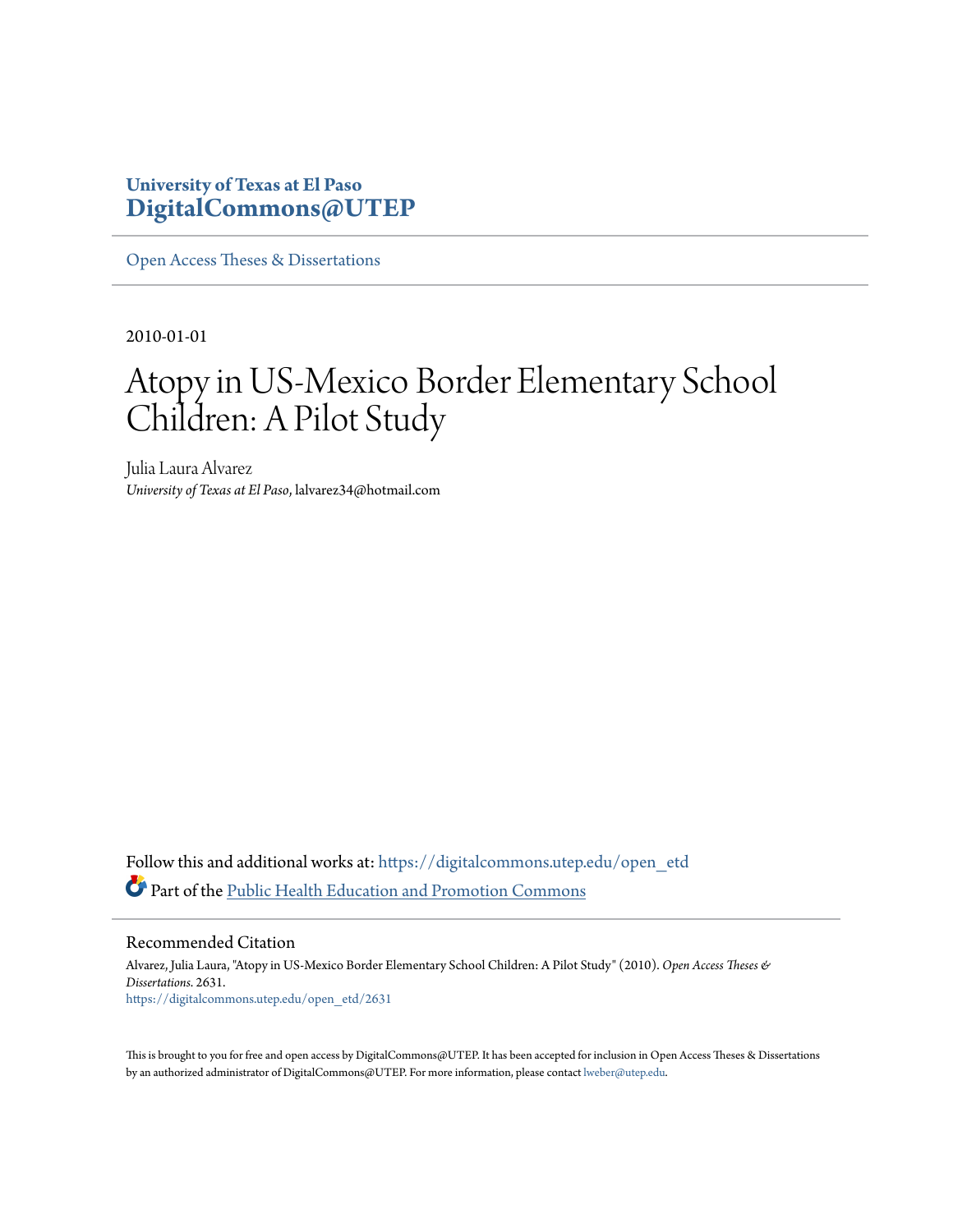# **University of Texas at El Paso [DigitalCommons@UTEP](https://digitalcommons.utep.edu/?utm_source=digitalcommons.utep.edu%2Fopen_etd%2F2631&utm_medium=PDF&utm_campaign=PDFCoverPages)**

[Open Access Theses & Dissertations](https://digitalcommons.utep.edu/open_etd?utm_source=digitalcommons.utep.edu%2Fopen_etd%2F2631&utm_medium=PDF&utm_campaign=PDFCoverPages)

2010-01-01

# Atopy in US-Mexico Border Elementary School Children: A Pilot Study

Julia Laura Alvarez *University of Texas at El Paso*, lalvarez34@hotmail.com

Follow this and additional works at: [https://digitalcommons.utep.edu/open\\_etd](https://digitalcommons.utep.edu/open_etd?utm_source=digitalcommons.utep.edu%2Fopen_etd%2F2631&utm_medium=PDF&utm_campaign=PDFCoverPages) Part of the [Public Health Education and Promotion Commons](http://network.bepress.com/hgg/discipline/743?utm_source=digitalcommons.utep.edu%2Fopen_etd%2F2631&utm_medium=PDF&utm_campaign=PDFCoverPages)

Recommended Citation

Alvarez, Julia Laura, "Atopy in US-Mexico Border Elementary School Children: A Pilot Study" (2010). *Open Access Theses & Dissertations*. 2631. [https://digitalcommons.utep.edu/open\\_etd/2631](https://digitalcommons.utep.edu/open_etd/2631?utm_source=digitalcommons.utep.edu%2Fopen_etd%2F2631&utm_medium=PDF&utm_campaign=PDFCoverPages)

This is brought to you for free and open access by DigitalCommons@UTEP. It has been accepted for inclusion in Open Access Theses & Dissertations by an authorized administrator of DigitalCommons@UTEP. For more information, please contact [lweber@utep.edu.](mailto:lweber@utep.edu)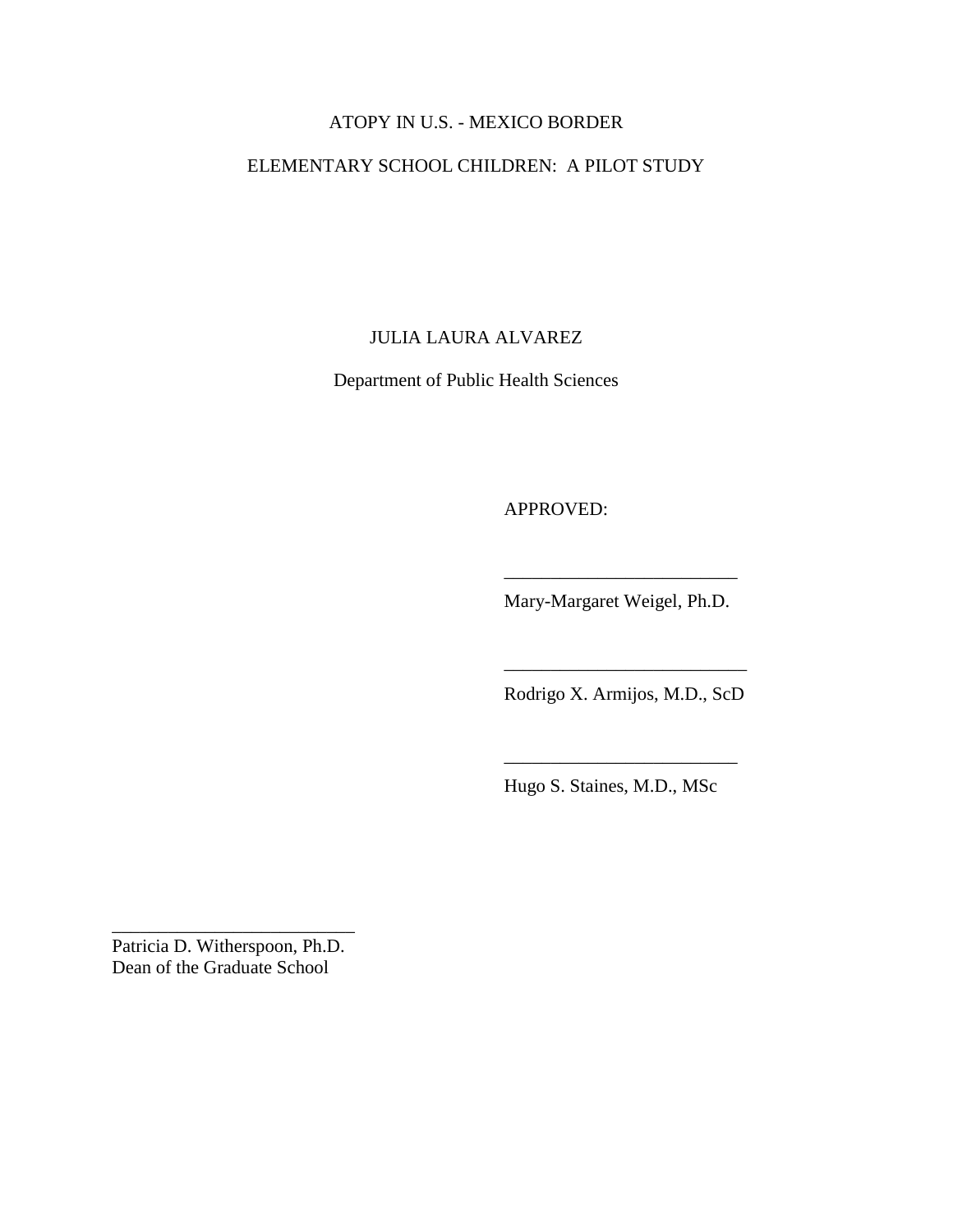# ATOPY IN U.S. - MEXICO BORDER

# ELEMENTARY SCHOOL CHILDREN: A PILOT STUDY

JULIA LAURA ALVAREZ

Department of Public Health Sciences

APPROVED:

Mary-Margaret Weigel, Ph.D.

\_\_\_\_\_\_\_\_\_\_\_\_\_\_\_\_\_\_\_\_\_\_\_\_\_

Rodrigo X. Armijos, M.D., ScD

\_\_\_\_\_\_\_\_\_\_\_\_\_\_\_\_\_\_\_\_\_\_\_\_\_\_

Hugo S. Staines, M.D., MSc

\_\_\_\_\_\_\_\_\_\_\_\_\_\_\_\_\_\_\_\_\_\_\_\_\_

Patricia D. Witherspoon, Ph.D. Dean of the Graduate School

\_\_\_\_\_\_\_\_\_\_\_\_\_\_\_\_\_\_\_\_\_\_\_\_\_\_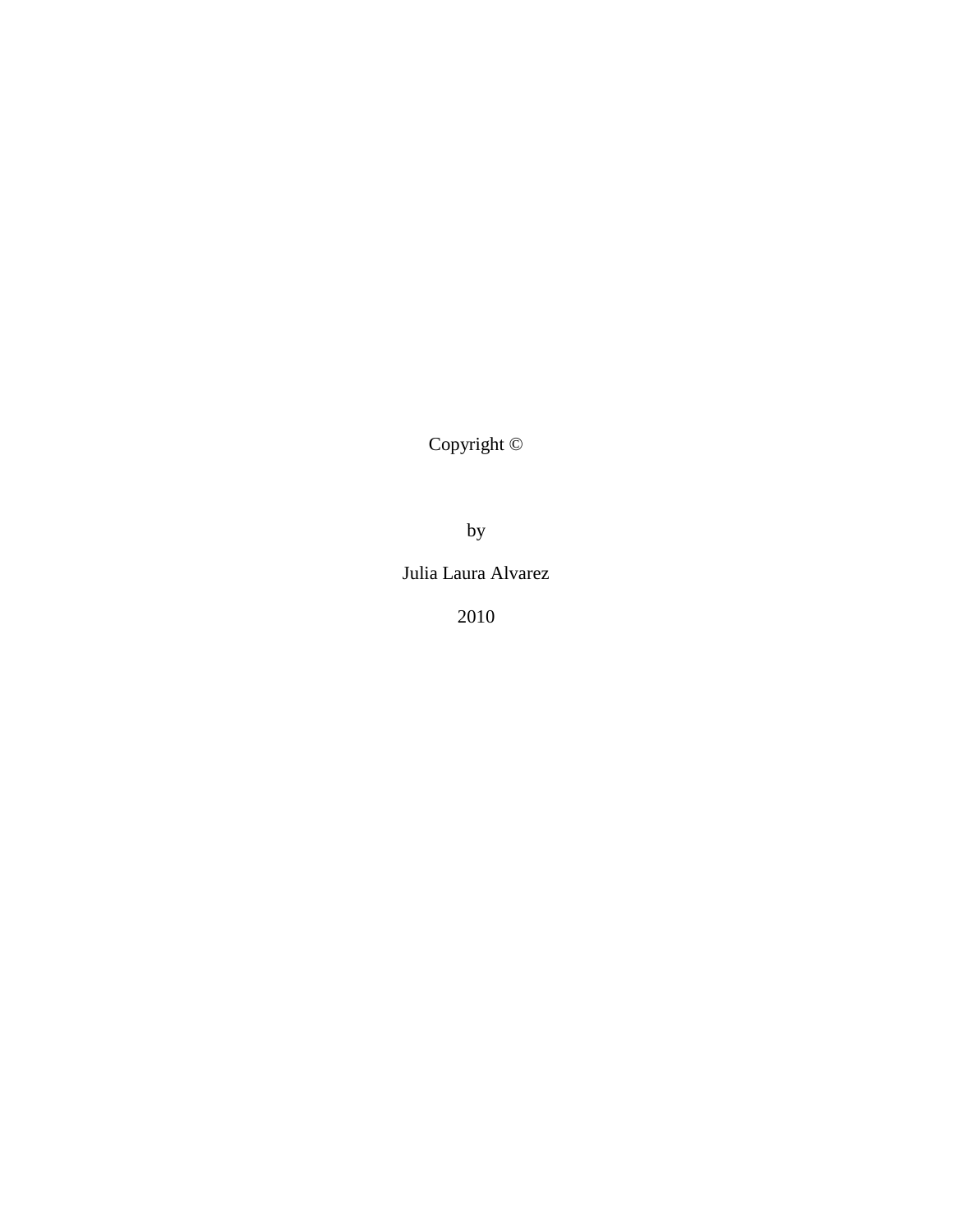Copyright ©

by

Julia Laura Alvarez

2010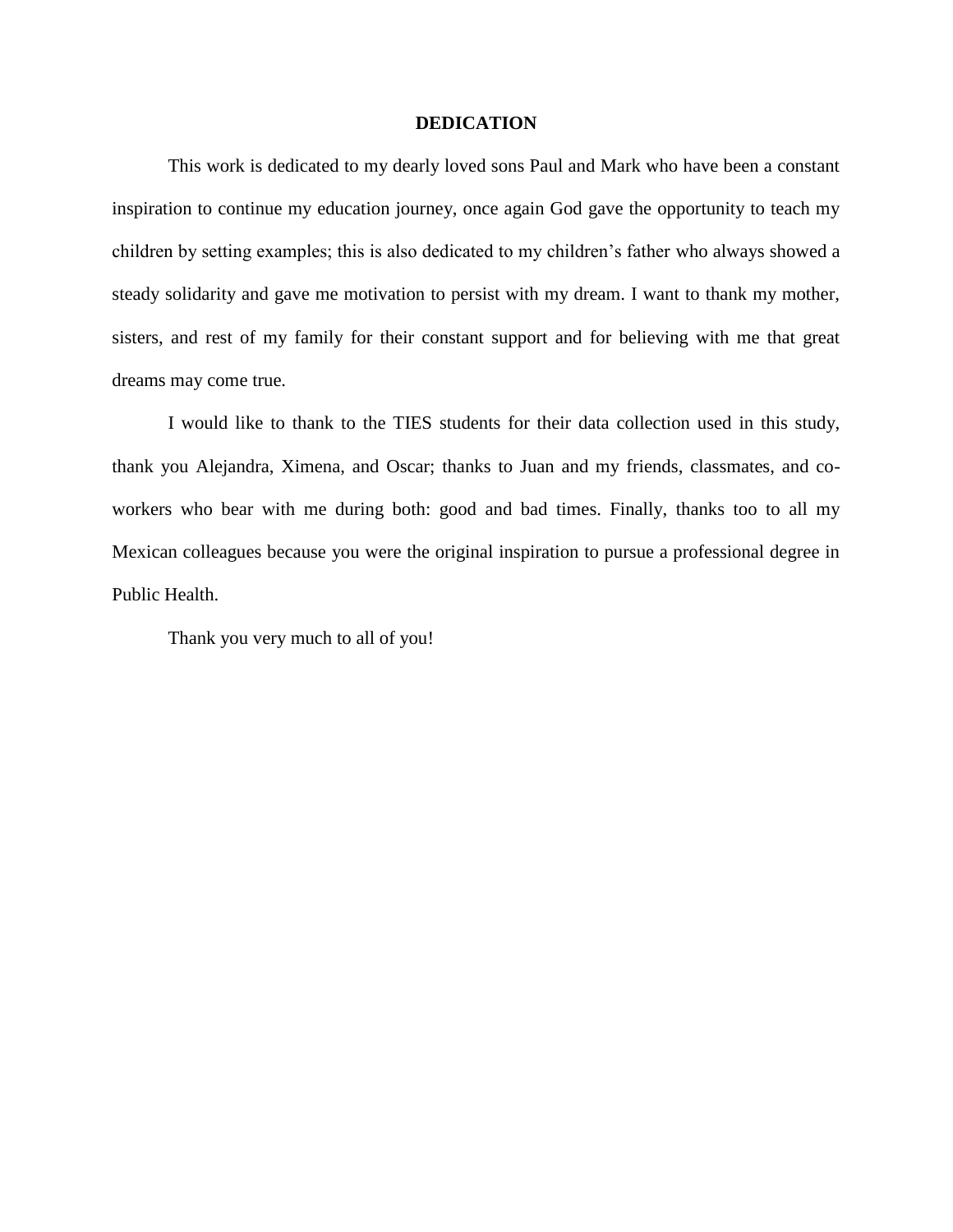#### **DEDICATION**

This work is dedicated to my dearly loved sons Paul and Mark who have been a constant inspiration to continue my education journey, once again God gave the opportunity to teach my children by setting examples; this is also dedicated to my children's father who always showed a steady solidarity and gave me motivation to persist with my dream. I want to thank my mother, sisters, and rest of my family for their constant support and for believing with me that great dreams may come true.

I would like to thank to the TIES students for their data collection used in this study, thank you Alejandra, Ximena, and Oscar; thanks to Juan and my friends, classmates, and coworkers who bear with me during both: good and bad times. Finally, thanks too to all my Mexican colleagues because you were the original inspiration to pursue a professional degree in Public Health.

Thank you very much to all of you!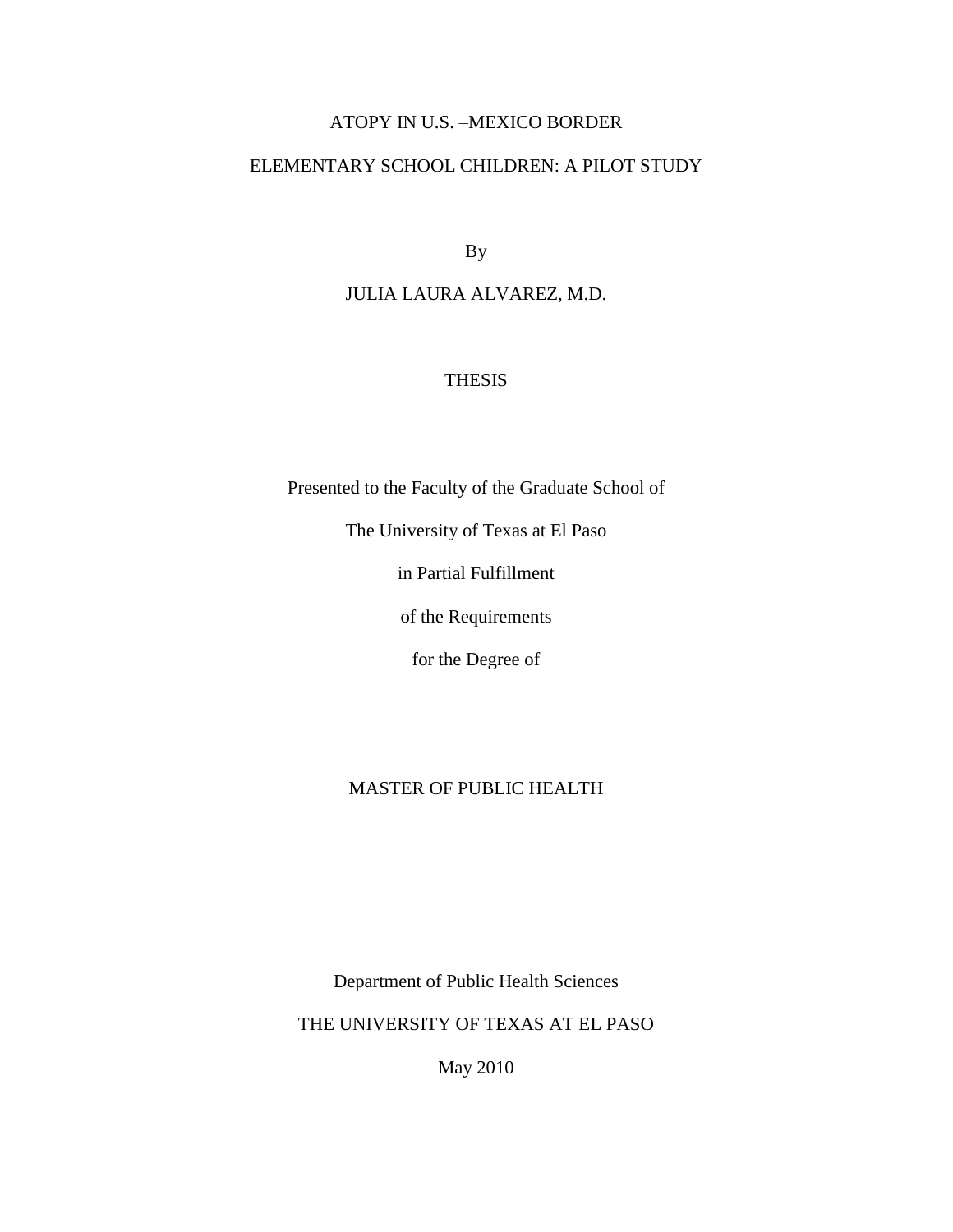# ATOPY IN U.S. –MEXICO BORDER

# ELEMENTARY SCHOOL CHILDREN: A PILOT STUDY

By

# JULIA LAURA ALVAREZ, M.D.

## THESIS

Presented to the Faculty of the Graduate School of

The University of Texas at El Paso

in Partial Fulfillment

of the Requirements

for the Degree of

# MASTER OF PUBLIC HEALTH

Department of Public Health Sciences

THE UNIVERSITY OF TEXAS AT EL PASO

May 2010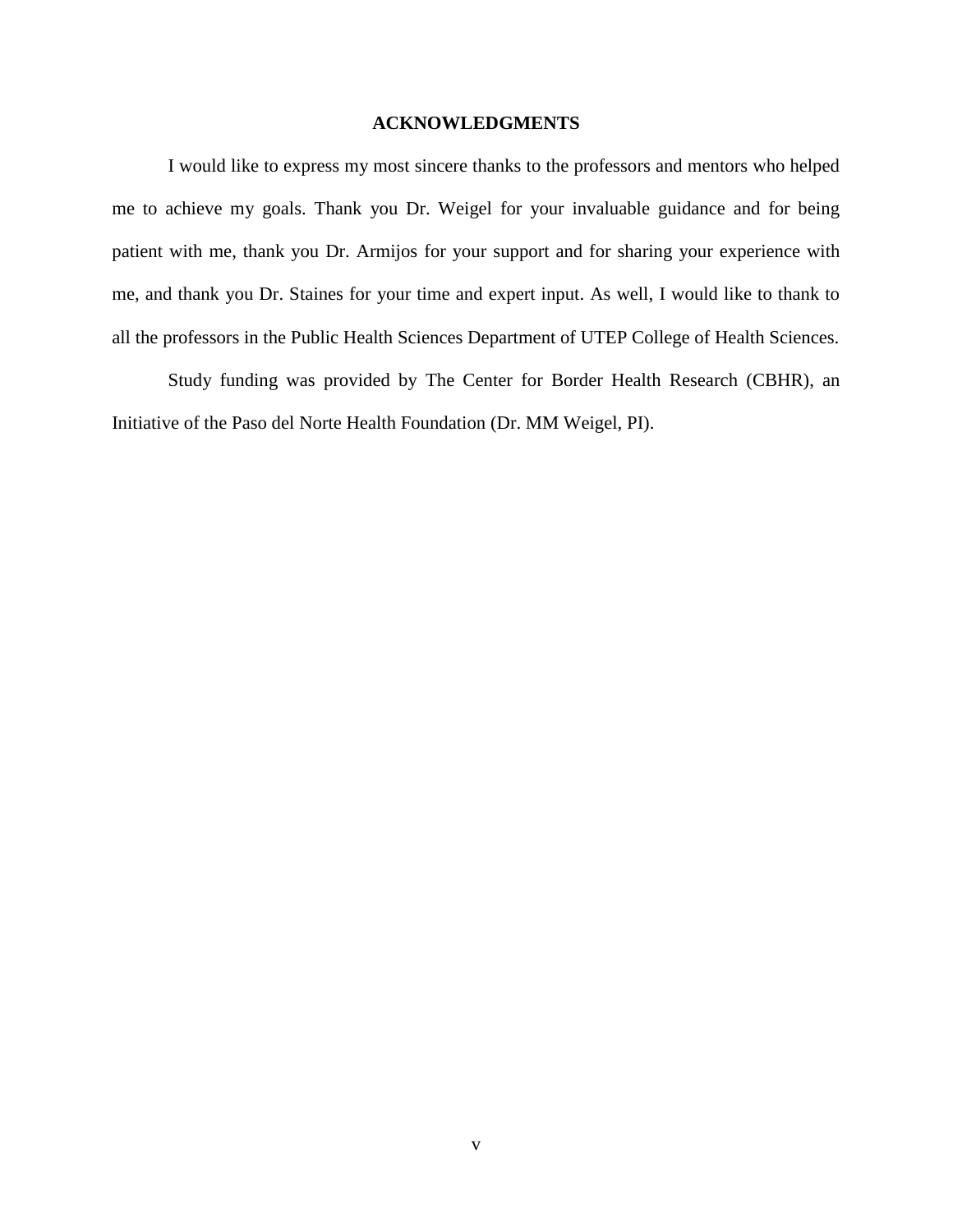#### **ACKNOWLEDGMENTS**

I would like to express my most sincere thanks to the professors and mentors who helped me to achieve my goals. Thank you Dr. Weigel for your invaluable guidance and for being patient with me, thank you Dr. Armijos for your support and for sharing your experience with me, and thank you Dr. Staines for your time and expert input. As well, I would like to thank to all the professors in the Public Health Sciences Department of UTEP College of Health Sciences.

Study funding was provided by The Center for Border Health Research (CBHR), an Initiative of the Paso del Norte Health Foundation (Dr. MM Weigel, PI).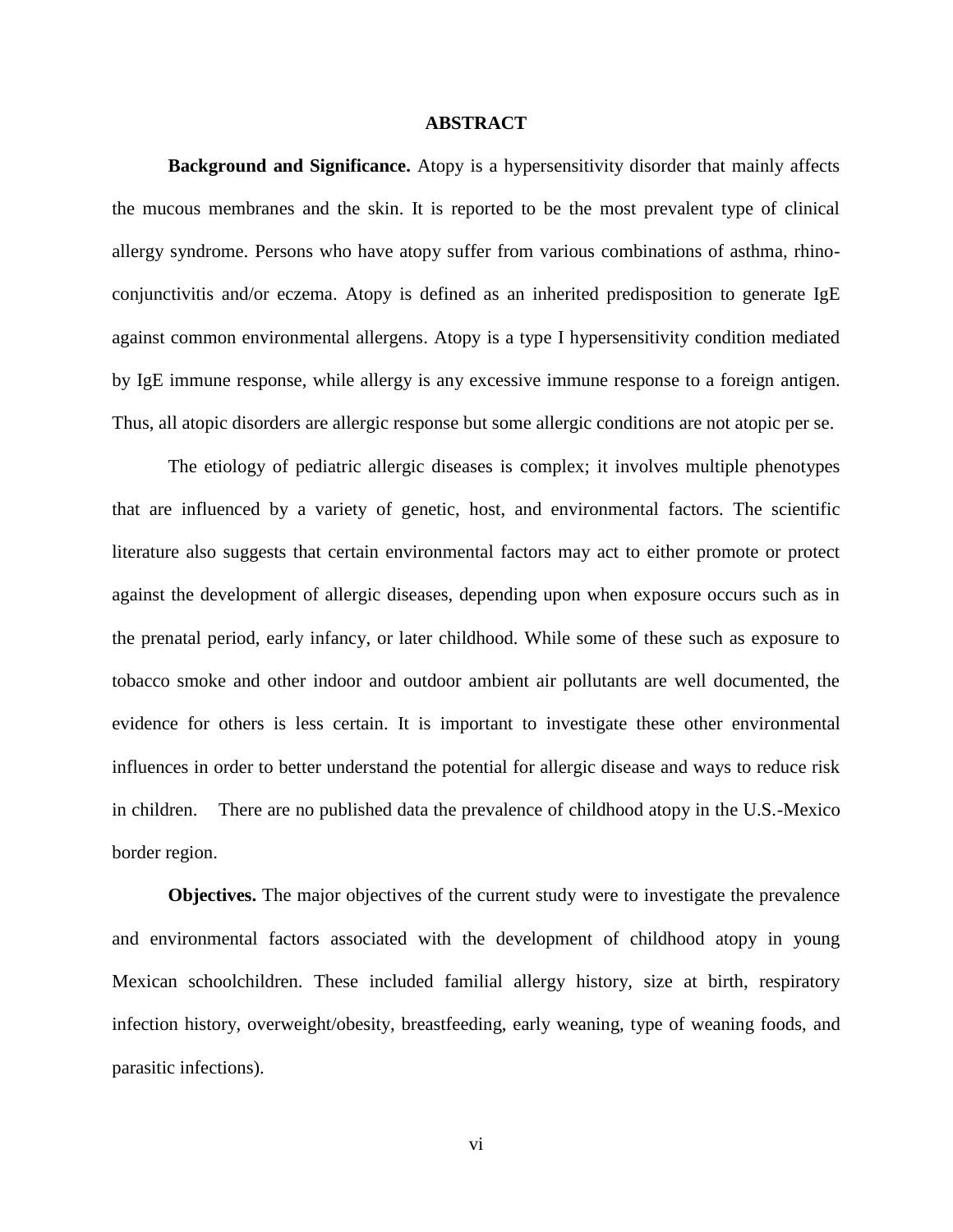#### **ABSTRACT**

**Background and Significance.** Atopy is a hypersensitivity disorder that mainly affects the mucous membranes and the skin. It is reported to be the most prevalent type of clinical allergy syndrome. Persons who have atopy suffer from various combinations of asthma, rhinoconjunctivitis and/or eczema. Atopy is defined as an inherited predisposition to generate IgE against common environmental allergens. Atopy is a type I hypersensitivity condition mediated by IgE immune response, while allergy is any excessive immune response to a foreign antigen. Thus, all atopic disorders are allergic response but some allergic conditions are not atopic per se.

The etiology of pediatric allergic diseases is complex; it involves multiple phenotypes that are influenced by a variety of genetic, host, and environmental factors. The scientific literature also suggests that certain environmental factors may act to either promote or protect against the development of allergic diseases, depending upon when exposure occurs such as in the prenatal period, early infancy, or later childhood. While some of these such as exposure to tobacco smoke and other indoor and outdoor ambient air pollutants are well documented, the evidence for others is less certain. It is important to investigate these other environmental influences in order to better understand the potential for allergic disease and ways to reduce risk in children. There are no published data the prevalence of childhood atopy in the U.S.-Mexico border region.

 **Objectives.** The major objectives of the current study were to investigate the prevalence and environmental factors associated with the development of childhood atopy in young Mexican schoolchildren. These included familial allergy history, size at birth, respiratory infection history, overweight/obesity, breastfeeding, early weaning, type of weaning foods, and parasitic infections).

vi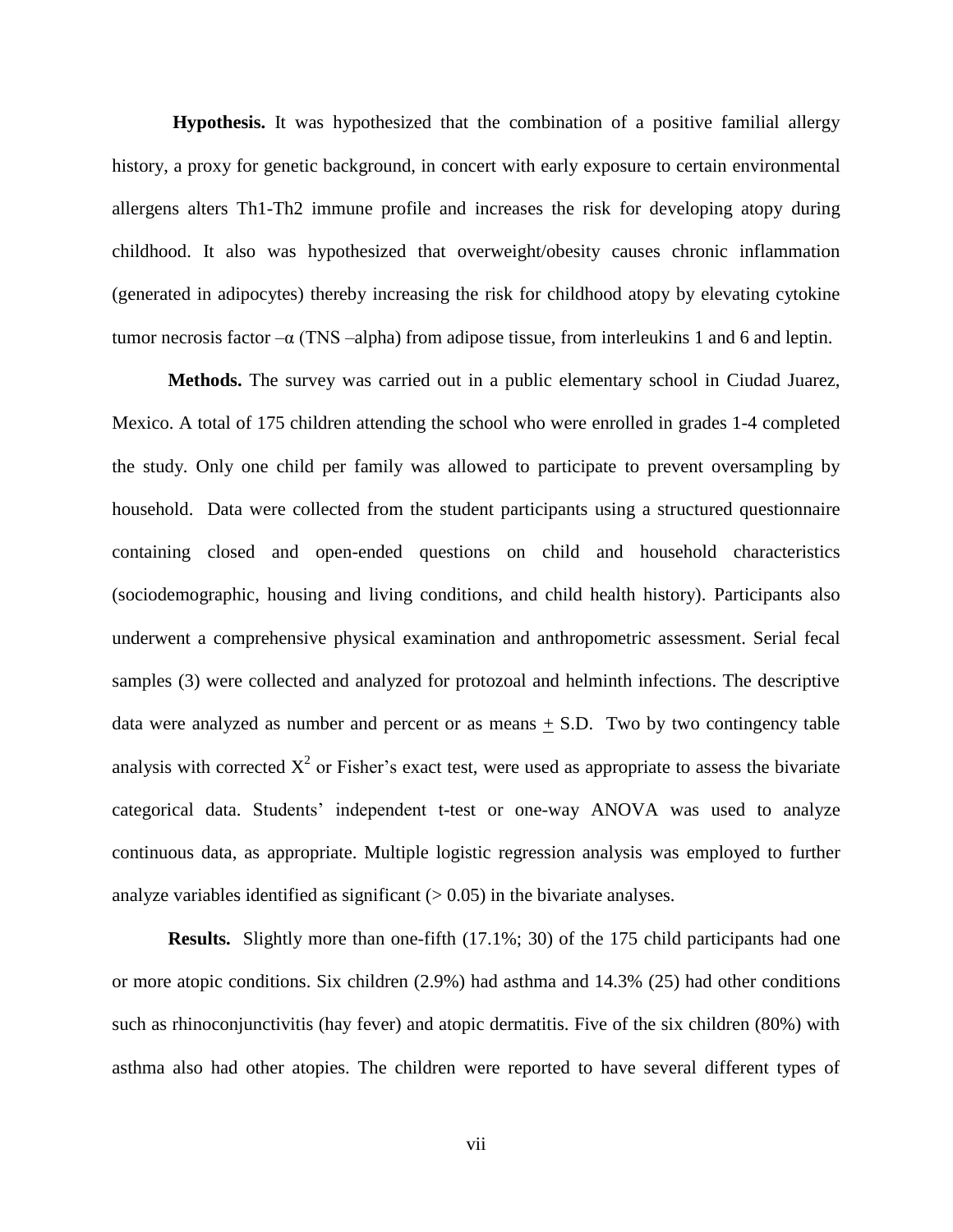**Hypothesis.** It was hypothesized that the combination of a positive familial allergy history, a proxy for genetic background, in concert with early exposure to certain environmental allergens alters Th1-Th2 immune profile and increases the risk for developing atopy during childhood. It also was hypothesized that overweight/obesity causes chronic inflammation (generated in adipocytes) thereby increasing the risk for childhood atopy by elevating cytokine tumor necrosis factor –α (TNS –alpha) from adipose tissue, from interleukins 1 and 6 and leptin.

**Methods.** The survey was carried out in a public elementary school in Ciudad Juarez, Mexico. A total of 175 children attending the school who were enrolled in grades 1-4 completed the study. Only one child per family was allowed to participate to prevent oversampling by household. Data were collected from the student participants using a structured questionnaire containing closed and open-ended questions on child and household characteristics (sociodemographic, housing and living conditions, and child health history). Participants also underwent a comprehensive physical examination and anthropometric assessment. Serial fecal samples (3) were collected and analyzed for protozoal and helminth infections. The descriptive data were analyzed as number and percent or as means  $\pm$  S.D. Two by two contingency table analysis with corrected  $X^2$  or Fisher's exact test, were used as appropriate to assess the bivariate categorical data. Students' independent t-test or one-way ANOVA was used to analyze continuous data, as appropriate. Multiple logistic regression analysis was employed to further analyze variables identified as significant  $(> 0.05)$  in the bivariate analyses.

**Results.** Slightly more than one-fifth (17.1%; 30) of the 175 child participants had one or more atopic conditions. Six children (2.9%) had asthma and 14.3% (25) had other conditions such as rhinoconjunctivitis (hay fever) and atopic dermatitis. Five of the six children (80%) with asthma also had other atopies. The children were reported to have several different types of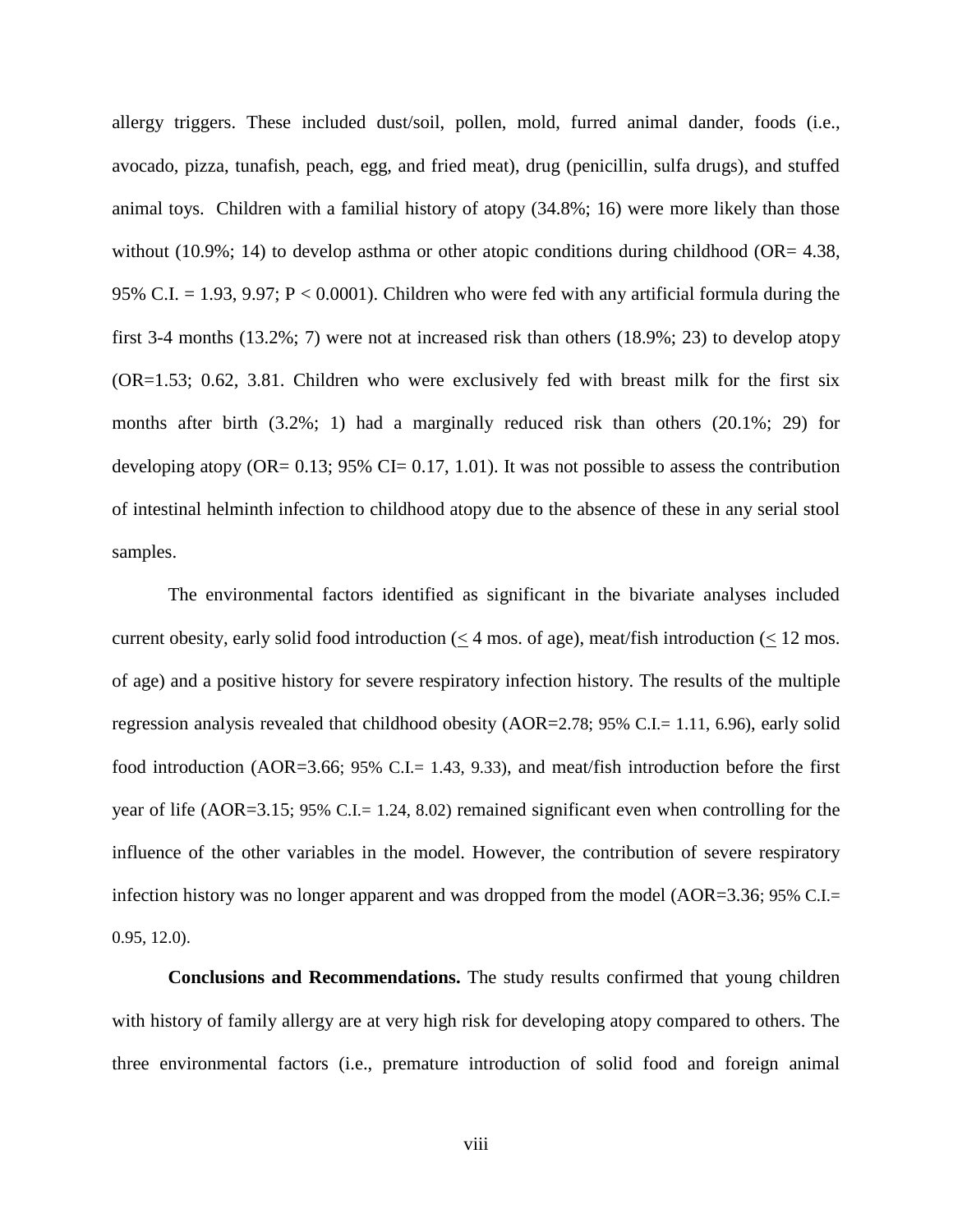allergy triggers. These included dust/soil, pollen, mold, furred animal dander, foods (i.e., avocado, pizza, tunafish, peach, egg, and fried meat), drug (penicillin, sulfa drugs), and stuffed animal toys. Children with a familial history of atopy (34.8%; 16) were more likely than those without (10.9%; 14) to develop asthma or other atopic conditions during childhood (OR=  $4.38$ , 95% C.I.  $= 1.93, 9.97; P < 0.0001$ ). Children who were fed with any artificial formula during the first 3-4 months (13.2%; 7) were not at increased risk than others (18.9%; 23) to develop atopy (OR=1.53; 0.62, 3.81. Children who were exclusively fed with breast milk for the first six months after birth (3.2%; 1) had a marginally reduced risk than others (20.1%; 29) for developing atopy (OR=  $0.13$ ; 95% CI=  $0.17$ , 1.01). It was not possible to assess the contribution of intestinal helminth infection to childhood atopy due to the absence of these in any serial stool samples.

The environmental factors identified as significant in the bivariate analyses included current obesity, early solid food introduction (< 4 mos. of age), meat/fish introduction (< 12 mos. of age) and a positive history for severe respiratory infection history. The results of the multiple regression analysis revealed that childhood obesity (AOR=2.78; 95% C.I.= 1.11, 6.96), early solid food introduction (AOR=3.66; 95% C.I.= 1.43, 9.33), and meat/fish introduction before the first year of life (AOR=3.15; 95% C.I.= 1.24, 8.02) remained significant even when controlling for the influence of the other variables in the model. However, the contribution of severe respiratory infection history was no longer apparent and was dropped from the model (AOR=3.36; 95% C.I.= 0.95, 12.0).

**Conclusions and Recommendations.** The study results confirmed that young children with history of family allergy are at very high risk for developing atopy compared to others. The three environmental factors (i.e., premature introduction of solid food and foreign animal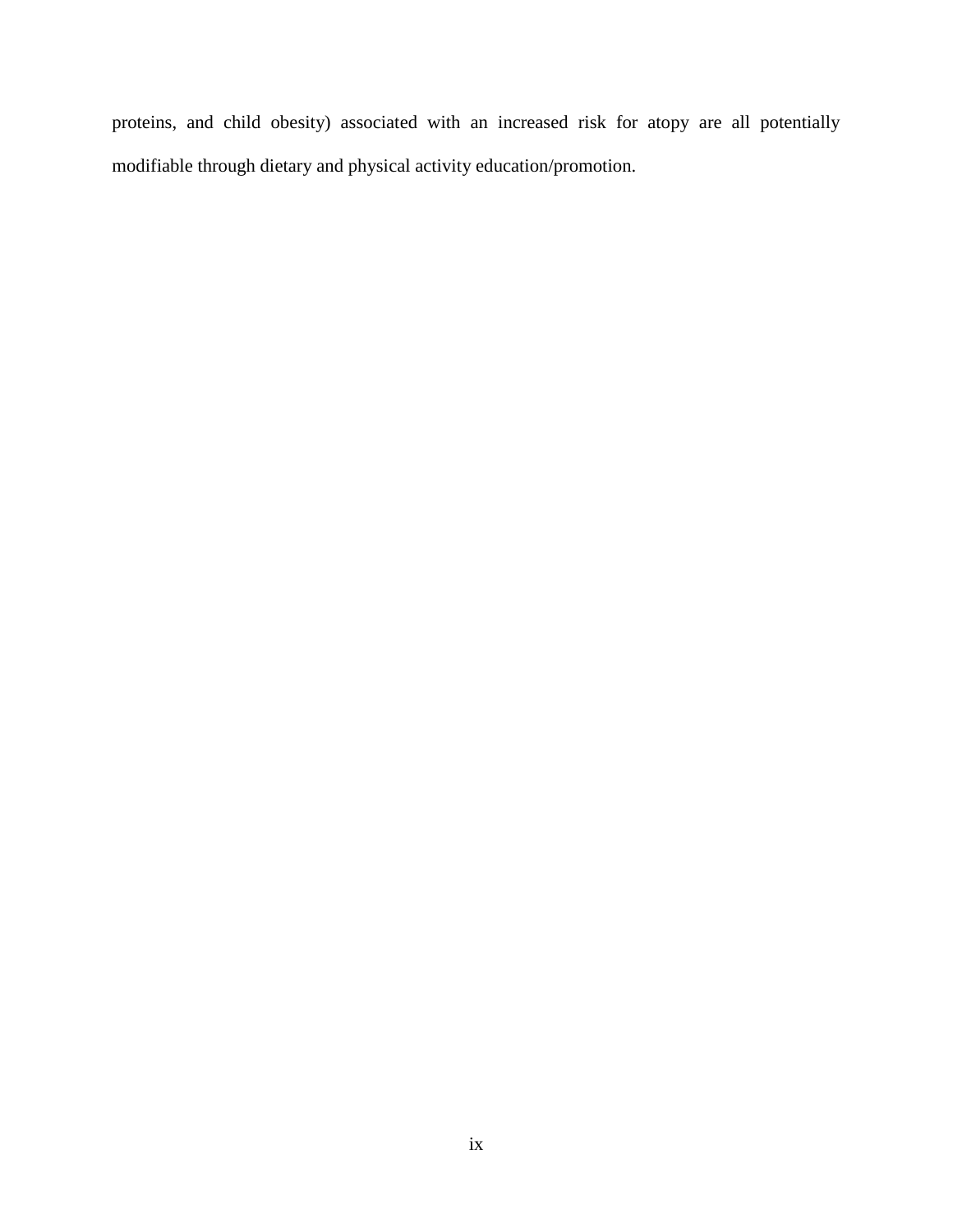proteins, and child obesity) associated with an increased risk for atopy are all potentially modifiable through dietary and physical activity education/promotion.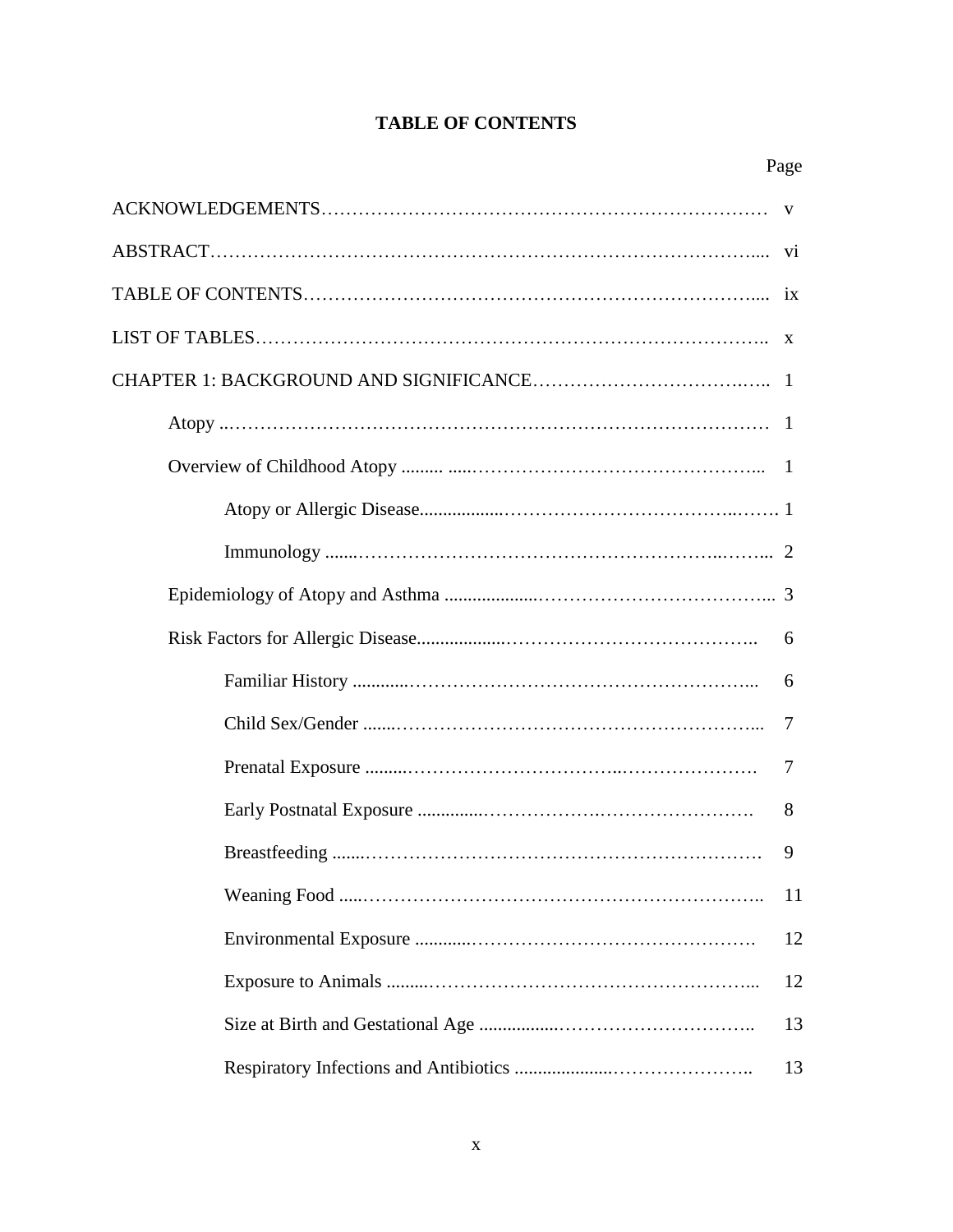# **TABLE OF CONTENTS**

| 6  |
|----|
| 6  |
| 7  |
| 7  |
| 8  |
| 9  |
| 11 |
| 12 |
| 12 |
| 13 |
| 13 |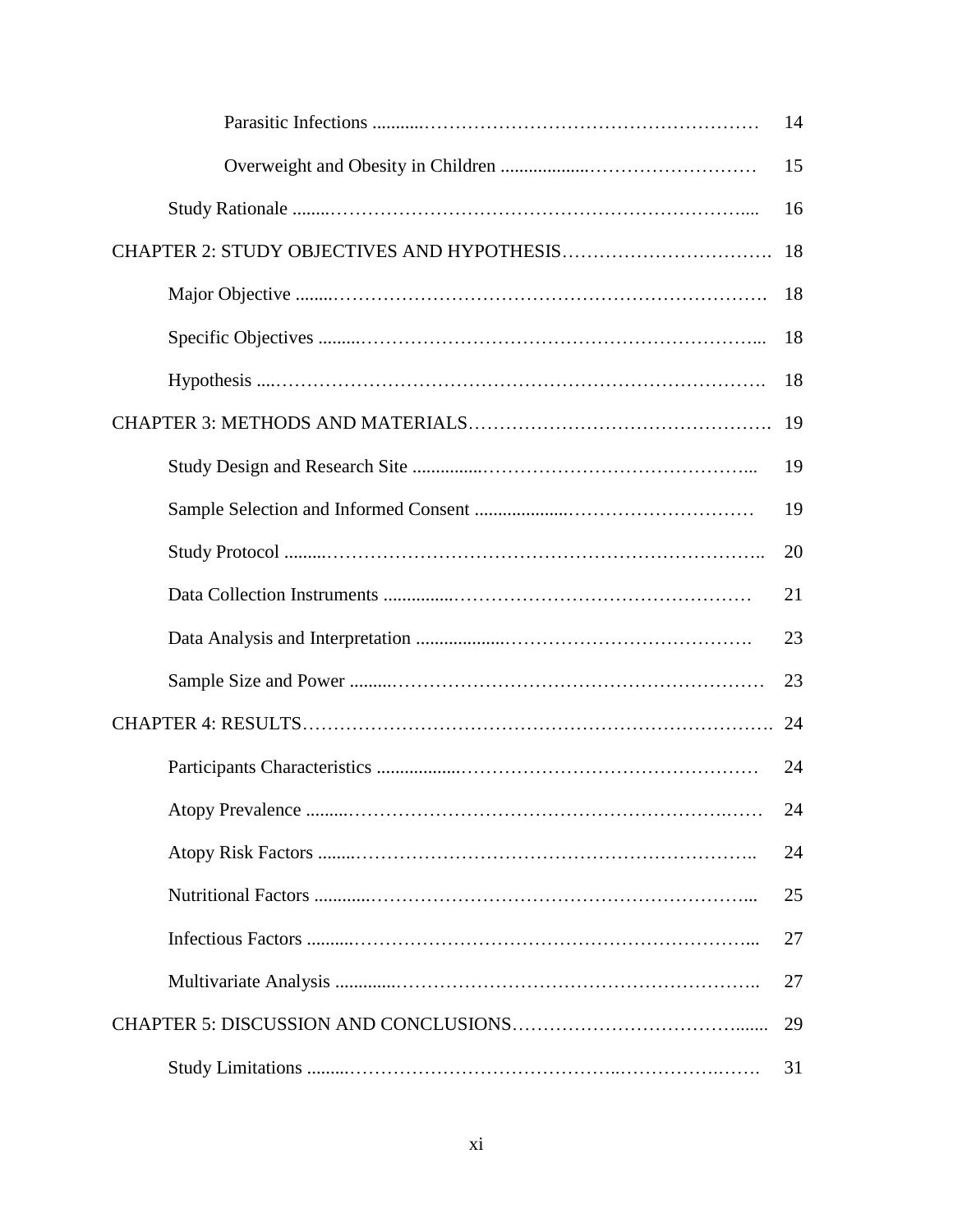| 14 |
|----|
| 15 |
| 16 |
| 18 |
| 18 |
| 18 |
| 18 |
| 19 |
| 19 |
| 19 |
| 20 |
| 21 |
| 23 |
| 23 |
| 24 |
| 24 |
| 24 |
| 24 |
| 25 |
| 27 |
| 27 |
| 29 |
| 31 |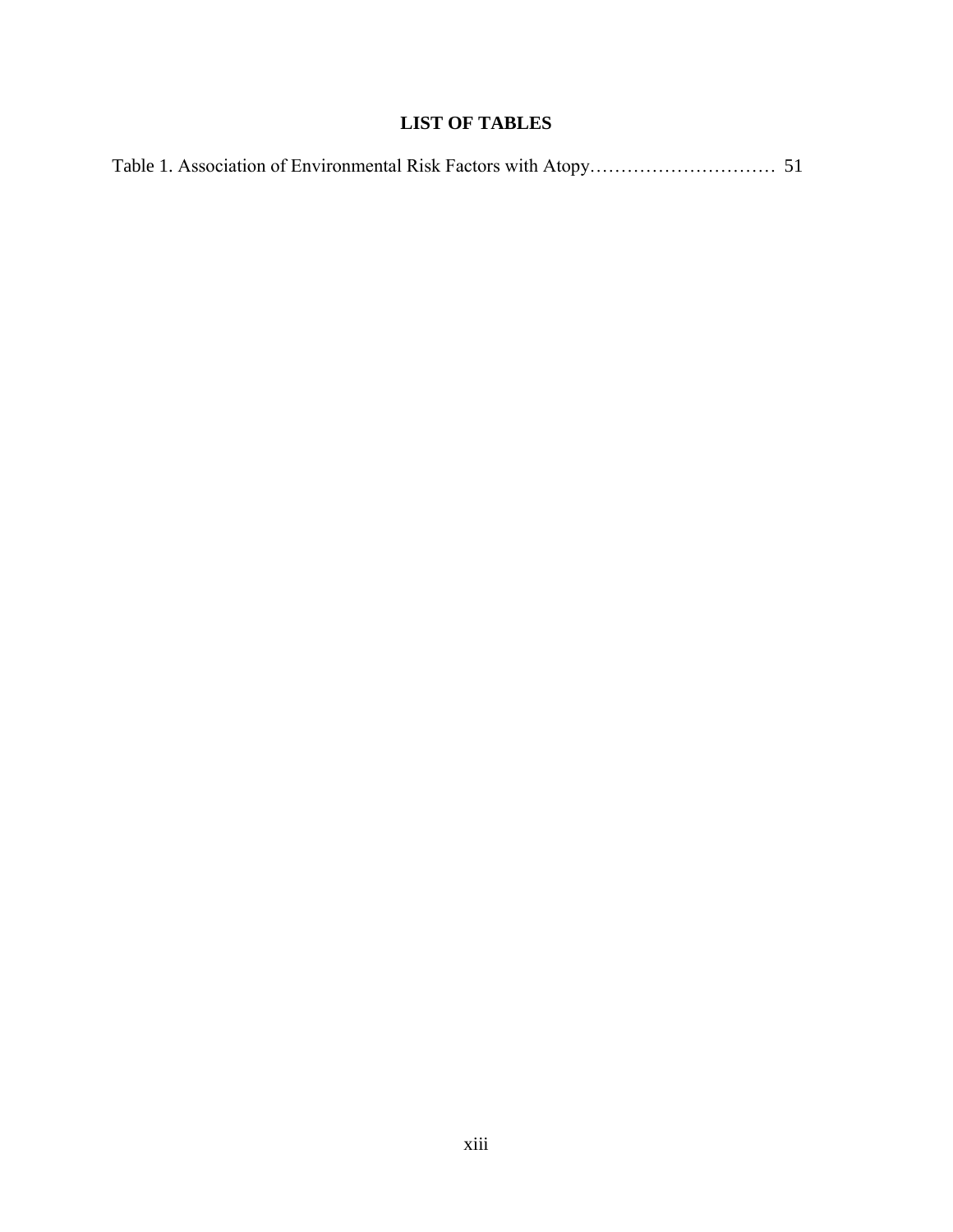# **LIST OF TABLES**

|--|--|--|--|--|--|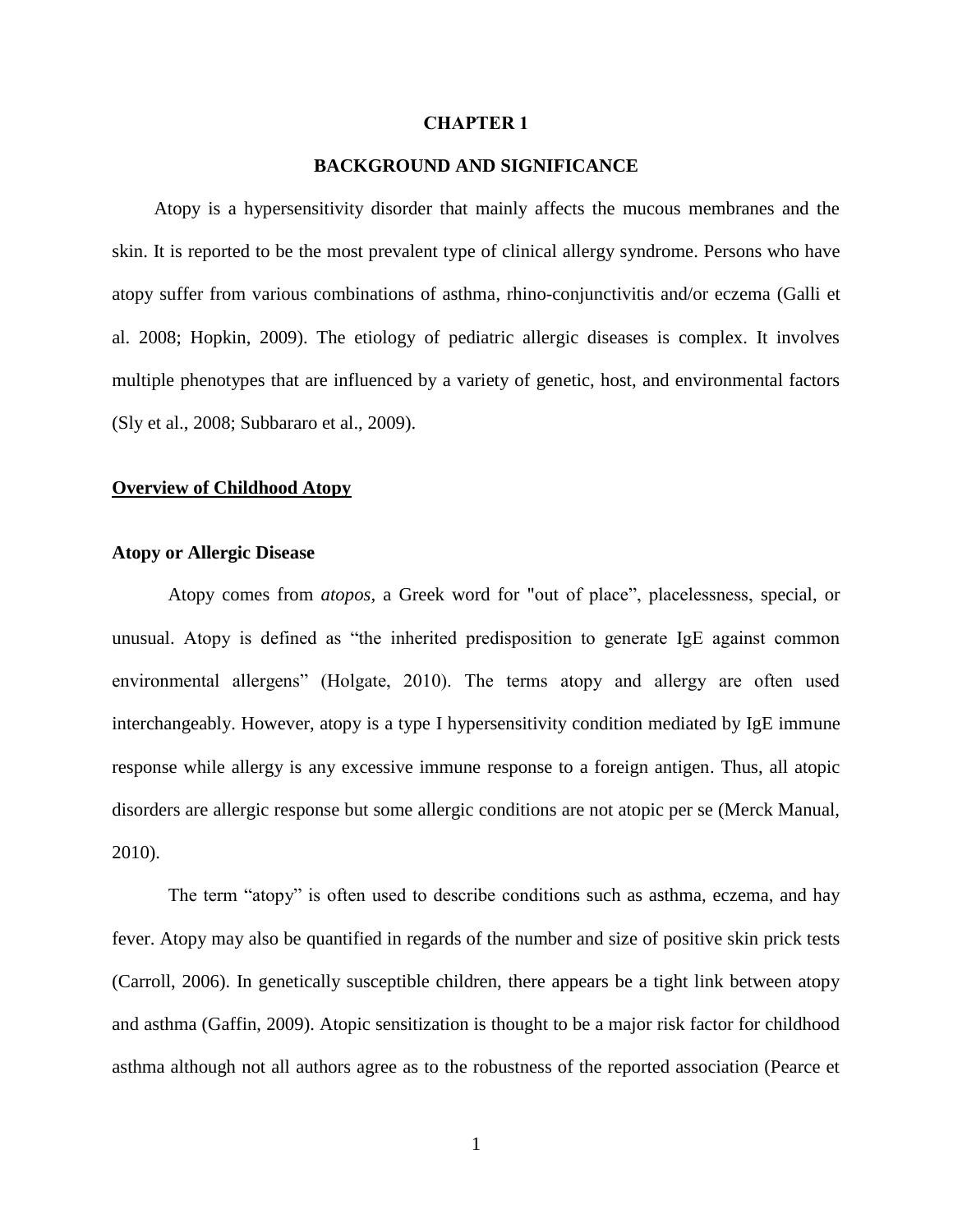#### **CHAPTER 1**

#### **BACKGROUND AND SIGNIFICANCE**

 Atopy is a hypersensitivity disorder that mainly affects the mucous membranes and the skin. It is reported to be the most prevalent type of clinical allergy syndrome. Persons who have atopy suffer from various combinations of asthma, rhino-conjunctivitis and/or eczema (Galli et al. 2008; Hopkin, 2009). The etiology of pediatric allergic diseases is complex. It involves multiple phenotypes that are influenced by a variety of genetic, host, and environmental factors (Sly et al., 2008; Subbararo et al., 2009).

#### **Overview of Childhood Atopy**

#### **Atopy or Allergic Disease**

Atopy comes from *atopos,* a Greek word for "out of place", placelessness, special, or unusual. Atopy is defined as "the inherited predisposition to generate IgE against common environmental allergens" (Holgate, 2010). The terms atopy and allergy are often used interchangeably. However, atopy is a type I hypersensitivity condition mediated by IgE immune response while allergy is any excessive immune response to a foreign antigen. Thus, all atopic disorders are allergic response but some allergic conditions are not atopic per se (Merck Manual, 2010).

The term "atopy" is often used to describe conditions such as asthma, eczema, and hay fever. Atopy may also be quantified in regards of the number and size of positive skin prick tests (Carroll, 2006). In genetically susceptible children, there appears be a tight link between atopy and asthma (Gaffin, 2009). Atopic sensitization is thought to be a major risk factor for childhood asthma although not all authors agree as to the robustness of the reported association (Pearce et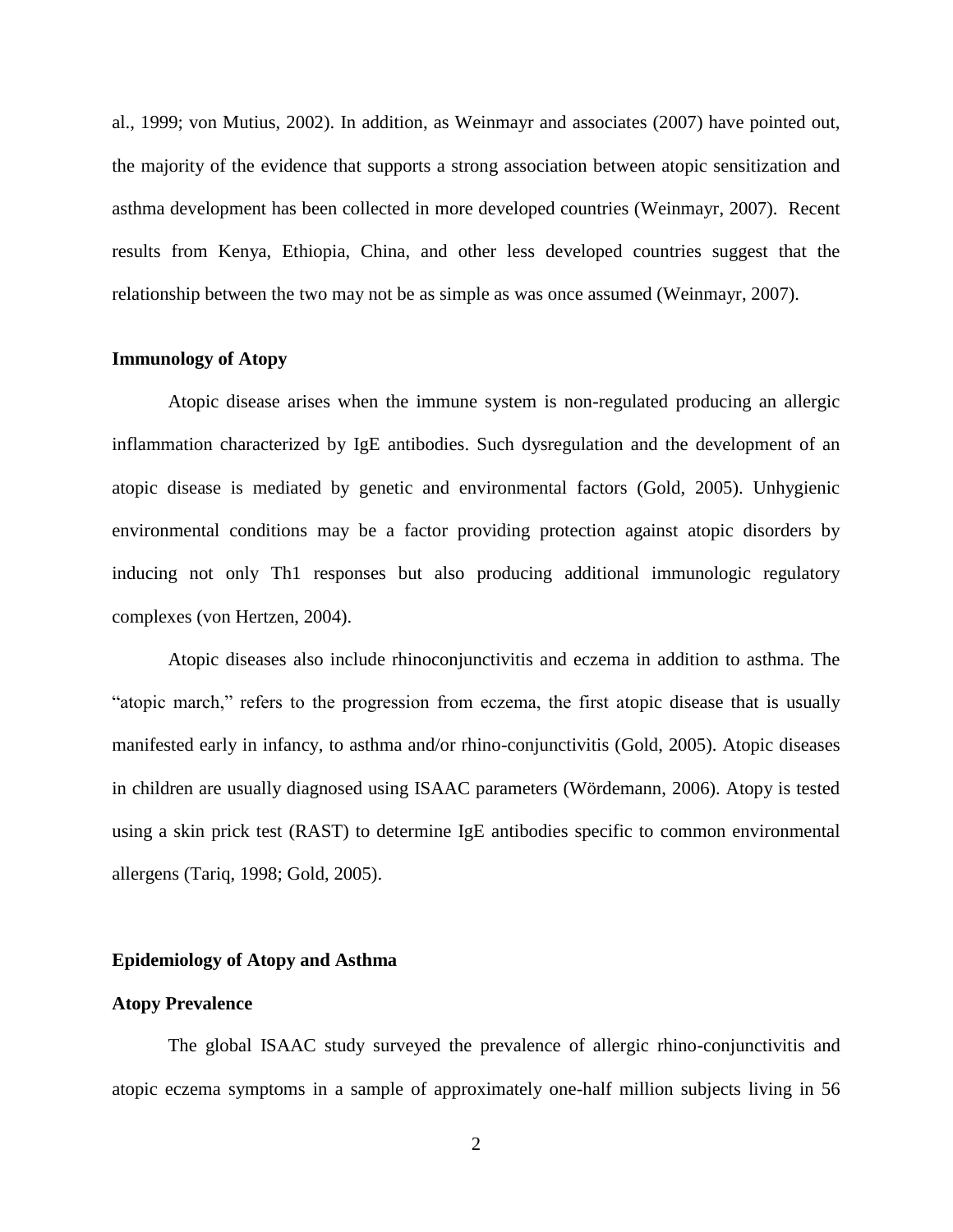al., 1999; von Mutius, 2002). In addition, as Weinmayr and associates (2007) have pointed out, the majority of the evidence that supports a strong association between atopic sensitization and asthma development has been collected in more developed countries (Weinmayr, 2007). Recent results from Kenya, Ethiopia, China, and other less developed countries suggest that the relationship between the two may not be as simple as was once assumed (Weinmayr, 2007).

#### **Immunology of Atopy**

Atopic disease arises when the immune system is non-regulated producing an allergic inflammation characterized by IgE antibodies. Such dysregulation and the development of an atopic disease is mediated by genetic and environmental factors (Gold, 2005). Unhygienic environmental conditions may be a factor providing protection against atopic disorders by inducing not only Th1 responses but also producing additional immunologic regulatory complexes (von Hertzen, 2004).

Atopic diseases also include rhinoconjunctivitis and eczema in addition to asthma. The "atopic march," refers to the progression from eczema, the first atopic disease that is usually manifested early in infancy, to asthma and/or rhino-conjunctivitis (Gold, 2005). Atopic diseases in children are usually diagnosed using ISAAC parameters (Wördemann, 2006). Atopy is tested using a skin prick test (RAST) to determine IgE antibodies specific to common environmental allergens (Tariq, 1998; Gold, 2005).

#### **Epidemiology of Atopy and Asthma**

#### **Atopy Prevalence**

The global ISAAC study surveyed the prevalence of allergic rhino-conjunctivitis and atopic eczema symptoms in a sample of approximately one-half million subjects living in 56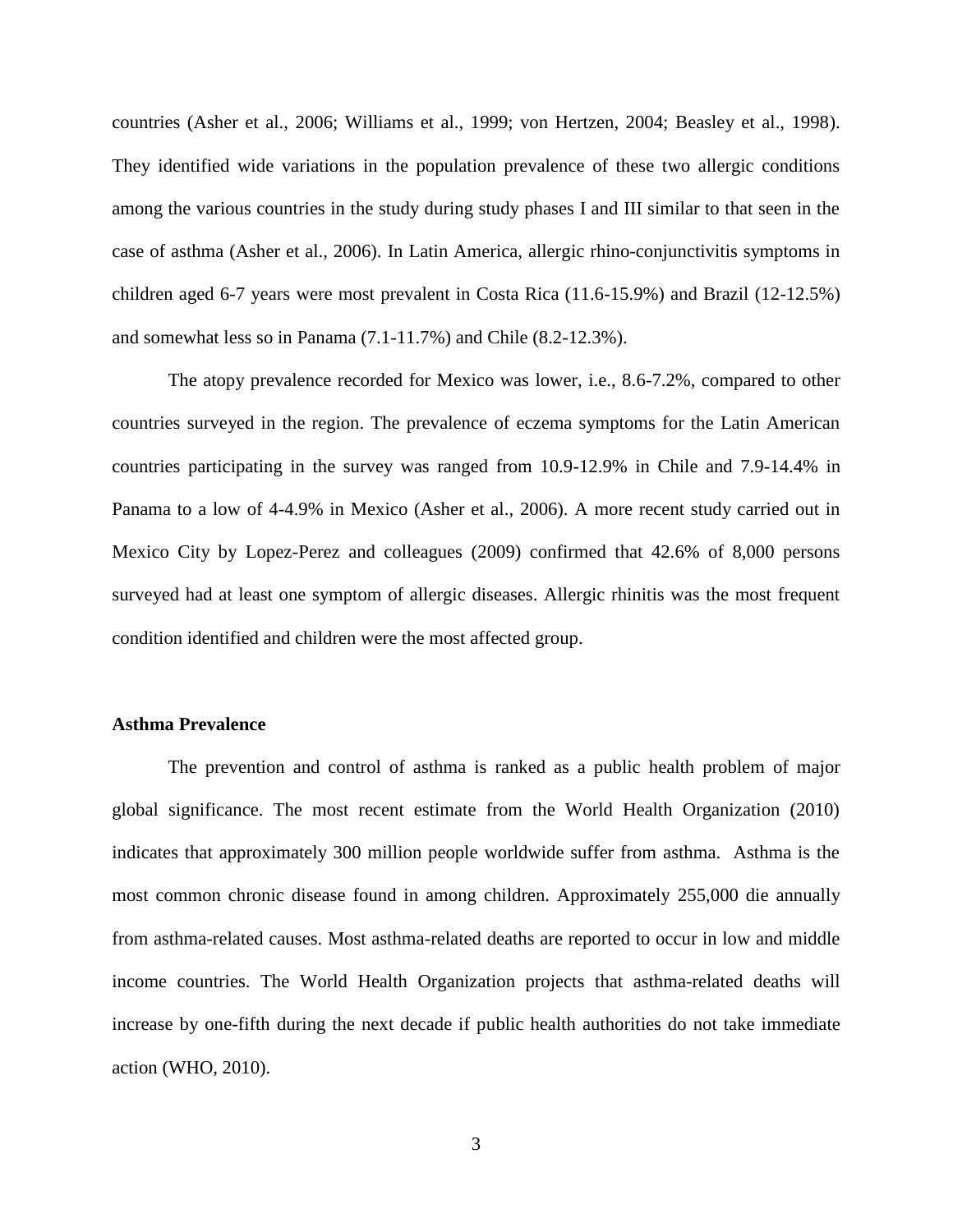countries (Asher et al., 2006; Williams et al., 1999; von Hertzen, 2004; Beasley et al., 1998). They identified wide variations in the population prevalence of these two allergic conditions among the various countries in the study during study phases I and III similar to that seen in the case of asthma (Asher et al., 2006). In Latin America, allergic rhino-conjunctivitis symptoms in children aged 6-7 years were most prevalent in Costa Rica (11.6-15.9%) and Brazil (12-12.5%) and somewhat less so in Panama (7.1-11.7%) and Chile (8.2-12.3%).

The atopy prevalence recorded for Mexico was lower, i.e., 8.6-7.2%, compared to other countries surveyed in the region. The prevalence of eczema symptoms for the Latin American countries participating in the survey was ranged from 10.9-12.9% in Chile and 7.9-14.4% in Panama to a low of 4-4.9% in Mexico (Asher et al., 2006). A more recent study carried out in Mexico City by Lopez-Perez and colleagues (2009) confirmed that 42.6% of 8,000 persons surveyed had at least one symptom of allergic diseases. Allergic rhinitis was the most frequent condition identified and children were the most affected group.

#### **Asthma Prevalence**

The prevention and control of asthma is ranked as a public health problem of major global significance. The most recent estimate from the World Health Organization (2010) indicates that approximately 300 million people worldwide suffer from asthma. Asthma is the most common chronic disease found in among children. Approximately 255,000 die annually from asthma-related causes. Most asthma-related deaths are reported to occur in low and middle income countries. The World Health Organization projects that asthma-related deaths will increase by one-fifth during the next decade if public health authorities do not take immediate action (WHO, 2010).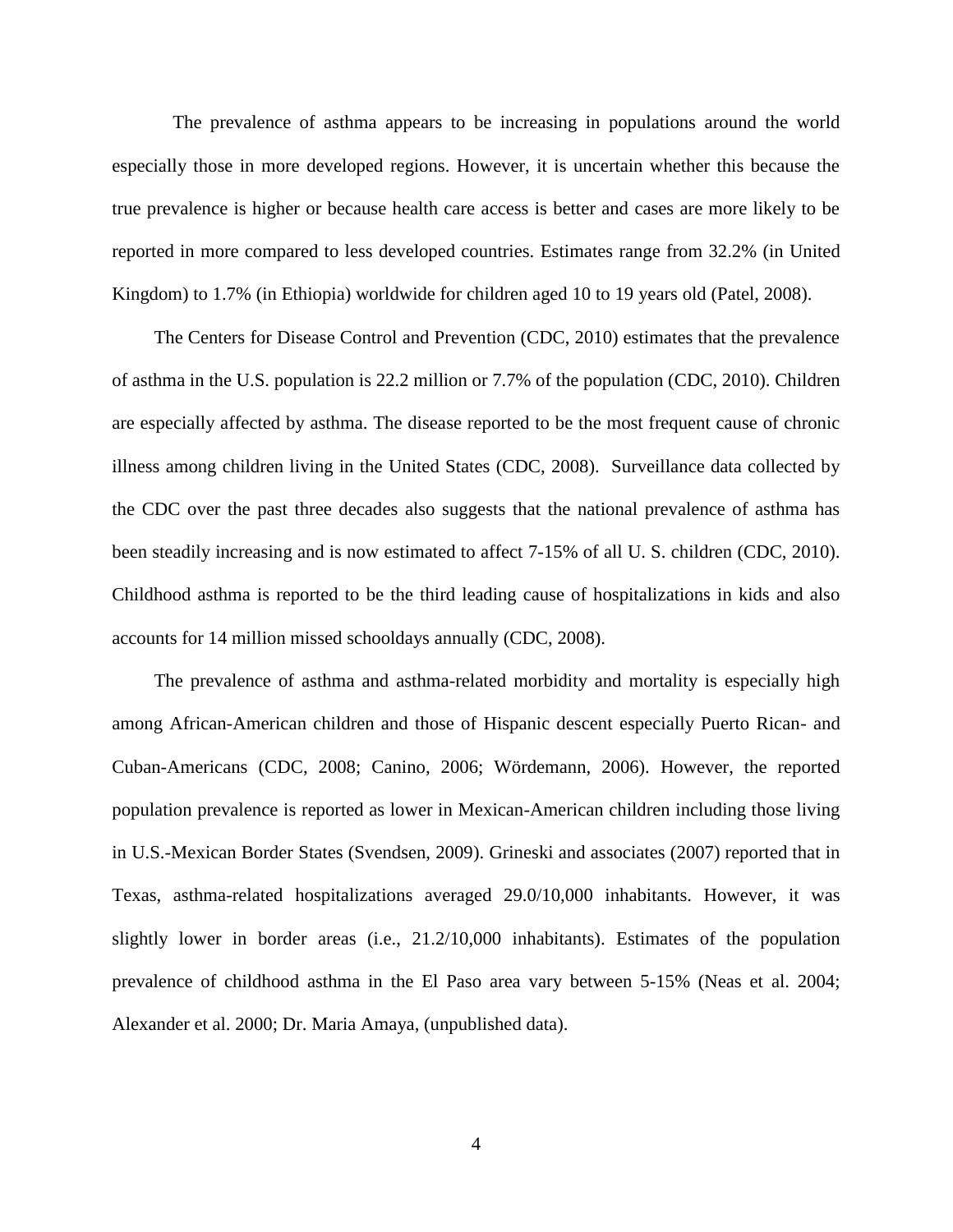The prevalence of asthma appears to be increasing in populations around the world especially those in more developed regions. However, it is uncertain whether this because the true prevalence is higher or because health care access is better and cases are more likely to be reported in more compared to less developed countries. Estimates range from 32.2% (in United Kingdom) to 1.7% (in Ethiopia) worldwide for children aged 10 to 19 years old (Patel, 2008).

 The Centers for Disease Control and Prevention (CDC, 2010) estimates that the prevalence of asthma in the U.S. population is 22.2 million or 7.7% of the population (CDC, 2010). Children are especially affected by asthma. The disease reported to be the most frequent cause of chronic illness among children living in the United States (CDC, 2008). Surveillance data collected by the CDC over the past three decades also suggests that the national prevalence of asthma has been steadily increasing and is now estimated to affect 7-15% of all U. S. children (CDC, 2010). Childhood asthma is reported to be the third leading cause of hospitalizations in kids and also accounts for 14 million missed schooldays annually (CDC, 2008).

 The prevalence of asthma and asthma-related morbidity and mortality is especially high among African-American children and those of Hispanic descent especially Puerto Rican- and Cuban-Americans (CDC, 2008; Canino, 2006; Wördemann, 2006). However, the reported population prevalence is reported as lower in Mexican-American children including those living in U.S.-Mexican Border States (Svendsen, 2009). Grineski and associates (2007) reported that in Texas, asthma-related hospitalizations averaged 29.0/10,000 inhabitants. However, it was slightly lower in border areas (i.e., 21.2/10,000 inhabitants). Estimates of the population prevalence of childhood asthma in the El Paso area vary between 5-15% (Neas et al. 2004; Alexander et al. 2000; Dr. Maria Amaya, (unpublished data).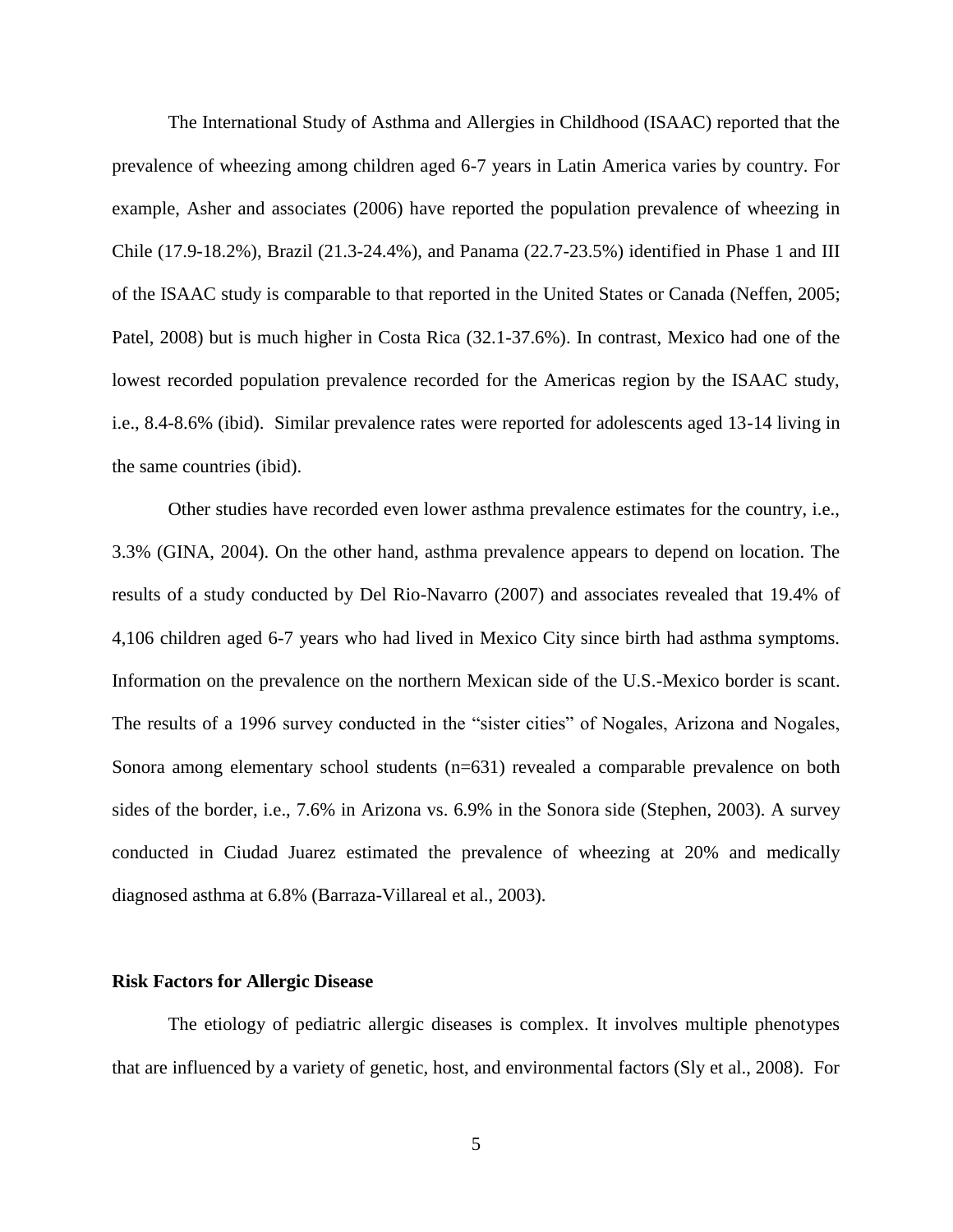The International Study of Asthma and Allergies in Childhood (ISAAC) reported that the prevalence of wheezing among children aged 6-7 years in Latin America varies by country. For example, Asher and associates (2006) have reported the population prevalence of wheezing in Chile (17.9-18.2%), Brazil (21.3-24.4%), and Panama (22.7-23.5%) identified in Phase 1 and III of the ISAAC study is comparable to that reported in the United States or Canada (Neffen, 2005; Patel, 2008) but is much higher in Costa Rica (32.1-37.6%). In contrast, Mexico had one of the lowest recorded population prevalence recorded for the Americas region by the ISAAC study, i.e., 8.4-8.6% (ibid). Similar prevalence rates were reported for adolescents aged 13-14 living in the same countries (ibid).

Other studies have recorded even lower asthma prevalence estimates for the country, i.e., 3.3% (GINA, 2004). On the other hand, asthma prevalence appears to depend on location. The results of a study conducted by Del Rio-Navarro (2007) and associates revealed that 19.4% of 4,106 children aged 6-7 years who had lived in Mexico City since birth had asthma symptoms. Information on the prevalence on the northern Mexican side of the U.S.-Mexico border is scant. The results of a 1996 survey conducted in the "sister cities" of Nogales, Arizona and Nogales, Sonora among elementary school students (n=631) revealed a comparable prevalence on both sides of the border, i.e., 7.6% in Arizona vs. 6.9% in the Sonora side (Stephen, 2003). A survey conducted in Ciudad Juarez estimated the prevalence of wheezing at 20% and medically diagnosed asthma at 6.8% (Barraza-Villareal et al., 2003).

#### **Risk Factors for Allergic Disease**

The etiology of pediatric allergic diseases is complex. It involves multiple phenotypes that are influenced by a variety of genetic, host, and environmental factors (Sly et al., 2008). For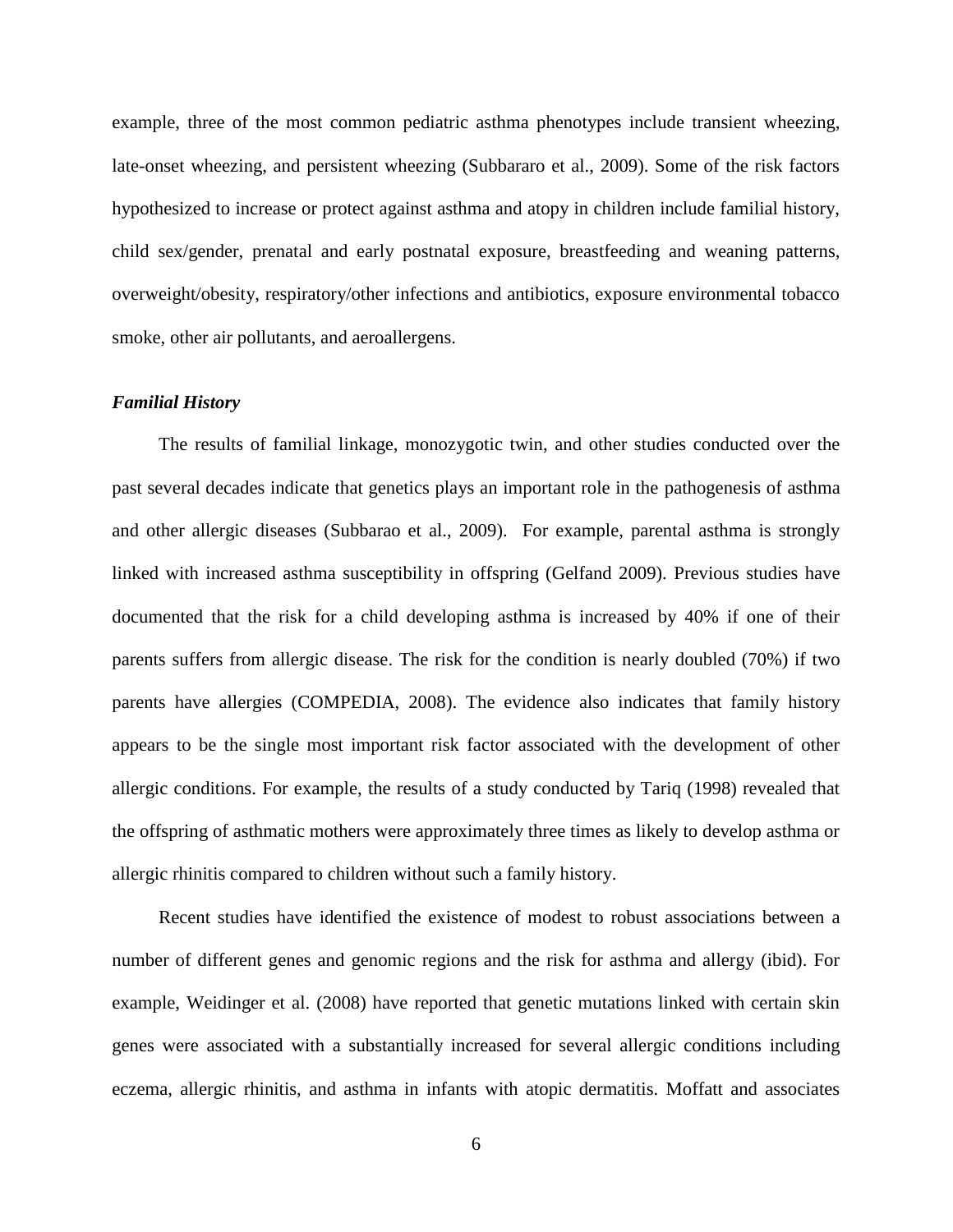example, three of the most common pediatric asthma phenotypes include transient wheezing, late-onset wheezing, and persistent wheezing (Subbararo et al., 2009). Some of the risk factors hypothesized to increase or protect against asthma and atopy in children include familial history, child sex/gender, prenatal and early postnatal exposure, breastfeeding and weaning patterns, overweight/obesity, respiratory/other infections and antibiotics, exposure environmental tobacco smoke, other air pollutants, and aeroallergens.

#### *Familial History*

 The results of familial linkage, monozygotic twin, and other studies conducted over the past several decades indicate that genetics plays an important role in the pathogenesis of asthma and other allergic diseases (Subbarao et al., 2009). For example, parental asthma is strongly linked with increased asthma susceptibility in offspring (Gelfand 2009). Previous studies have documented that the risk for a child developing asthma is increased by 40% if one of their parents suffers from allergic disease. The risk for the condition is nearly doubled (70%) if two parents have allergies (COMPEDIA, 2008). The evidence also indicates that family history appears to be the single most important risk factor associated with the development of other allergic conditions. For example, the results of a study conducted by Tariq (1998) revealed that the offspring of asthmatic mothers were approximately three times as likely to develop asthma or allergic rhinitis compared to children without such a family history.

 Recent studies have identified the existence of modest to robust associations between a number of different genes and genomic regions and the risk for asthma and allergy (ibid). For example, Weidinger et al. (2008) have reported that genetic mutations linked with certain skin genes were associated with a substantially increased for several allergic conditions including eczema, allergic rhinitis, and asthma in infants with atopic dermatitis. Moffatt and associates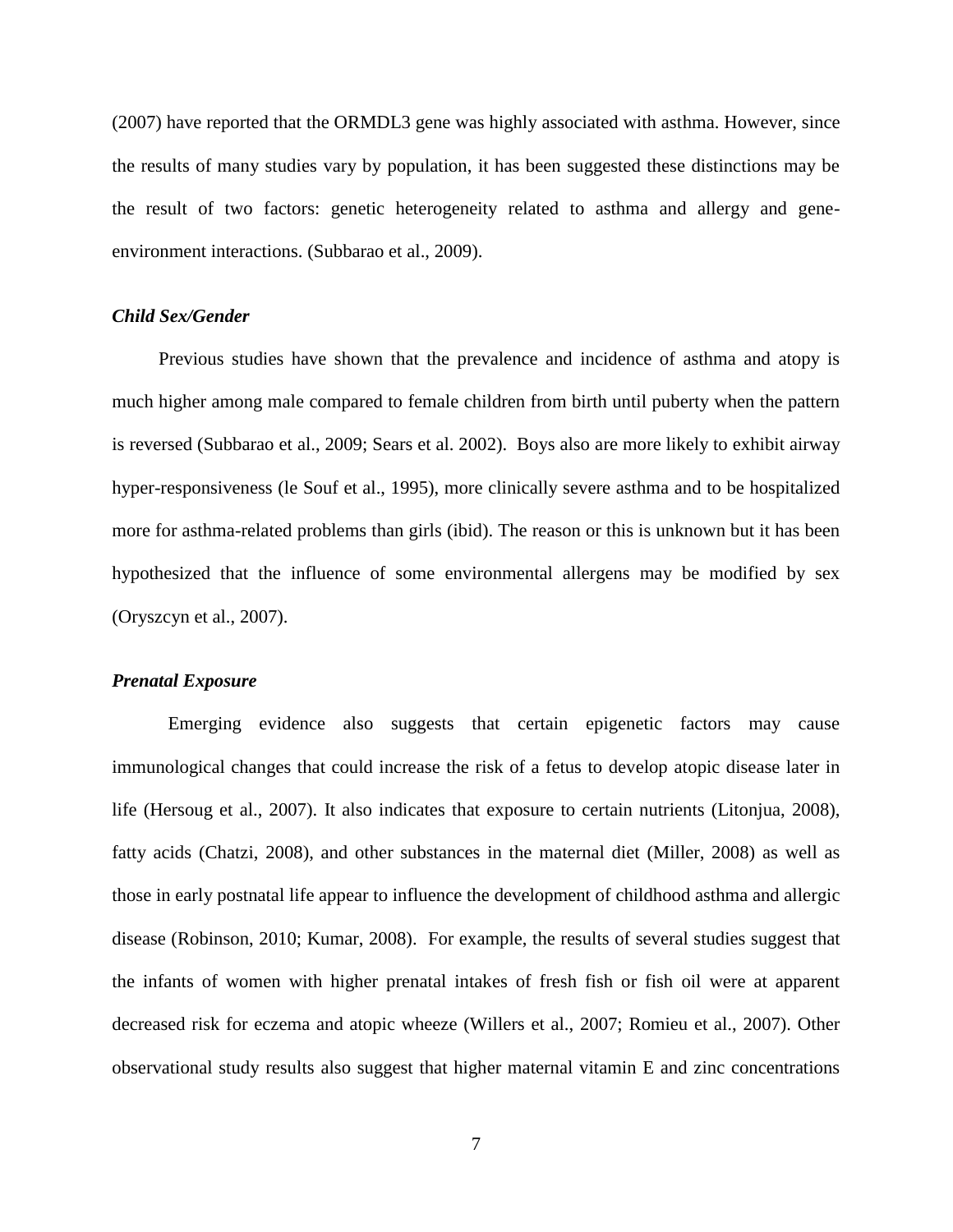(2007) have reported that the ORMDL3 gene was highly associated with asthma. However, since the results of many studies vary by population, it has been suggested these distinctions may be the result of two factors: genetic heterogeneity related to asthma and allergy and geneenvironment interactions. (Subbarao et al., 2009).

#### *Child Sex/Gender*

 Previous studies have shown that the prevalence and incidence of asthma and atopy is much higher among male compared to female children from birth until puberty when the pattern is reversed (Subbarao et al., 2009; Sears et al. 2002). Boys also are more likely to exhibit airway hyper-responsiveness (le Souf et al., 1995), more clinically severe asthma and to be hospitalized more for asthma-related problems than girls (ibid). The reason or this is unknown but it has been hypothesized that the influence of some environmental allergens may be modified by sex (Oryszcyn et al., 2007).

#### *Prenatal Exposure*

Emerging evidence also suggests that certain epigenetic factors may cause immunological changes that could increase the risk of a fetus to develop atopic disease later in life (Hersoug et al., 2007). It also indicates that exposure to certain nutrients (Litonjua, 2008), fatty acids (Chatzi, 2008), and other substances in the maternal diet (Miller, 2008) as well as those in early postnatal life appear to influence the development of childhood asthma and allergic disease (Robinson, 2010; Kumar, 2008). For example, the results of several studies suggest that the infants of women with higher prenatal intakes of fresh fish or fish oil were at apparent decreased risk for eczema and atopic wheeze (Willers et al., 2007; Romieu et al., 2007). Other observational study results also suggest that higher maternal vitamin E and zinc concentrations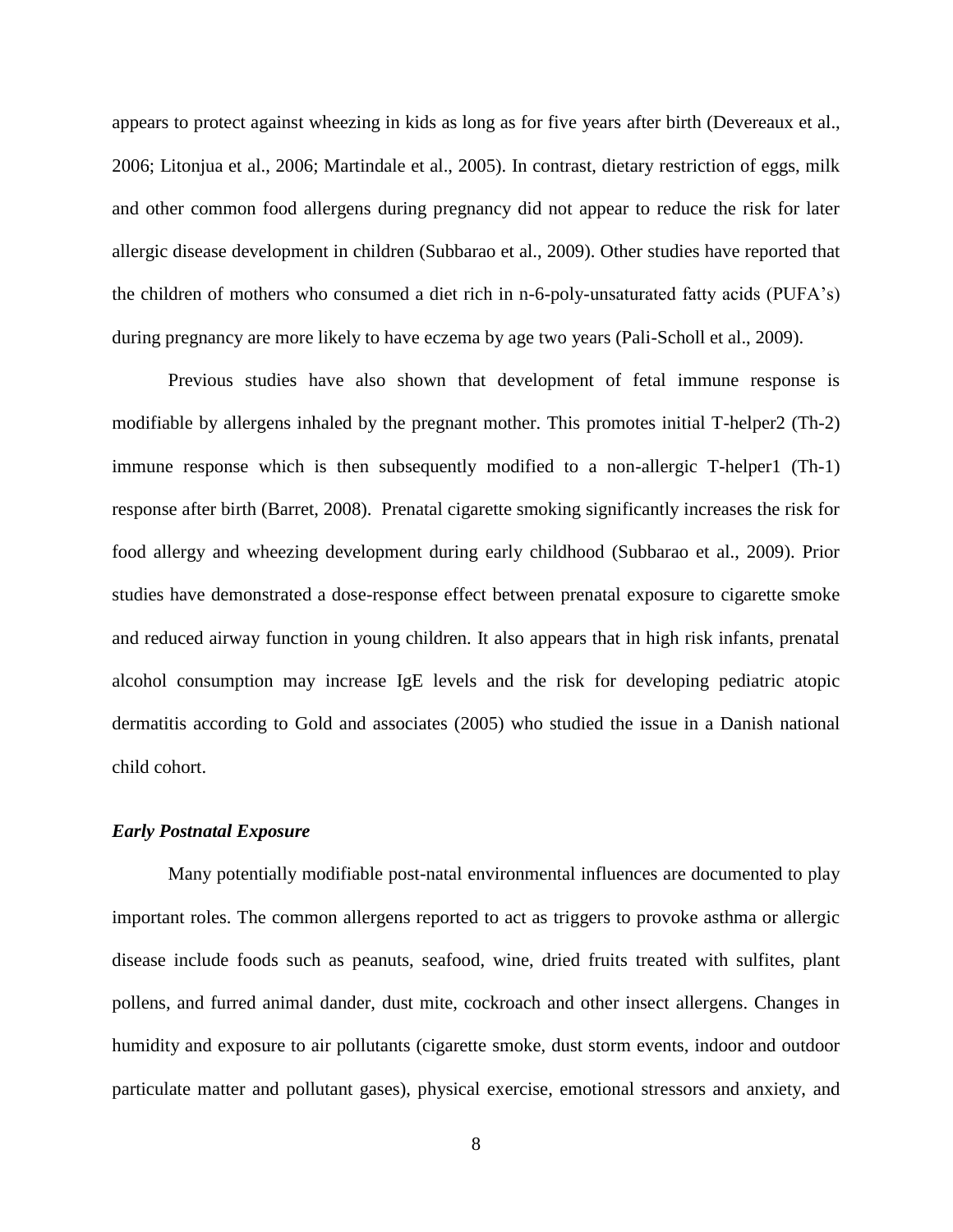appears to protect against wheezing in kids as long as for five years after birth (Devereaux et al., 2006; Litonjua et al., 2006; Martindale et al., 2005). In contrast, dietary restriction of eggs, milk and other common food allergens during pregnancy did not appear to reduce the risk for later allergic disease development in children (Subbarao et al., 2009). Other studies have reported that the children of mothers who consumed a diet rich in n-6-poly-unsaturated fatty acids (PUFA's) during pregnancy are more likely to have eczema by age two years (Pali-Scholl et al., 2009).

Previous studies have also shown that development of fetal immune response is modifiable by allergens inhaled by the pregnant mother. This promotes initial T-helper2 (Th-2) immune response which is then subsequently modified to a non-allergic T-helper1 (Th-1) response after birth (Barret, 2008). Prenatal cigarette smoking significantly increases the risk for food allergy and wheezing development during early childhood (Subbarao et al., 2009). Prior studies have demonstrated a dose-response effect between prenatal exposure to cigarette smoke and reduced airway function in young children. It also appears that in high risk infants, prenatal alcohol consumption may increase IgE levels and the risk for developing pediatric atopic dermatitis according to Gold and associates (2005) who studied the issue in a Danish national child cohort.

#### *Early Postnatal Exposure*

Many potentially modifiable post-natal environmental influences are documented to play important roles. The common allergens reported to act as triggers to provoke asthma or allergic disease include foods such as peanuts, seafood, wine, dried fruits treated with sulfites, plant pollens, and furred animal dander, dust mite, cockroach and other insect allergens. Changes in humidity and exposure to air pollutants (cigarette smoke, dust storm events, indoor and outdoor particulate matter and pollutant gases), physical exercise, emotional stressors and anxiety, and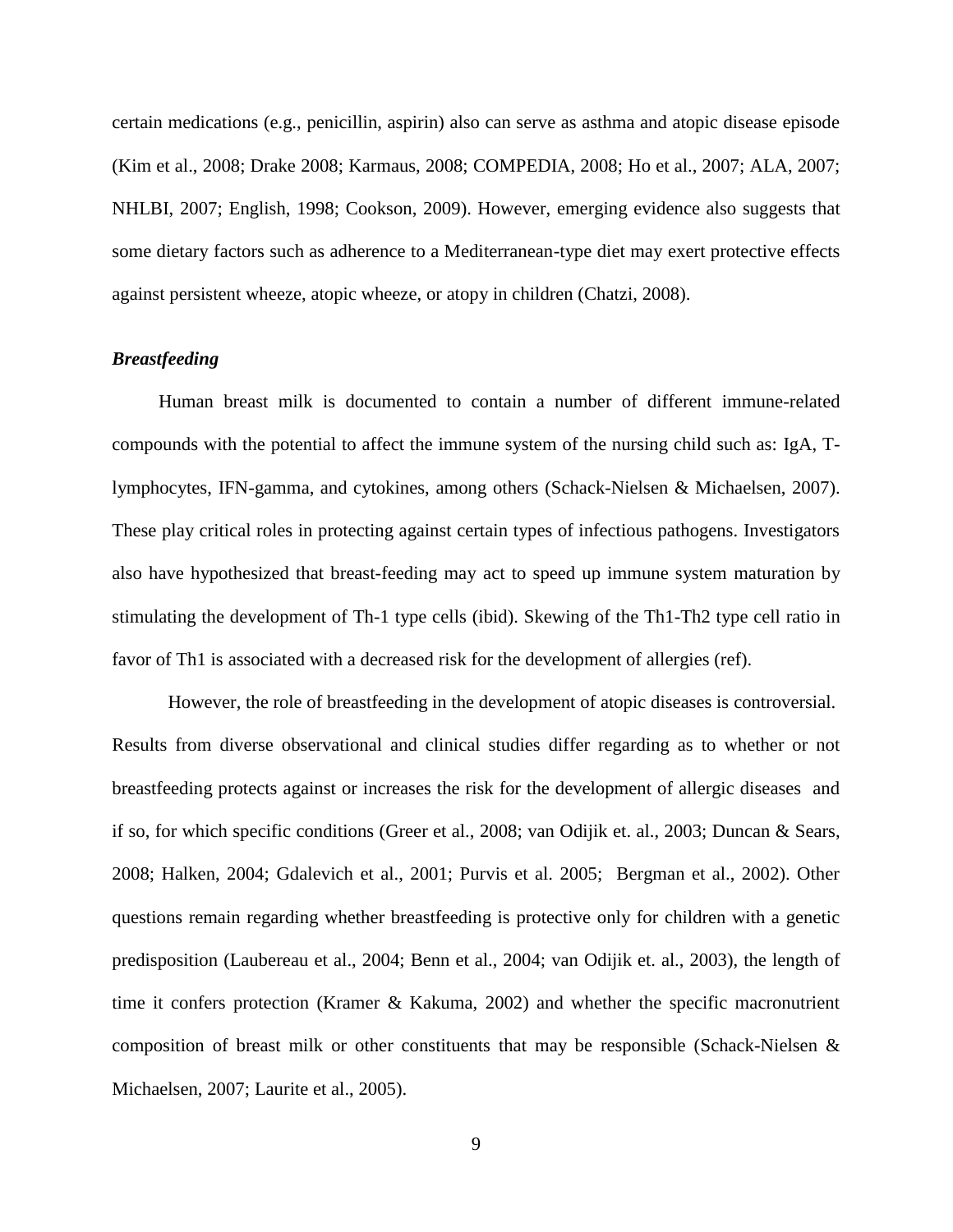certain medications (e.g., penicillin, aspirin) also can serve as asthma and atopic disease episode (Kim et al., 2008; Drake 2008; Karmaus, 2008; COMPEDIA, 2008; Ho et al., 2007; ALA, 2007; NHLBI, 2007; English, 1998; Cookson, 2009). However, emerging evidence also suggests that some dietary factors such as adherence to a Mediterranean-type diet may exert protective effects against persistent wheeze, atopic wheeze, or atopy in children (Chatzi, 2008).

#### *Breastfeeding*

 Human breast milk is documented to contain a number of different immune-related compounds with the potential to affect the immune system of the nursing child such as: IgA, Tlymphocytes, IFN-gamma, and cytokines, among others (Schack-Nielsen & Michaelsen, 2007). These play critical roles in protecting against certain types of infectious pathogens. Investigators also have hypothesized that breast-feeding may act to speed up immune system maturation by stimulating the development of Th-1 type cells (ibid). Skewing of the Th1-Th2 type cell ratio in favor of Th1 is associated with a decreased risk for the development of allergies (ref).

However, the role of breastfeeding in the development of atopic diseases is controversial. Results from diverse observational and clinical studies differ regarding as to whether or not breastfeeding protects against or increases the risk for the development of allergic diseases and if so, for which specific conditions (Greer et al., 2008; van Odijik et. al., 2003; Duncan & Sears, 2008; Halken, 2004; Gdalevich et al., 2001; Purvis et al. 2005; Bergman et al., 2002). Other questions remain regarding whether breastfeeding is protective only for children with a genetic predisposition (Laubereau et al., 2004; Benn et al., 2004; van Odijik et. al., 2003), the length of time it confers protection (Kramer & Kakuma, 2002) and whether the specific macronutrient composition of breast milk or other constituents that may be responsible (Schack-Nielsen & Michaelsen, 2007; Laurite et al., 2005).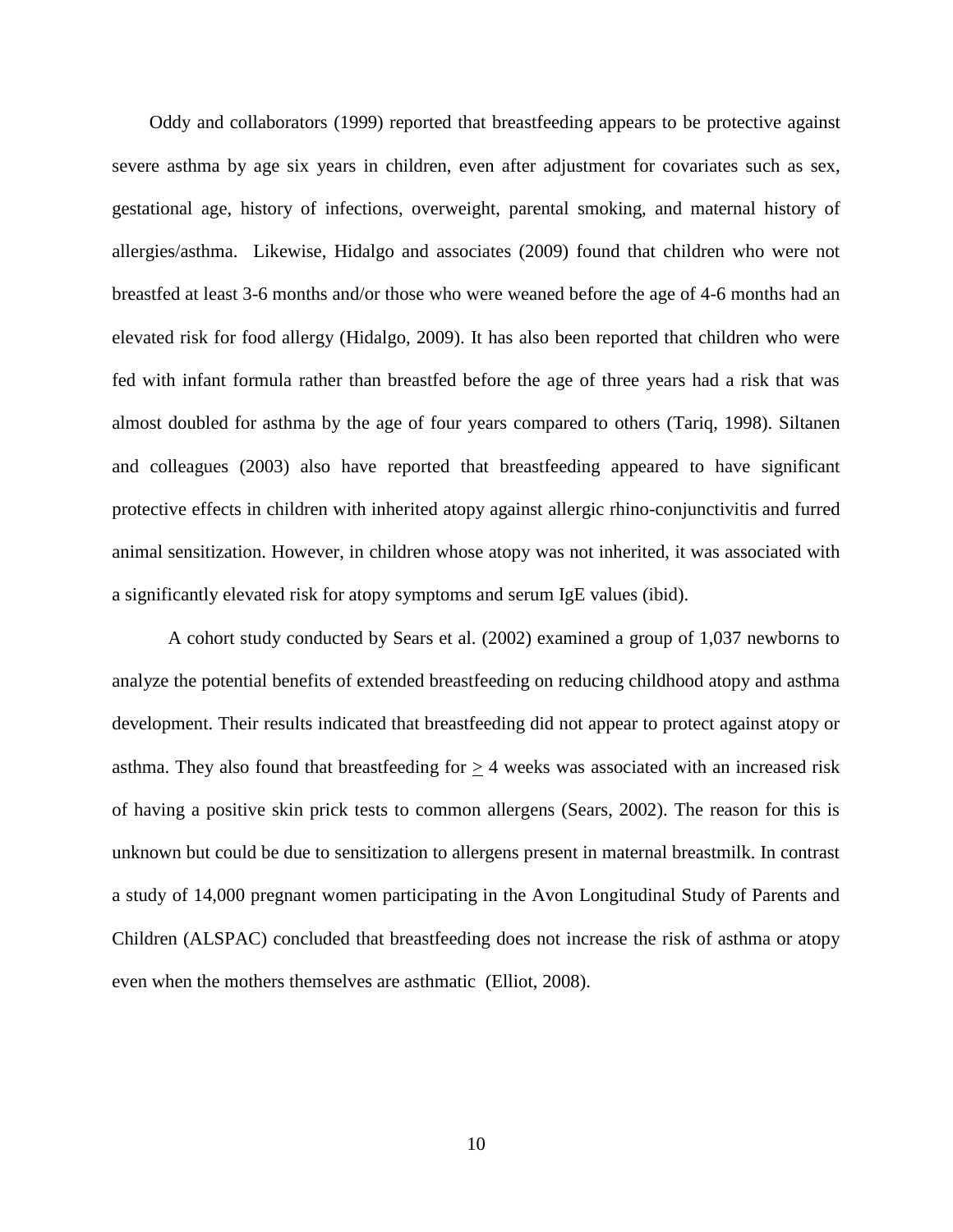Oddy and collaborators (1999) reported that breastfeeding appears to be protective against severe asthma by age six years in children, even after adjustment for covariates such as sex, gestational age, history of infections, overweight, parental smoking, and maternal history of allergies/asthma. Likewise, Hidalgo and associates (2009) found that children who were not breastfed at least 3-6 months and/or those who were weaned before the age of 4-6 months had an elevated risk for food allergy (Hidalgo, 2009). It has also been reported that children who were fed with infant formula rather than breastfed before the age of three years had a risk that was almost doubled for asthma by the age of four years compared to others (Tariq, 1998). Siltanen and colleagues (2003) also have reported that breastfeeding appeared to have significant protective effects in children with inherited atopy against allergic rhino-conjunctivitis and furred animal sensitization. However, in children whose atopy was not inherited, it was associated with a significantly elevated risk for atopy symptoms and serum IgE values (ibid).

 A cohort study conducted by Sears et al. (2002) examined a group of 1,037 newborns to analyze the potential benefits of extended breastfeeding on reducing childhood atopy and asthma development. Their results indicated that breastfeeding did not appear to protect against atopy or asthma. They also found that breastfeeding for  $\geq$  4 weeks was associated with an increased risk of having a positive skin prick tests to common allergens (Sears, 2002). The reason for this is unknown but could be due to sensitization to allergens present in maternal breastmilk. In contrast a study of 14,000 pregnant women participating in the Avon Longitudinal Study of Parents and Children (ALSPAC) concluded that breastfeeding does not increase the risk of asthma or atopy even when the mothers themselves are asthmatic (Elliot, 2008).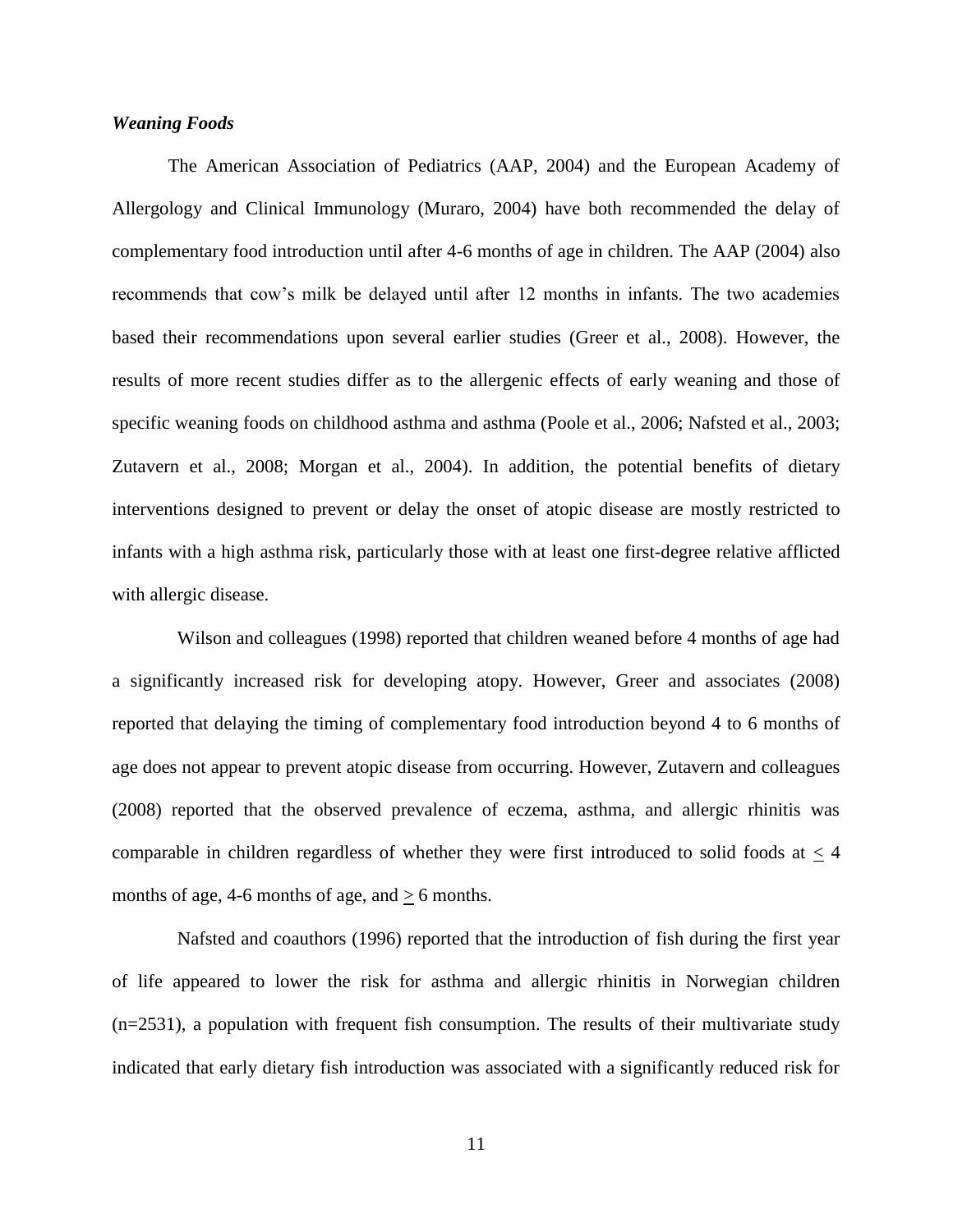#### *Weaning Foods*

The American Association of Pediatrics (AAP, 2004) and the European Academy of Allergology and Clinical Immunology (Muraro, 2004) have both recommended the delay of complementary food introduction until after 4-6 months of age in children. The AAP (2004) also recommends that cow's milk be delayed until after 12 months in infants. The two academies based their recommendations upon several earlier studies (Greer et al., 2008). However, the results of more recent studies differ as to the allergenic effects of early weaning and those of specific weaning foods on childhood asthma and asthma (Poole et al., 2006; Nafsted et al., 2003; Zutavern et al., 2008; Morgan et al., 2004). In addition, the potential benefits of dietary interventions designed to prevent or delay the onset of atopic disease are mostly restricted to infants with a high asthma risk, particularly those with at least one first-degree relative afflicted with allergic disease.

 Wilson and colleagues (1998) reported that children weaned before 4 months of age had a significantly increased risk for developing atopy. However, Greer and associates (2008) reported that delaying the timing of complementary food introduction beyond 4 to 6 months of age does not appear to prevent atopic disease from occurring. However, Zutavern and colleagues (2008) reported that the observed prevalence of eczema, asthma, and allergic rhinitis was comparable in children regardless of whether they were first introduced to solid foods at  $<$  4 months of age, 4-6 months of age, and  $\geq$  6 months.

 Nafsted and coauthors (1996) reported that the introduction of fish during the first year of life appeared to lower the risk for asthma and allergic rhinitis in Norwegian children  $(n=2531)$ , a population with frequent fish consumption. The results of their multivariate study indicated that early dietary fish introduction was associated with a significantly reduced risk for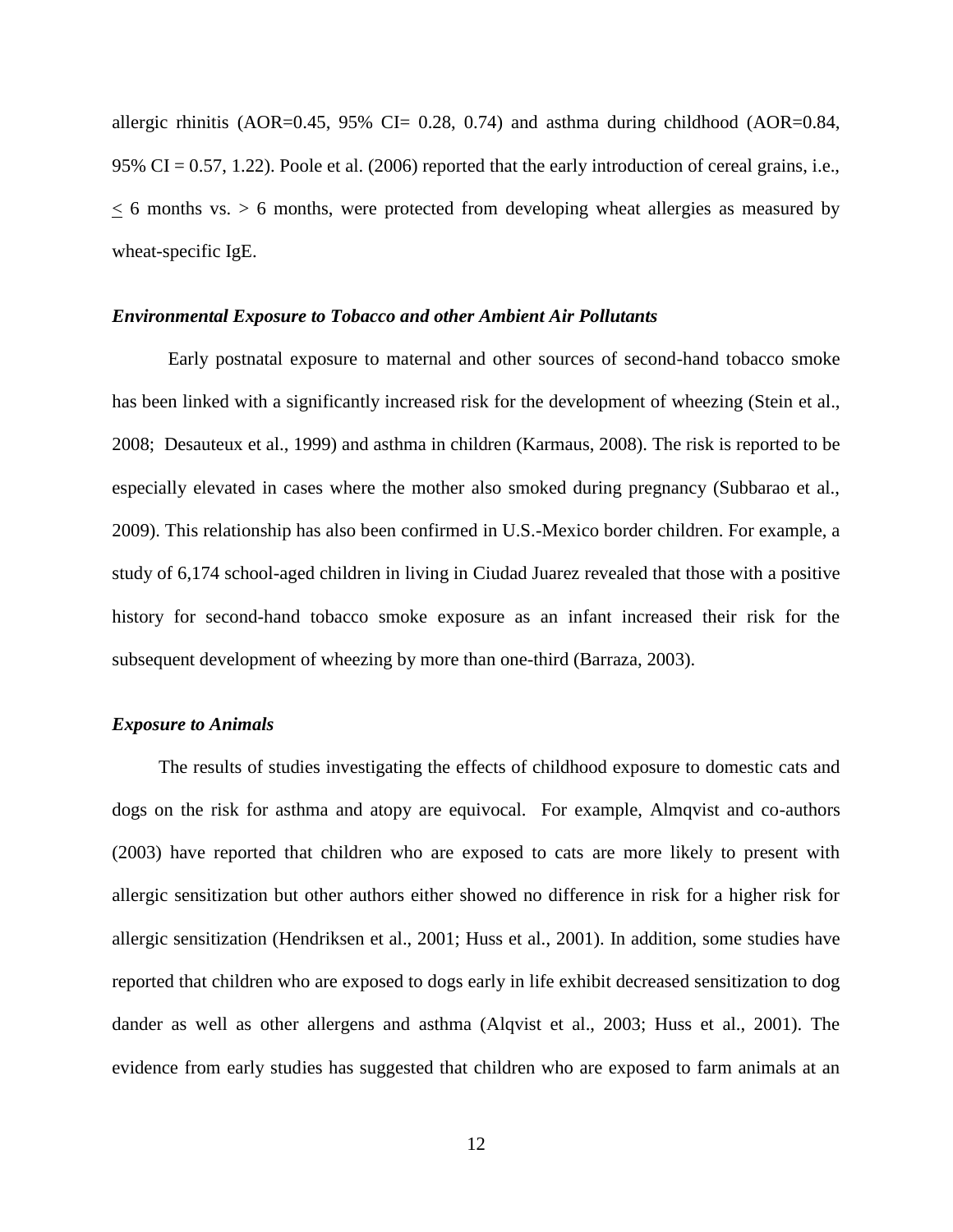allergic rhinitis (AOR=0.45, 95% CI= 0.28, 0.74) and asthma during childhood (AOR=0.84, 95% CI = 0.57, 1.22). Poole et al. (2006) reported that the early introduction of cereal grains, i.e.,  $<$  6 months vs.  $>$  6 months, were protected from developing wheat allergies as measured by wheat-specific IgE.

#### *Environmental Exposure to Tobacco and other Ambient Air Pollutants*

Early postnatal exposure to maternal and other sources of second-hand tobacco smoke has been linked with a significantly increased risk for the development of wheezing (Stein et al., 2008; Desauteux et al., 1999) and asthma in children (Karmaus, 2008). The risk is reported to be especially elevated in cases where the mother also smoked during pregnancy (Subbarao et al., 2009). This relationship has also been confirmed in U.S.-Mexico border children. For example, a study of 6,174 school-aged children in living in Ciudad Juarez revealed that those with a positive history for second-hand tobacco smoke exposure as an infant increased their risk for the subsequent development of wheezing by more than one-third (Barraza, 2003).

#### *Exposure to Animals*

The results of studies investigating the effects of childhood exposure to domestic cats and dogs on the risk for asthma and atopy are equivocal. For example, Almqvist and co-authors (2003) have reported that children who are exposed to cats are more likely to present with allergic sensitization but other authors either showed no difference in risk for a higher risk for allergic sensitization (Hendriksen et al., 2001; Huss et al., 2001). In addition, some studies have reported that children who are exposed to dogs early in life exhibit decreased sensitization to dog dander as well as other allergens and asthma (Alqvist et al., 2003; Huss et al., 2001). The evidence from early studies has suggested that children who are exposed to farm animals at an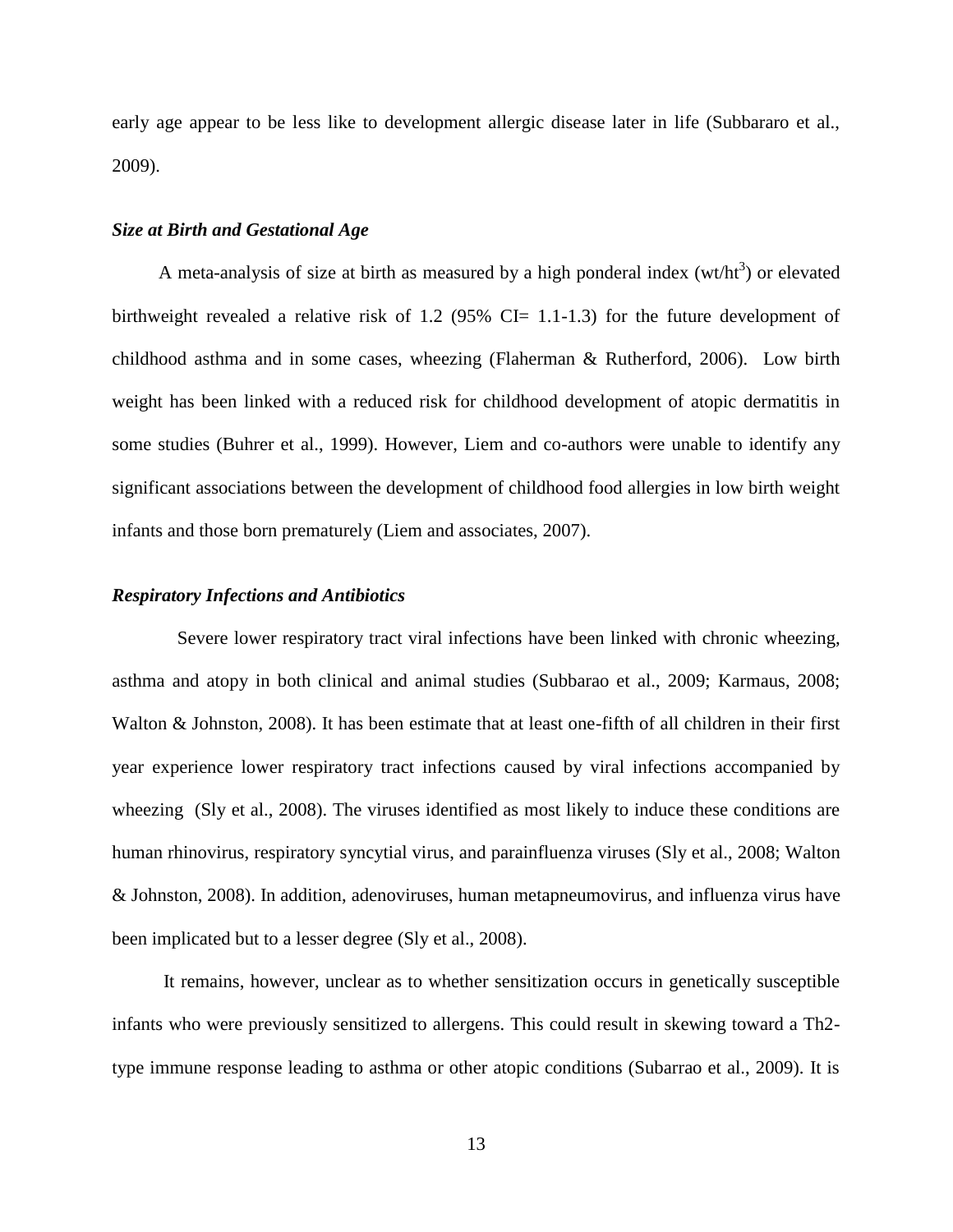early age appear to be less like to development allergic disease later in life (Subbararo et al., 2009).

#### *Size at Birth and Gestational Age*

A meta-analysis of size at birth as measured by a high ponderal index  $(wt/ht^3)$  or elevated birthweight revealed a relative risk of 1.2 (95% CI=  $1.1$ -1.3) for the future development of childhood asthma and in some cases, wheezing (Flaherman & Rutherford, 2006). Low birth weight has been linked with a reduced risk for childhood development of atopic dermatitis in some studies (Buhrer et al., 1999). However, Liem and co-authors were unable to identify any significant associations between the development of childhood food allergies in low birth weight infants and those born prematurely (Liem and associates, 2007).

# *Respiratory Infections and Antibiotics*

 Severe lower respiratory tract viral infections have been linked with chronic wheezing, asthma and atopy in both clinical and animal studies (Subbarao et al., 2009; Karmaus, 2008; Walton & Johnston, 2008). It has been estimate that at least one-fifth of all children in their first year experience lower respiratory tract infections caused by viral infections accompanied by wheezing (Sly et al., 2008). The viruses identified as most likely to induce these conditions are human rhinovirus, respiratory syncytial virus, and parainfluenza viruses (Sly et al., 2008; Walton & Johnston, 2008). In addition, adenoviruses, human metapneumovirus, and influenza virus have been implicated but to a lesser degree (Sly et al., 2008).

 It remains, however, unclear as to whether sensitization occurs in genetically susceptible infants who were previously sensitized to allergens. This could result in skewing toward a Th2 type immune response leading to asthma or other atopic conditions (Subarrao et al., 2009). It is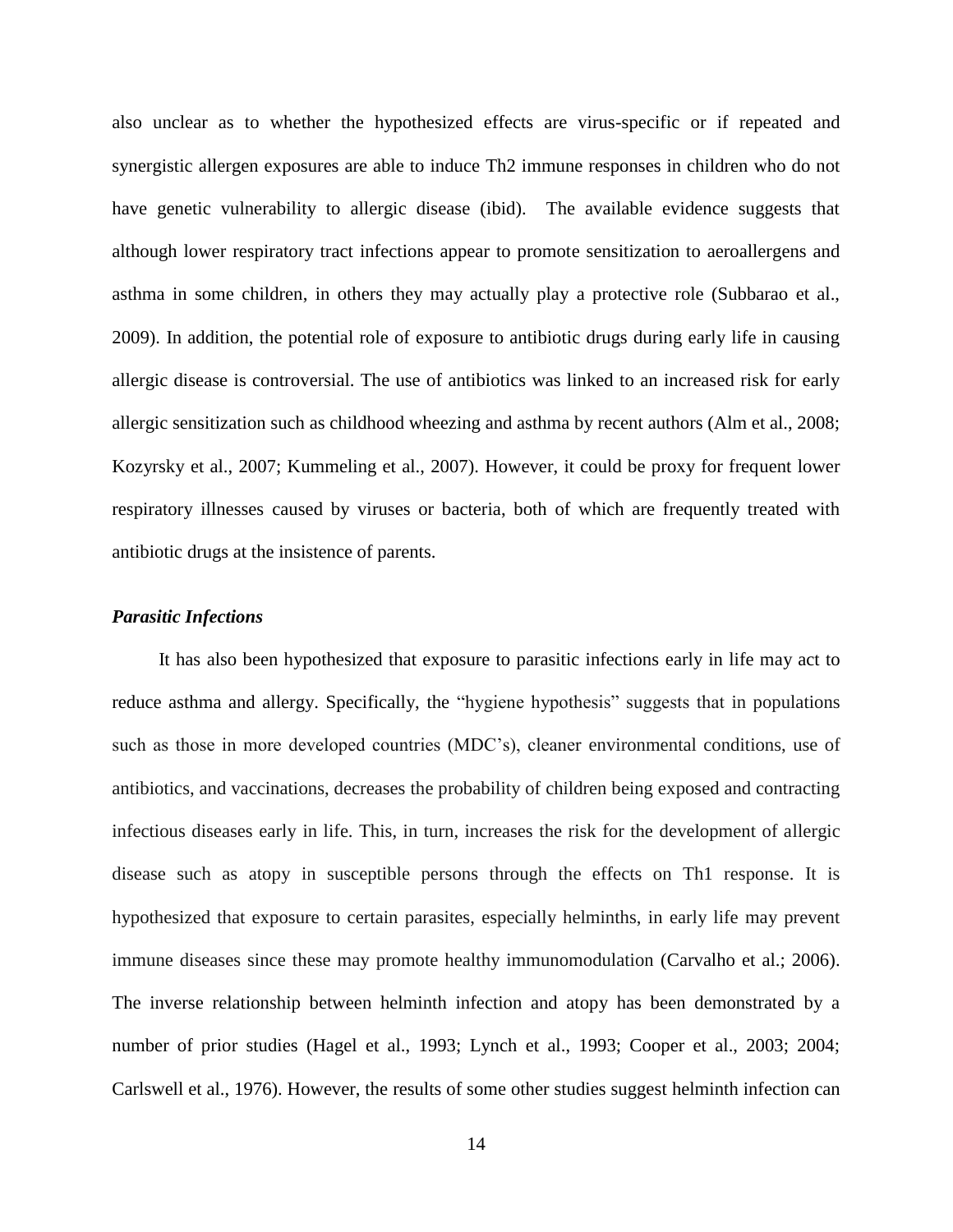also unclear as to whether the hypothesized effects are virus-specific or if repeated and synergistic allergen exposures are able to induce Th2 immune responses in children who do not have genetic vulnerability to allergic disease (ibid). The available evidence suggests that although lower respiratory tract infections appear to promote sensitization to aeroallergens and asthma in some children, in others they may actually play a protective role (Subbarao et al., 2009). In addition, the potential role of exposure to antibiotic drugs during early life in causing allergic disease is controversial. The use of antibiotics was linked to an increased risk for early allergic sensitization such as childhood wheezing and asthma by recent authors (Alm et al., 2008; Kozyrsky et al., 2007; Kummeling et al., 2007). However, it could be proxy for frequent lower respiratory illnesses caused by viruses or bacteria, both of which are frequently treated with antibiotic drugs at the insistence of parents.

#### *Parasitic Infections*

 It has also been hypothesized that exposure to parasitic infections early in life may act to reduce asthma and allergy. Specifically, the "hygiene hypothesis" suggests that in populations such as those in more developed countries (MDC's), cleaner environmental conditions, use of antibiotics, and vaccinations, decreases the probability of children being exposed and contracting infectious diseases early in life. This, in turn, increases the risk for the development of allergic disease such as atopy in susceptible persons through the effects on Th1 response. It is hypothesized that exposure to certain parasites, especially helminths, in early life may prevent immune diseases since these may promote healthy immunomodulation (Carvalho et al.; 2006). The inverse relationship between helminth infection and atopy has been demonstrated by a number of prior studies (Hagel et al., 1993; Lynch et al., 1993; Cooper et al., 2003; 2004; Carlswell et al., 1976). However, the results of some other studies suggest helminth infection can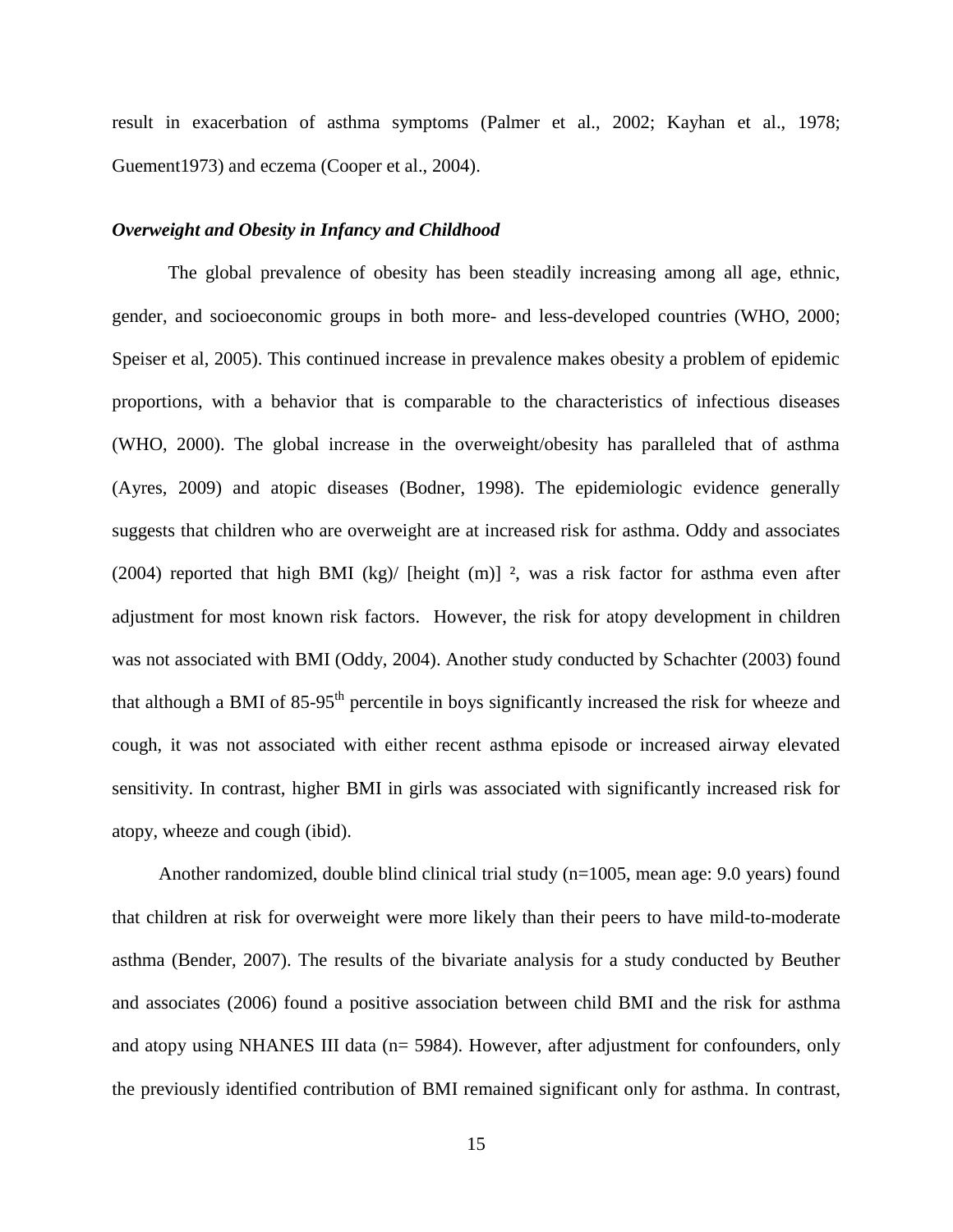result in exacerbation of asthma symptoms (Palmer et al., 2002; Kayhan et al., 1978; Guement1973) and eczema (Cooper et al., 2004).

#### *Overweight and Obesity in Infancy and Childhood*

The global prevalence of obesity has been steadily increasing among all age, ethnic, gender, and socioeconomic groups in both more- and less-developed countries (WHO, 2000; Speiser et al, 2005). This continued increase in prevalence makes obesity a problem of epidemic proportions, with a behavior that is comparable to the characteristics of infectious diseases (WHO, 2000). The global increase in the overweight/obesity has paralleled that of asthma (Ayres, 2009) and atopic diseases (Bodner, 1998). The epidemiologic evidence generally suggests that children who are overweight are at increased risk for asthma. Oddy and associates (2004) reported that high BMI (kg)/ [height (m)] <sup>2</sup>, was a risk factor for asthma even after adjustment for most known risk factors. However, the risk for atopy development in children was not associated with BMI (Oddy, 2004). Another study conducted by Schachter (2003) found that although a BMI of  $85-95<sup>th</sup>$  percentile in boys significantly increased the risk for wheeze and cough, it was not associated with either recent asthma episode or increased airway elevated sensitivity. In contrast, higher BMI in girls was associated with significantly increased risk for atopy, wheeze and cough (ibid).

Another randomized, double blind clinical trial study  $(n=1005)$ , mean age: 9.0 years) found that children at risk for overweight were more likely than their peers to have mild-to-moderate asthma (Bender, 2007). The results of the bivariate analysis for a study conducted by Beuther and associates (2006) found a positive association between child BMI and the risk for asthma and atopy using NHANES III data (n= 5984). However, after adjustment for confounders, only the previously identified contribution of BMI remained significant only for asthma. In contrast,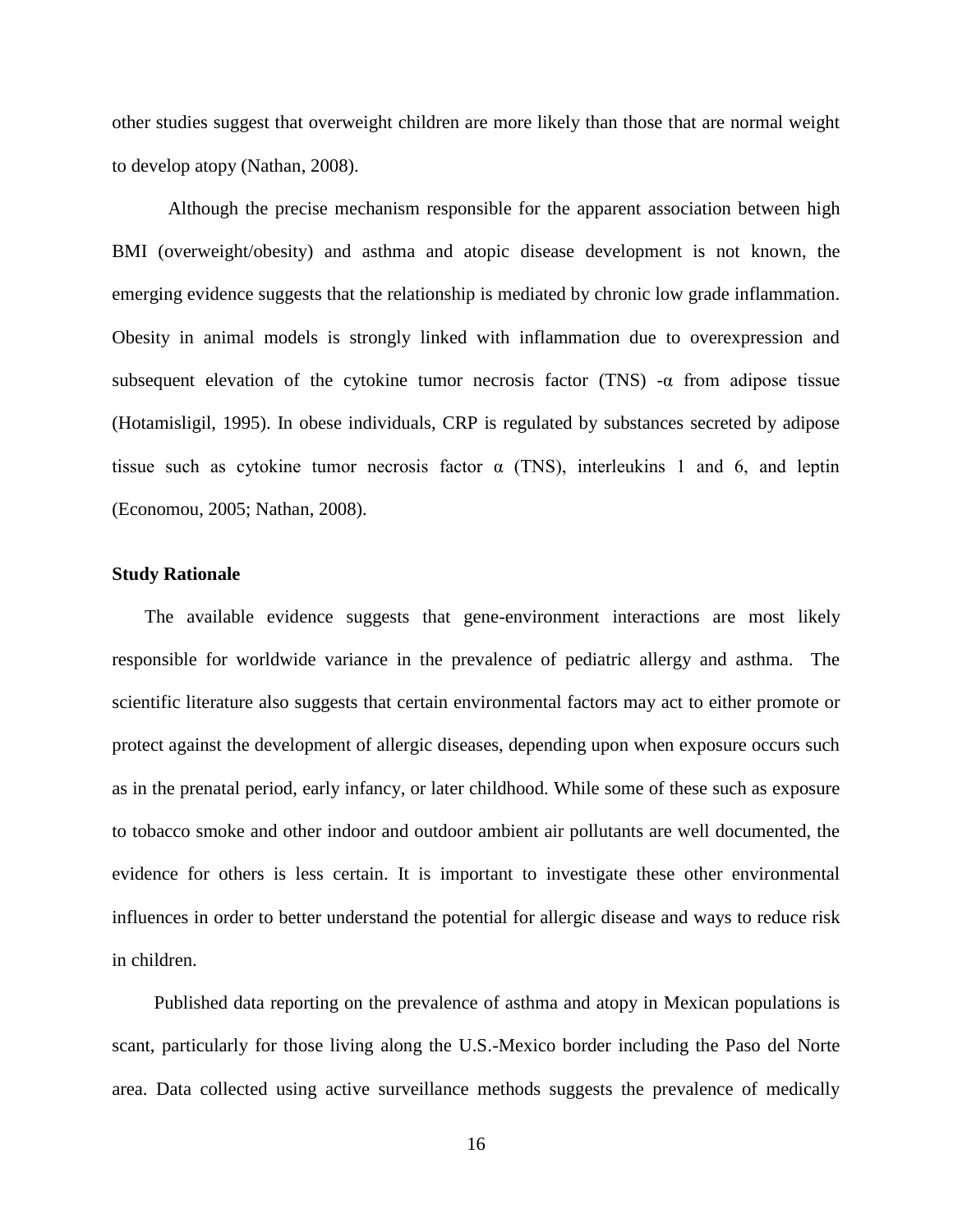other studies suggest that overweight children are more likely than those that are normal weight to develop atopy (Nathan, 2008).

Although the precise mechanism responsible for the apparent association between high BMI (overweight/obesity) and asthma and atopic disease development is not known, the emerging evidence suggests that the relationship is mediated by chronic low grade inflammation. Obesity in animal models is strongly linked with inflammation due to overexpression and subsequent elevation of the cytokine tumor necrosis factor (TNS) -α from adipose tissue (Hotamisligil, 1995). In obese individuals, CRP is regulated by substances secreted by adipose tissue such as cytokine tumor necrosis factor  $\alpha$  (TNS), interleukins 1 and 6, and leptin (Economou, 2005; Nathan, 2008).

#### **Study Rationale**

 The available evidence suggests that gene-environment interactions are most likely responsible for worldwide variance in the prevalence of pediatric allergy and asthma. The scientific literature also suggests that certain environmental factors may act to either promote or protect against the development of allergic diseases, depending upon when exposure occurs such as in the prenatal period, early infancy, or later childhood. While some of these such as exposure to tobacco smoke and other indoor and outdoor ambient air pollutants are well documented, the evidence for others is less certain. It is important to investigate these other environmental influences in order to better understand the potential for allergic disease and ways to reduce risk in children.

 Published data reporting on the prevalence of asthma and atopy in Mexican populations is scant, particularly for those living along the U.S.-Mexico border including the Paso del Norte area. Data collected using active surveillance methods suggests the prevalence of medically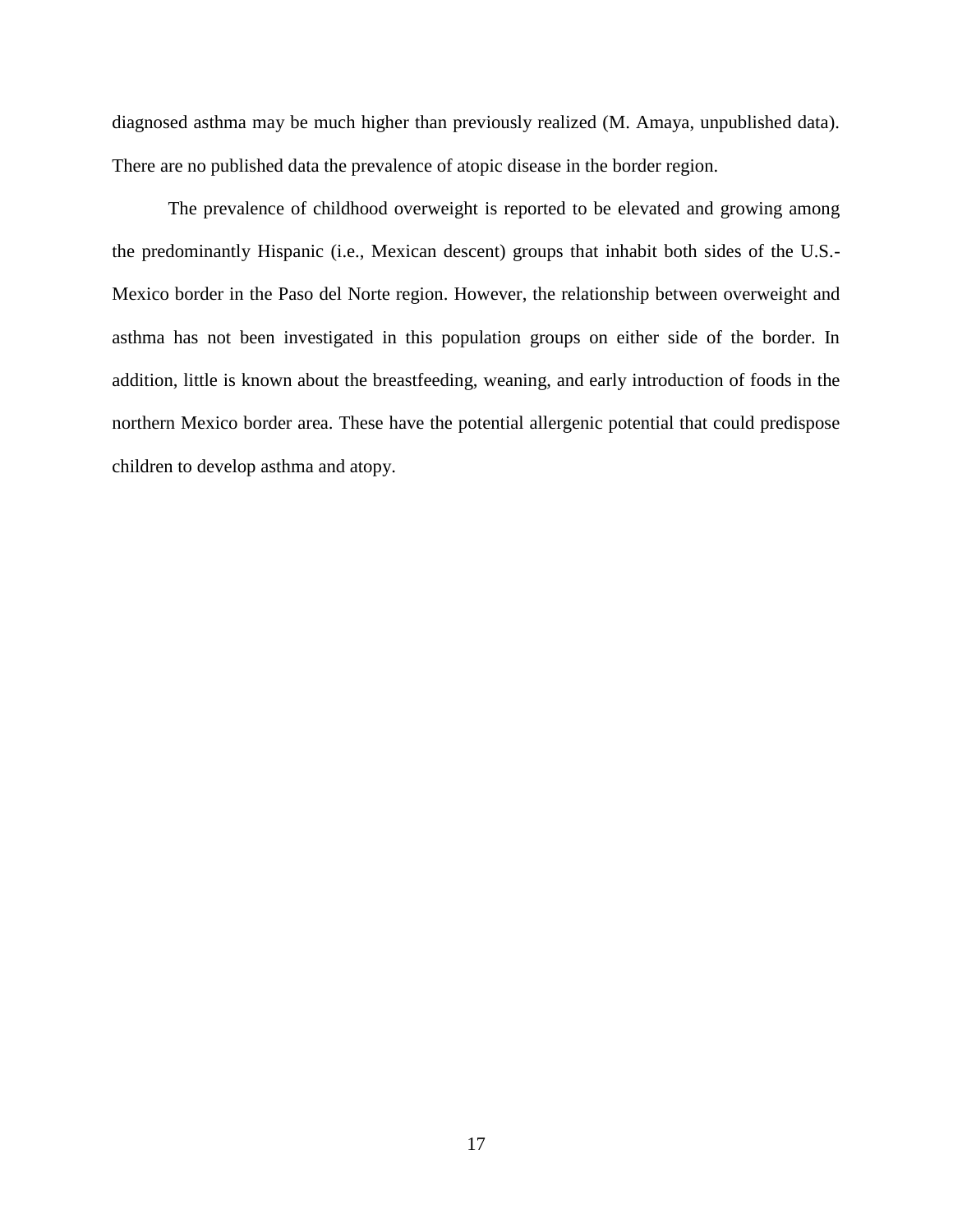diagnosed asthma may be much higher than previously realized (M. Amaya, unpublished data). There are no published data the prevalence of atopic disease in the border region.

 The prevalence of childhood overweight is reported to be elevated and growing among the predominantly Hispanic (i.e., Mexican descent) groups that inhabit both sides of the U.S.- Mexico border in the Paso del Norte region. However, the relationship between overweight and asthma has not been investigated in this population groups on either side of the border. In addition, little is known about the breastfeeding, weaning, and early introduction of foods in the northern Mexico border area. These have the potential allergenic potential that could predispose children to develop asthma and atopy.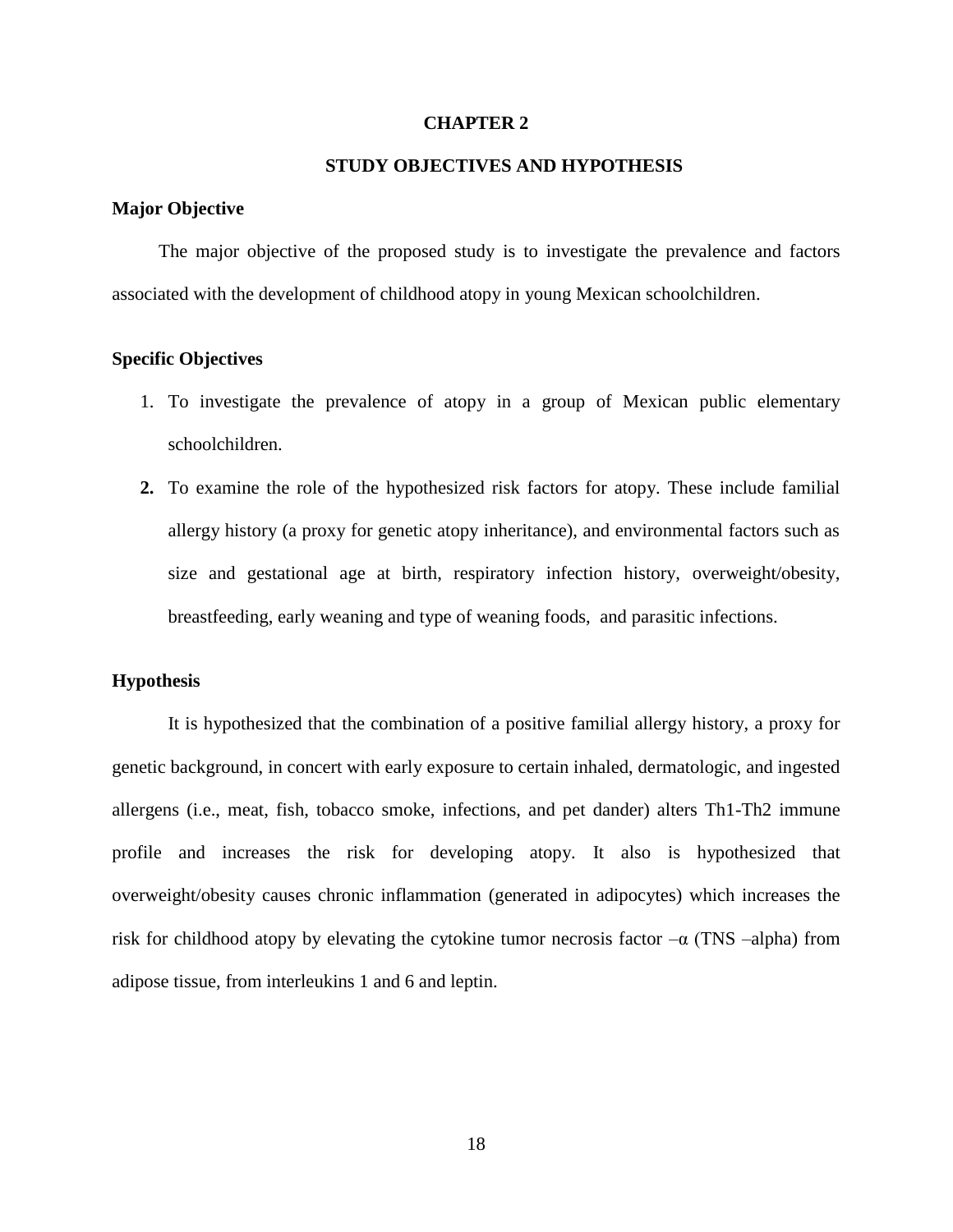#### **CHAPTER 2**

### **STUDY OBJECTIVES AND HYPOTHESIS**

#### **Major Objective**

 The major objective of the proposed study is to investigate the prevalence and factors associated with the development of childhood atopy in young Mexican schoolchildren.

## **Specific Objectives**

- 1. To investigate the prevalence of atopy in a group of Mexican public elementary schoolchildren.
- **2.** To examine the role of the hypothesized risk factors for atopy. These include familial allergy history (a proxy for genetic atopy inheritance), and environmental factors such as size and gestational age at birth, respiratory infection history, overweight/obesity, breastfeeding, early weaning and type of weaning foods, and parasitic infections.

#### **Hypothesis**

It is hypothesized that the combination of a positive familial allergy history, a proxy for genetic background, in concert with early exposure to certain inhaled, dermatologic, and ingested allergens (i.e., meat, fish, tobacco smoke, infections, and pet dander) alters Th1-Th2 immune profile and increases the risk for developing atopy. It also is hypothesized that overweight/obesity causes chronic inflammation (generated in adipocytes) which increases the risk for childhood atopy by elevating the cytokine tumor necrosis factor  $-\alpha$  (TNS –alpha) from adipose tissue, from interleukins 1 and 6 and leptin.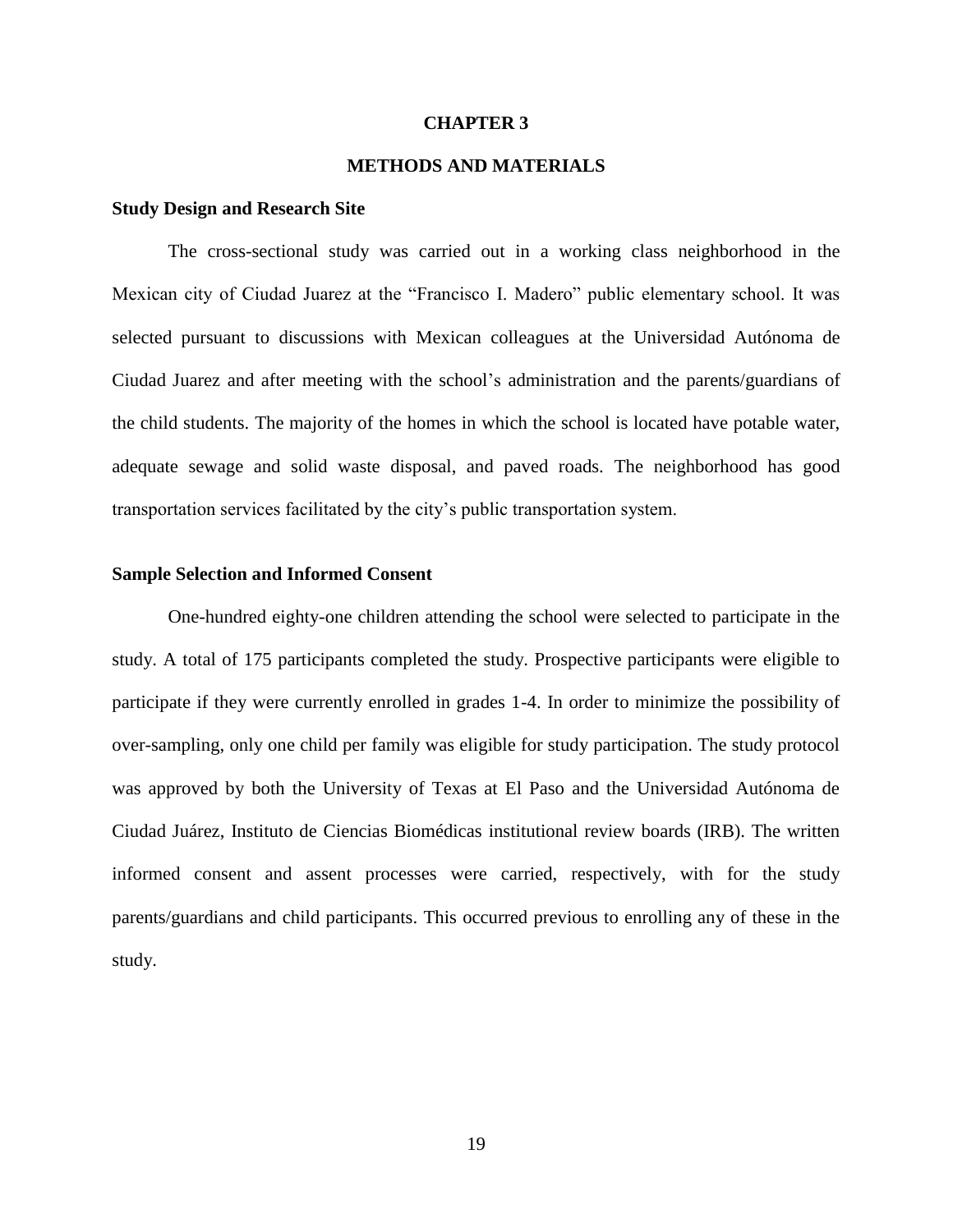#### **CHAPTER 3**

### **METHODS AND MATERIALS**

#### **Study Design and Research Site**

The cross-sectional study was carried out in a working class neighborhood in the Mexican city of Ciudad Juarez at the "Francisco I. Madero" public elementary school. It was selected pursuant to discussions with Mexican colleagues at the Universidad Autónoma de Ciudad Juarez and after meeting with the school's administration and the parents/guardians of the child students. The majority of the homes in which the school is located have potable water, adequate sewage and solid waste disposal, and paved roads. The neighborhood has good transportation services facilitated by the city's public transportation system.

#### **Sample Selection and Informed Consent**

 One-hundred eighty-one children attending the school were selected to participate in the study. A total of 175 participants completed the study. Prospective participants were eligible to participate if they were currently enrolled in grades 1-4. In order to minimize the possibility of over-sampling, only one child per family was eligible for study participation. The study protocol was approved by both the University of Texas at El Paso and the Universidad Autónoma de Ciudad Juárez, Instituto de Ciencias Biomédicas institutional review boards (IRB). The written informed consent and assent processes were carried, respectively, with for the study parents/guardians and child participants. This occurred previous to enrolling any of these in the study.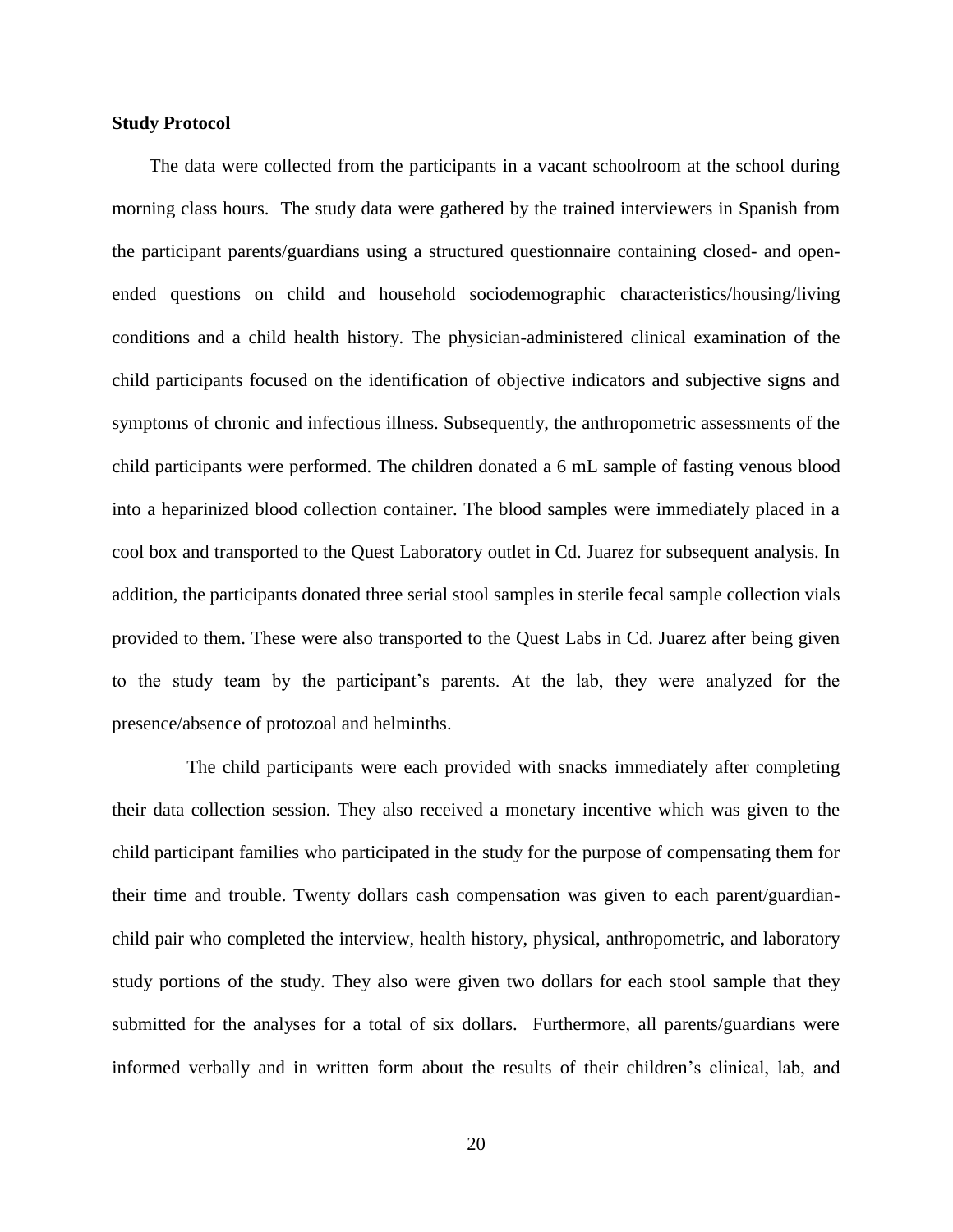#### **Study Protocol**

 The data were collected from the participants in a vacant schoolroom at the school during morning class hours. The study data were gathered by the trained interviewers in Spanish from the participant parents/guardians using a structured questionnaire containing closed- and openended questions on child and household sociodemographic characteristics/housing/living conditions and a child health history. The physician-administered clinical examination of the child participants focused on the identification of objective indicators and subjective signs and symptoms of chronic and infectious illness. Subsequently, the anthropometric assessments of the child participants were performed. The children donated a 6 mL sample of fasting venous blood into a heparinized blood collection container. The blood samples were immediately placed in a cool box and transported to the Quest Laboratory outlet in Cd. Juarez for subsequent analysis. In addition, the participants donated three serial stool samples in sterile fecal sample collection vials provided to them. These were also transported to the Quest Labs in Cd. Juarez after being given to the study team by the participant's parents. At the lab, they were analyzed for the presence/absence of protozoal and helminths.

 The child participants were each provided with snacks immediately after completing their data collection session. They also received a monetary incentive which was given to the child participant families who participated in the study for the purpose of compensating them for their time and trouble. Twenty dollars cash compensation was given to each parent/guardianchild pair who completed the interview, health history, physical, anthropometric, and laboratory study portions of the study. They also were given two dollars for each stool sample that they submitted for the analyses for a total of six dollars. Furthermore, all parents/guardians were informed verbally and in written form about the results of their children's clinical, lab, and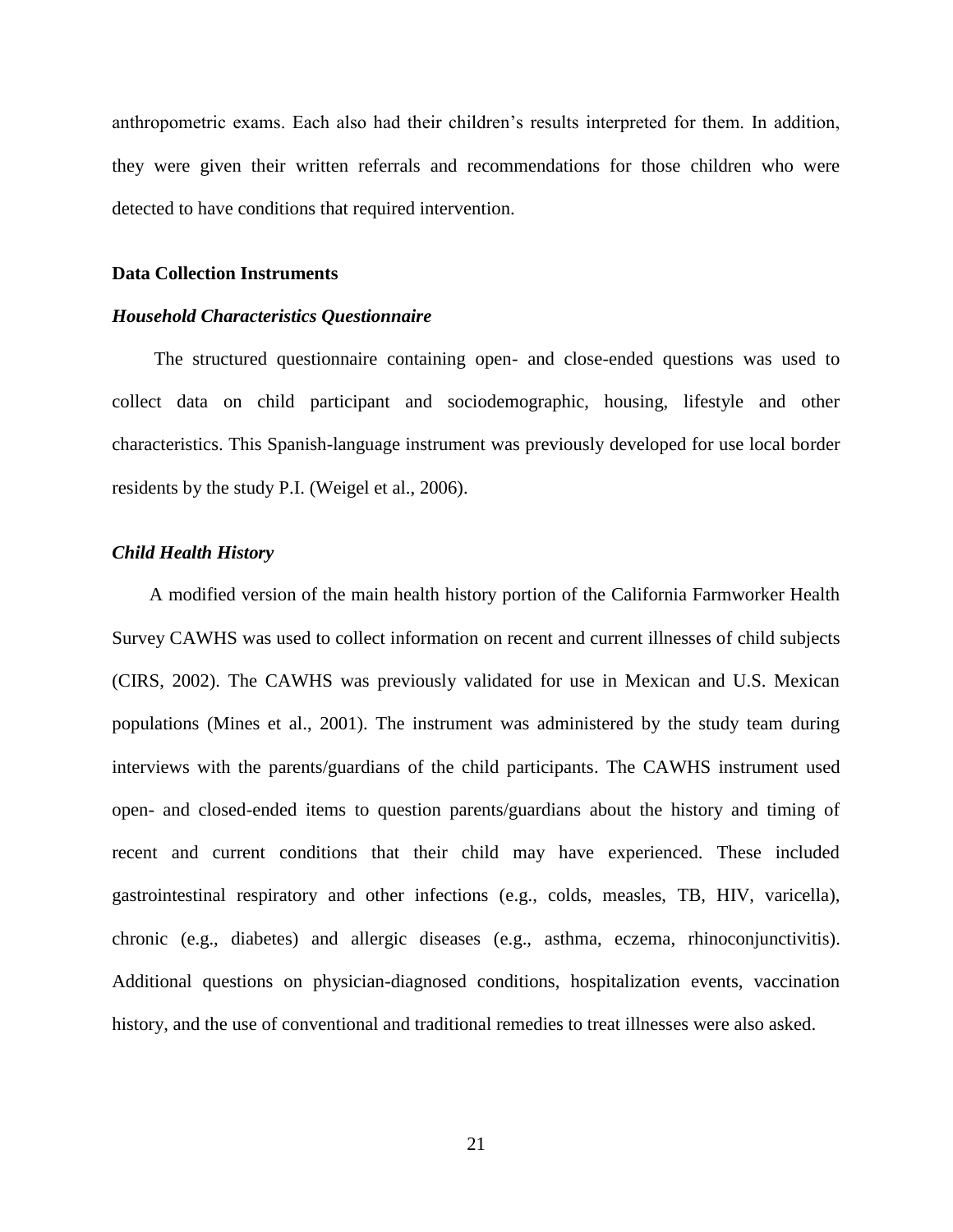anthropometric exams. Each also had their children's results interpreted for them. In addition, they were given their written referrals and recommendations for those children who were detected to have conditions that required intervention.

#### **Data Collection Instruments**

#### *Household Characteristics Questionnaire*

The structured questionnaire containing open- and close-ended questions was used to collect data on child participant and sociodemographic, housing, lifestyle and other characteristics. This Spanish-language instrument was previously developed for use local border residents by the study P.I. (Weigel et al., 2006).

#### *Child Health History*

 A modified version of the main health history portion of the California Farmworker Health Survey CAWHS was used to collect information on recent and current illnesses of child subjects (CIRS, 2002). The CAWHS was previously validated for use in Mexican and U.S. Mexican populations (Mines et al., 2001). The instrument was administered by the study team during interviews with the parents/guardians of the child participants. The CAWHS instrument used open- and closed-ended items to question parents/guardians about the history and timing of recent and current conditions that their child may have experienced. These included gastrointestinal respiratory and other infections (e.g., colds, measles, TB, HIV, varicella), chronic (e.g., diabetes) and allergic diseases (e.g., asthma, eczema, rhinoconjunctivitis). Additional questions on physician-diagnosed conditions, hospitalization events, vaccination history, and the use of conventional and traditional remedies to treat illnesses were also asked.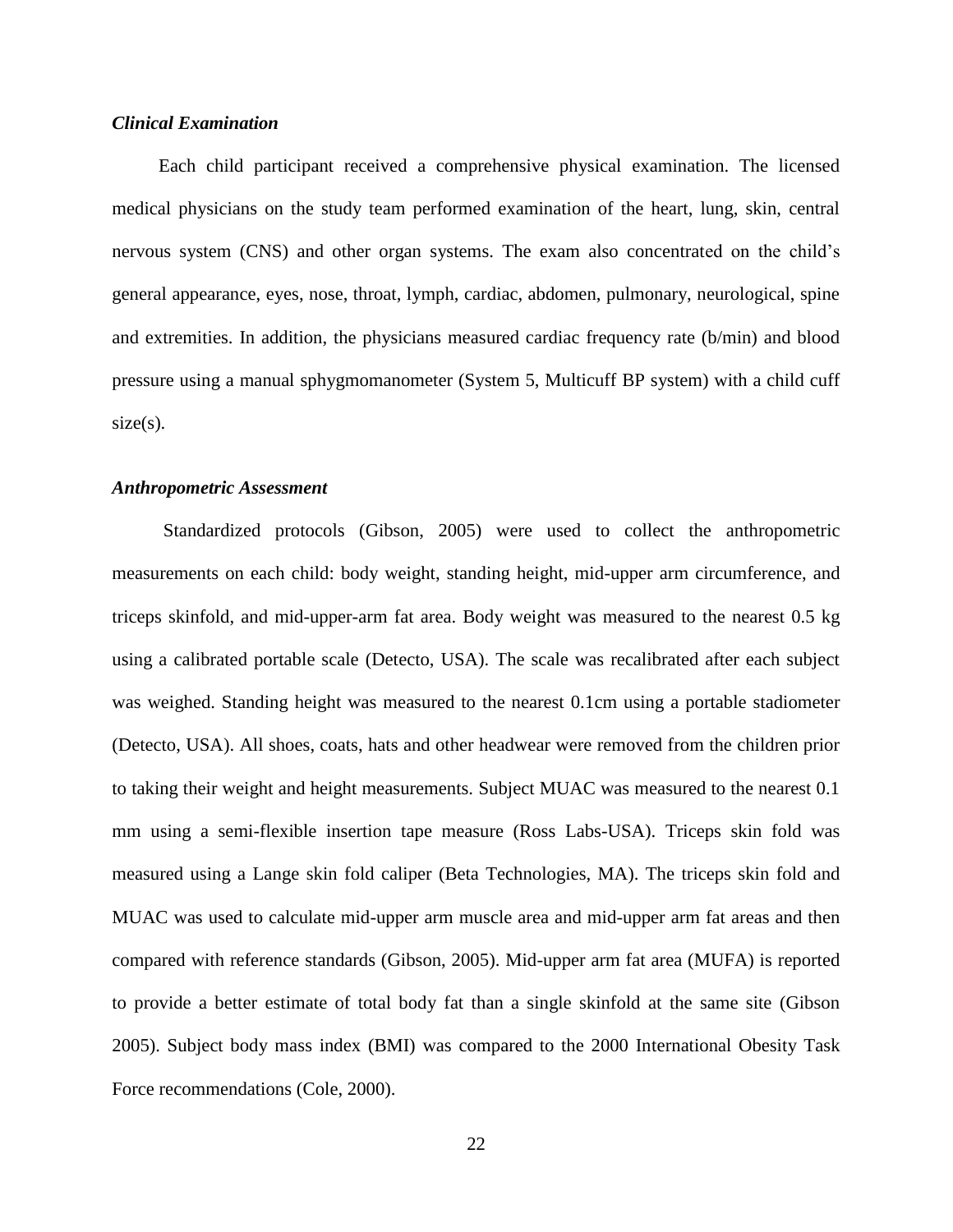#### *Clinical Examination*

 Each child participant received a comprehensive physical examination. The licensed medical physicians on the study team performed examination of the heart, lung, skin, central nervous system (CNS) and other organ systems. The exam also concentrated on the child's general appearance, eyes, nose, throat, lymph, cardiac, abdomen, pulmonary, neurological, spine and extremities. In addition, the physicians measured cardiac frequency rate (b/min) and blood pressure using a manual sphygmomanometer (System 5, Multicuff BP system) with a child cuff  $size(s)$ .

#### *Anthropometric Assessment*

Standardized protocols (Gibson, 2005) were used to collect the anthropometric measurements on each child: body weight, standing height, mid-upper arm circumference, and triceps skinfold, and mid-upper-arm fat area. Body weight was measured to the nearest 0.5 kg using a calibrated portable scale (Detecto, USA). The scale was recalibrated after each subject was weighed. Standing height was measured to the nearest 0.1cm using a portable stadiometer (Detecto, USA). All shoes, coats, hats and other headwear were removed from the children prior to taking their weight and height measurements. Subject MUAC was measured to the nearest 0.1 mm using a semi-flexible insertion tape measure (Ross Labs-USA). Triceps skin fold was measured using a Lange skin fold caliper (Beta Technologies, MA). The triceps skin fold and MUAC was used to calculate mid-upper arm muscle area and mid-upper arm fat areas and then compared with reference standards (Gibson, 2005). Mid-upper arm fat area (MUFA) is reported to provide a better estimate of total body fat than a single skinfold at the same site (Gibson 2005). Subject body mass index (BMI) was compared to the 2000 International Obesity Task Force recommendations (Cole, 2000).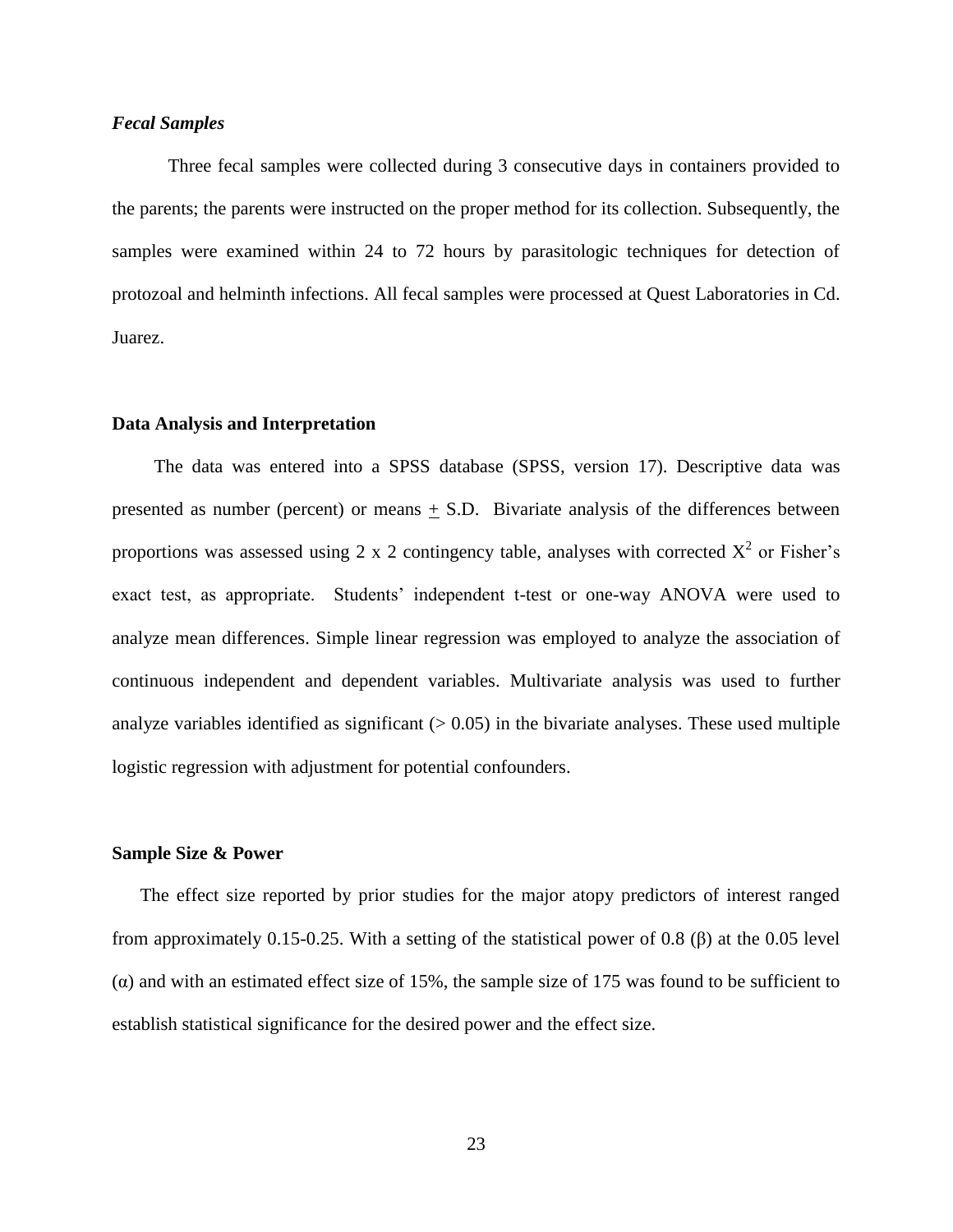#### *Fecal Samples*

Three fecal samples were collected during 3 consecutive days in containers provided to the parents; the parents were instructed on the proper method for its collection. Subsequently, the samples were examined within 24 to 72 hours by parasitologic techniques for detection of protozoal and helminth infections. All fecal samples were processed at Quest Laboratories in Cd. Juarez.

### **Data Analysis and Interpretation**

 The data was entered into a SPSS database (SPSS, version 17). Descriptive data was presented as number (percent) or means + S.D. Bivariate analysis of the differences between proportions was assessed using 2 x 2 contingency table, analyses with corrected  $X^2$  or Fisher's exact test, as appropriate. Students' independent t-test or one-way ANOVA were used to analyze mean differences. Simple linear regression was employed to analyze the association of continuous independent and dependent variables. Multivariate analysis was used to further analyze variables identified as significant  $(> 0.05)$  in the bivariate analyses. These used multiple logistic regression with adjustment for potential confounders.

#### **Sample Size & Power**

The effect size reported by prior studies for the major atopy predictors of interest ranged from approximately 0.15-0.25. With a setting of the statistical power of 0.8 (β) at the 0.05 level (α) and with an estimated effect size of 15%, the sample size of 175 was found to be sufficient to establish statistical significance for the desired power and the effect size.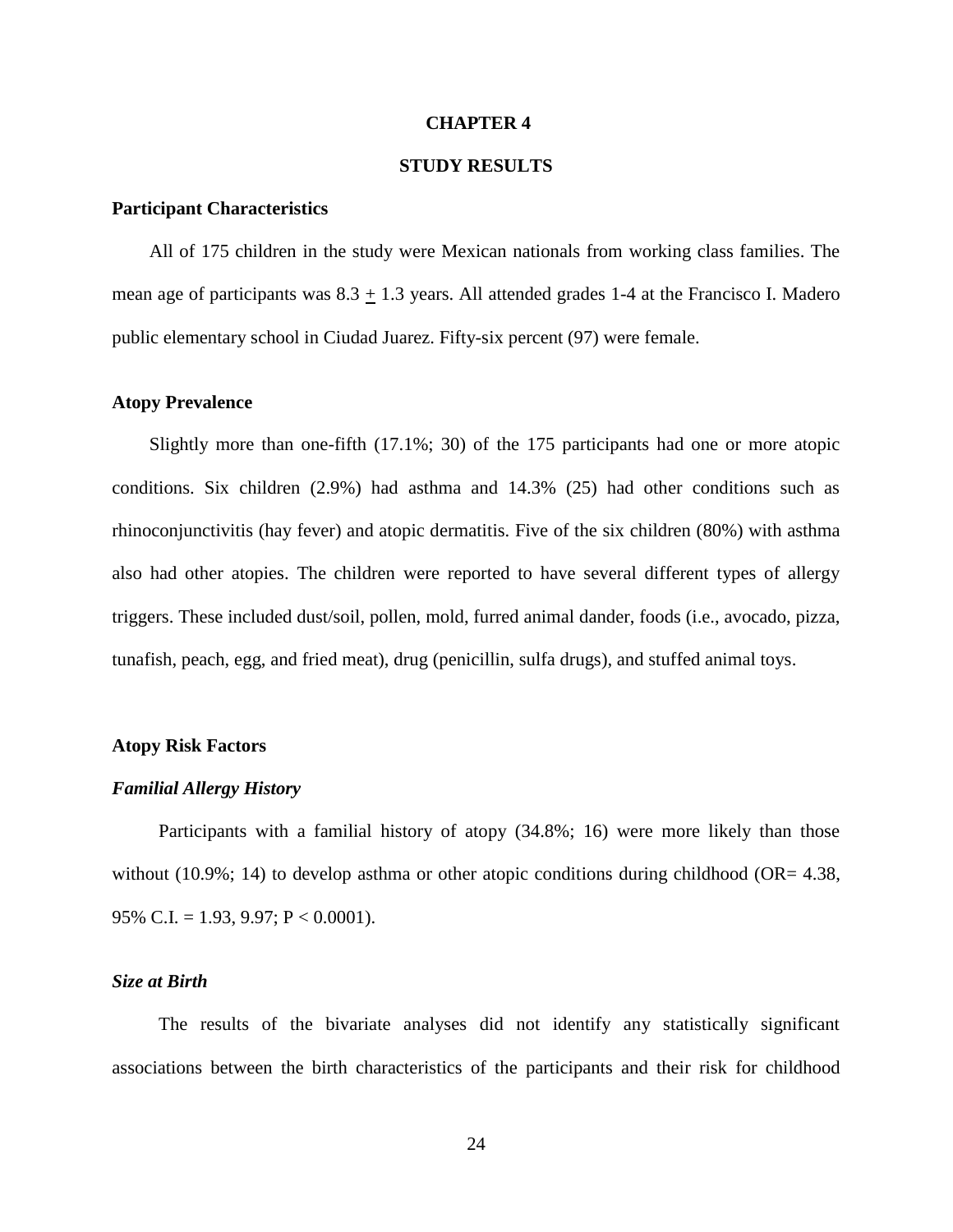#### **CHAPTER 4**

### **STUDY RESULTS**

#### **Participant Characteristics**

 All of 175 children in the study were Mexican nationals from working class families. The mean age of participants was  $8.3 \pm 1.3$  years. All attended grades 1-4 at the Francisco I. Madero public elementary school in Ciudad Juarez. Fifty-six percent (97) were female.

#### **Atopy Prevalence**

 Slightly more than one-fifth (17.1%; 30) of the 175 participants had one or more atopic conditions. Six children (2.9%) had asthma and 14.3% (25) had other conditions such as rhinoconjunctivitis (hay fever) and atopic dermatitis. Five of the six children (80%) with asthma also had other atopies. The children were reported to have several different types of allergy triggers. These included dust/soil, pollen, mold, furred animal dander, foods (i.e., avocado, pizza, tunafish, peach, egg, and fried meat), drug (penicillin, sulfa drugs), and stuffed animal toys.

#### **Atopy Risk Factors**

#### *Familial Allergy History*

 Participants with a familial history of atopy (34.8%; 16) were more likely than those without (10.9%; 14) to develop asthma or other atopic conditions during childhood (OR=  $4.38$ , 95% C.I. = 1.93, 9.97;  $P < 0.0001$ ).

#### *Size at Birth*

 The results of the bivariate analyses did not identify any statistically significant associations between the birth characteristics of the participants and their risk for childhood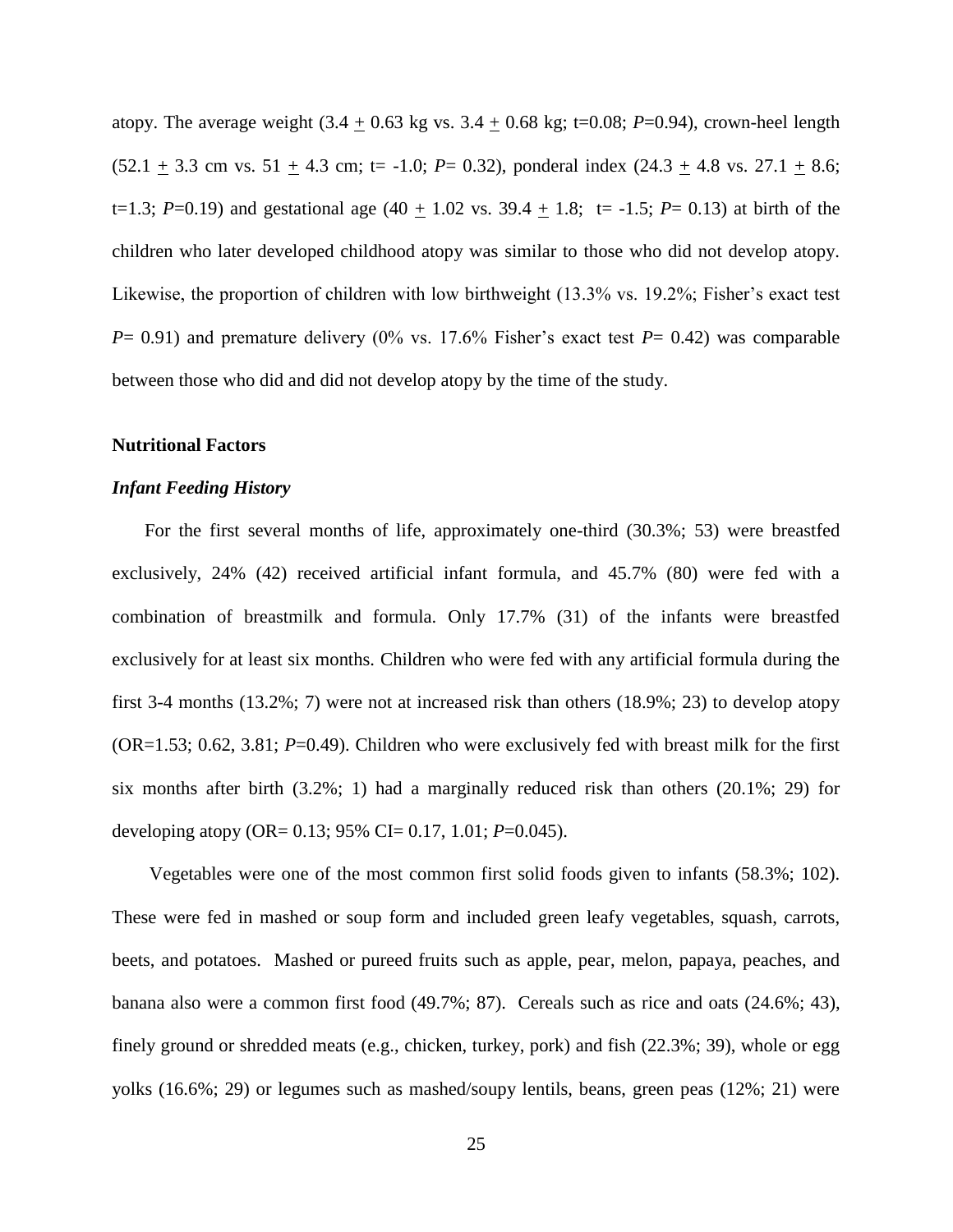atopy. The average weight  $(3.4 + 0.63 \text{ kg} \text{ vs. } 3.4 + 0.68 \text{ kg}; t=0.08; P=0.94)$ , crown-heel length  $(52.1 \pm 3.3 \text{ cm vs. } 51 \pm 4.3 \text{ cm}; t = -1.0; P = 0.32)$ , ponderal index  $(24.3 \pm 4.8 \text{ vs. } 27.1 \pm 8.6;$ t=1.3; *P*=0.19) and gestational age  $(40 + 1.02 \text{ vs. } 39.4 + 1.8; t= -1.5; P= 0.13)$  at birth of the children who later developed childhood atopy was similar to those who did not develop atopy. Likewise, the proportion of children with low birthweight (13.3% vs. 19.2%; Fisher's exact test  $P=$  0.91) and premature delivery (0% vs. 17.6% Fisher's exact test  $P=$  0.42) was comparable between those who did and did not develop atopy by the time of the study.

### **Nutritional Factors**

#### *Infant Feeding History*

 For the first several months of life, approximately one-third (30.3%; 53) were breastfed exclusively, 24% (42) received artificial infant formula, and 45.7% (80) were fed with a combination of breastmilk and formula. Only 17.7% (31) of the infants were breastfed exclusively for at least six months. Children who were fed with any artificial formula during the first 3-4 months (13.2%; 7) were not at increased risk than others (18.9%; 23) to develop atopy (OR=1.53; 0.62, 3.81; *P*=0.49). Children who were exclusively fed with breast milk for the first six months after birth  $(3.2\%; 1)$  had a marginally reduced risk than others  $(20.1\%; 29)$  for developing atopy (OR= 0.13; 95% CI= 0.17, 1.01; *P*=0.045).

 Vegetables were one of the most common first solid foods given to infants (58.3%; 102). These were fed in mashed or soup form and included green leafy vegetables, squash, carrots, beets, and potatoes. Mashed or pureed fruits such as apple, pear, melon, papaya, peaches, and banana also were a common first food (49.7%; 87). Cereals such as rice and oats (24.6%; 43), finely ground or shredded meats (e.g., chicken, turkey, pork) and fish (22.3%; 39), whole or egg yolks (16.6%; 29) or legumes such as mashed/soupy lentils, beans, green peas (12%; 21) were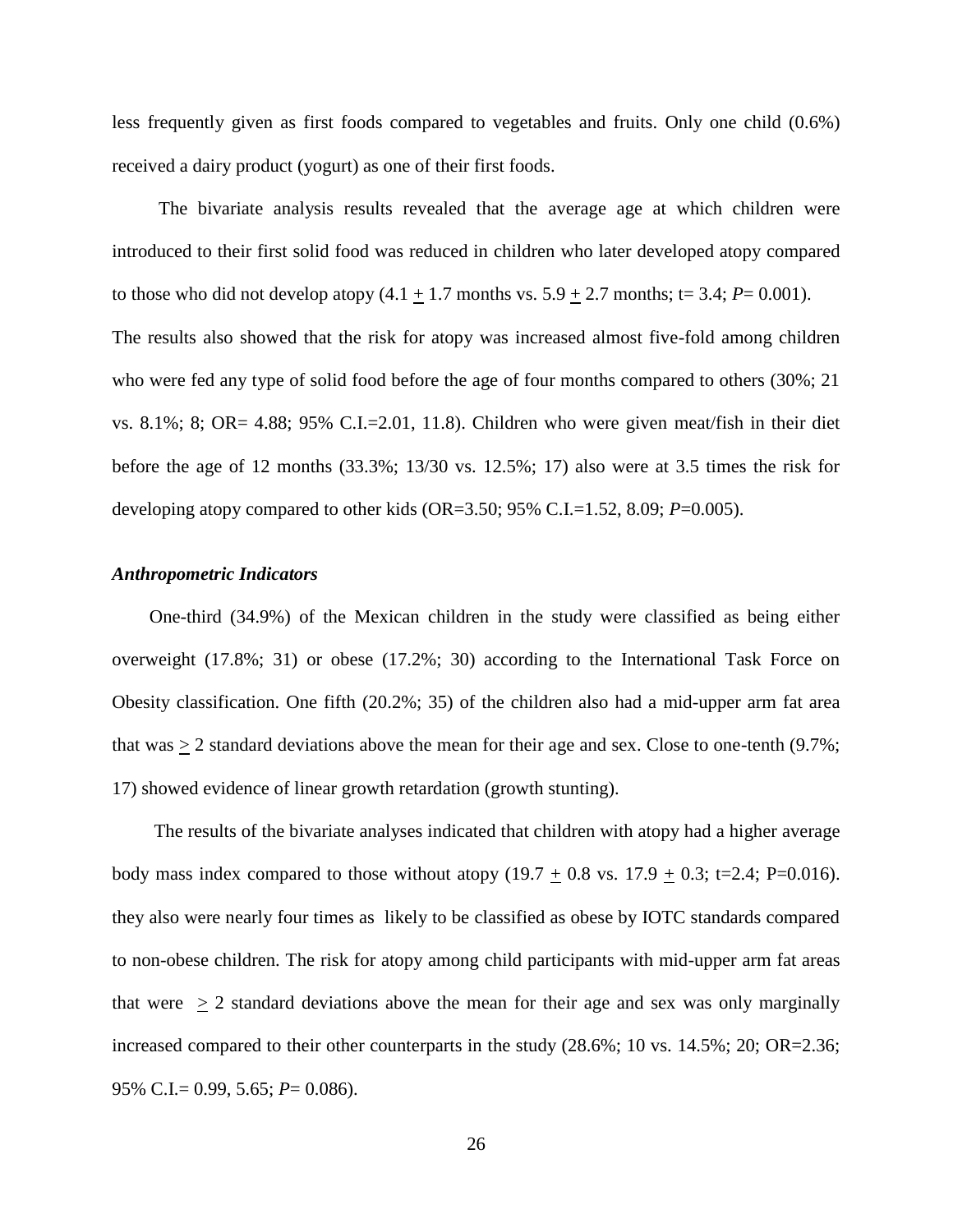less frequently given as first foods compared to vegetables and fruits. Only one child (0.6%) received a dairy product (yogurt) as one of their first foods.

 The bivariate analysis results revealed that the average age at which children were introduced to their first solid food was reduced in children who later developed atopy compared to those who did not develop atopy  $(4.1 + 1.7 \text{ months vs. } 5.9 + 2.7 \text{ months}; t = 3.4; P = 0.001)$ . The results also showed that the risk for atopy was increased almost five-fold among children who were fed any type of solid food before the age of four months compared to others (30%; 21 vs. 8.1%; 8; OR= 4.88;  $95\%$  C.I.=2.01, 11.8). Children who were given meat/fish in their diet before the age of 12 months (33.3%; 13/30 vs. 12.5%; 17) also were at 3.5 times the risk for developing atopy compared to other kids (OR=3.50; 95% C.I.=1.52, 8.09; *P*=0.005).

#### *Anthropometric Indicators*

 One-third (34.9%) of the Mexican children in the study were classified as being either overweight (17.8%; 31) or obese (17.2%; 30) according to the International Task Force on Obesity classification. One fifth (20.2%; 35) of the children also had a mid-upper arm fat area that was  $> 2$  standard deviations above the mean for their age and sex. Close to one-tenth (9.7%; 17) showed evidence of linear growth retardation (growth stunting).

 The results of the bivariate analyses indicated that children with atopy had a higher average body mass index compared to those without atopy  $(19.7 \pm 0.8 \text{ vs. } 17.9 \pm 0.3; \text{ t} = 2.4; \text{ P} = 0.016)$ . they also were nearly four times as likely to be classified as obese by IOTC standards compared to non-obese children. The risk for atopy among child participants with mid-upper arm fat areas that were  $\geq 2$  standard deviations above the mean for their age and sex was only marginally increased compared to their other counterparts in the study (28.6%; 10 vs. 14.5%; 20; OR=2.36; 95% C.I.= 0.99, 5.65; *P*= 0.086).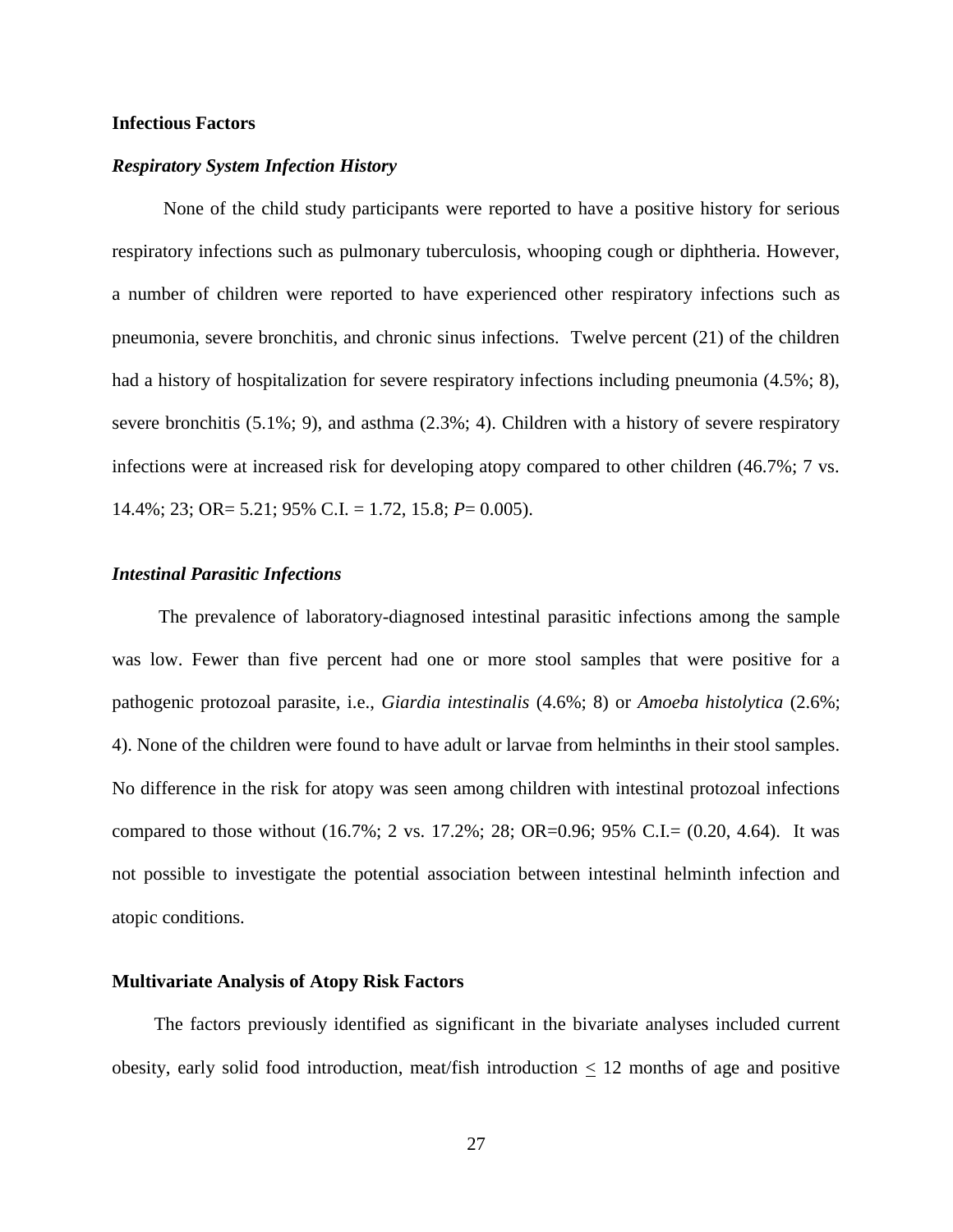#### **Infectious Factors**

#### *Respiratory System Infection History*

 None of the child study participants were reported to have a positive history for serious respiratory infections such as pulmonary tuberculosis, whooping cough or diphtheria. However, a number of children were reported to have experienced other respiratory infections such as pneumonia, severe bronchitis, and chronic sinus infections. Twelve percent (21) of the children had a history of hospitalization for severe respiratory infections including pneumonia (4.5%; 8), severe bronchitis (5.1%; 9), and asthma (2.3%; 4). Children with a history of severe respiratory infections were at increased risk for developing atopy compared to other children (46.7%; 7 vs. 14.4%; 23; OR= 5.21; 95% C.I. = 1.72, 15.8; *P*= 0.005).

#### *Intestinal Parasitic Infections*

 The prevalence of laboratory-diagnosed intestinal parasitic infections among the sample was low. Fewer than five percent had one or more stool samples that were positive for a pathogenic protozoal parasite, i.e., *Giardia intestinalis* (4.6%; 8) or *Amoeba histolytica* (2.6%; 4). None of the children were found to have adult or larvae from helminths in their stool samples. No difference in the risk for atopy was seen among children with intestinal protozoal infections compared to those without  $(16.7\%; 2 \text{ vs. } 17.2\%; 28; \text{ OR} = 0.96; 95\% \text{ C.I.} = (0.20, 4.64).$  It was not possible to investigate the potential association between intestinal helminth infection and atopic conditions.

#### **Multivariate Analysis of Atopy Risk Factors**

 The factors previously identified as significant in the bivariate analyses included current obesity, early solid food introduction, meat/fish introduction  $\leq 12$  months of age and positive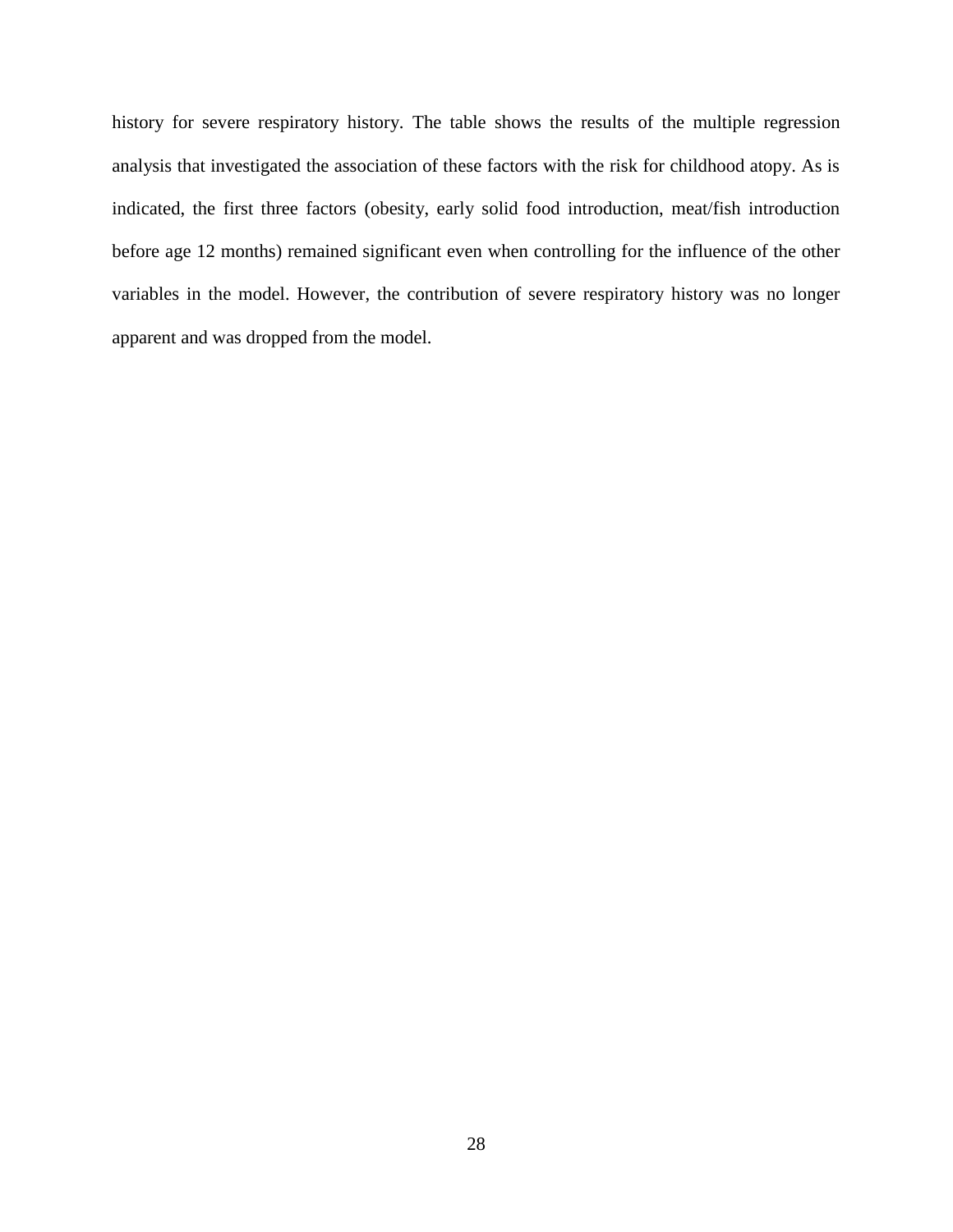history for severe respiratory history. The table shows the results of the multiple regression analysis that investigated the association of these factors with the risk for childhood atopy. As is indicated, the first three factors (obesity, early solid food introduction, meat/fish introduction before age 12 months) remained significant even when controlling for the influence of the other variables in the model. However, the contribution of severe respiratory history was no longer apparent and was dropped from the model.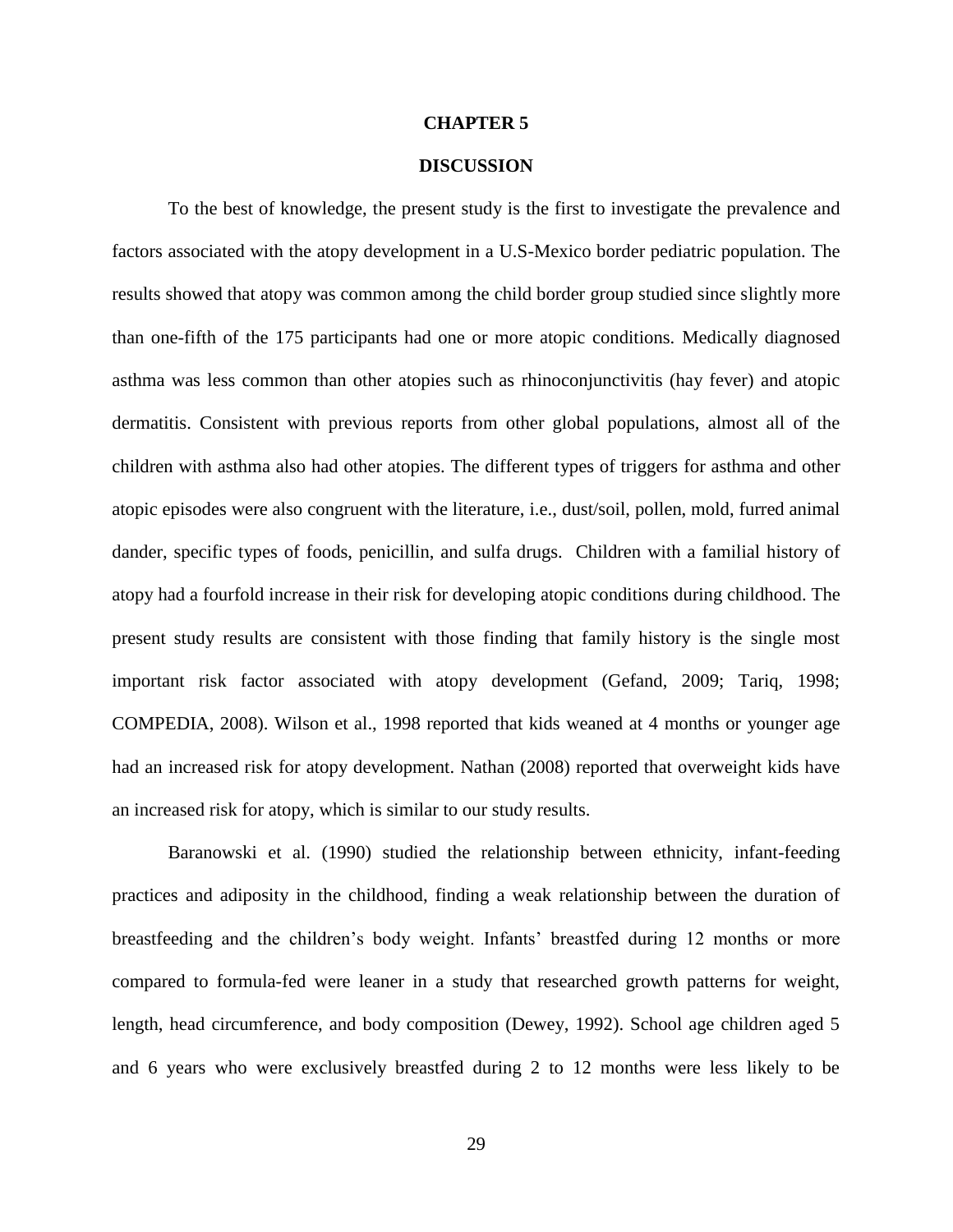#### **CHAPTER 5**

#### **DISCUSSION**

To the best of knowledge, the present study is the first to investigate the prevalence and factors associated with the atopy development in a U.S-Mexico border pediatric population. The results showed that atopy was common among the child border group studied since slightly more than one-fifth of the 175 participants had one or more atopic conditions. Medically diagnosed asthma was less common than other atopies such as rhinoconjunctivitis (hay fever) and atopic dermatitis. Consistent with previous reports from other global populations, almost all of the children with asthma also had other atopies. The different types of triggers for asthma and other atopic episodes were also congruent with the literature, i.e., dust/soil, pollen, mold, furred animal dander, specific types of foods, penicillin, and sulfa drugs. Children with a familial history of atopy had a fourfold increase in their risk for developing atopic conditions during childhood. The present study results are consistent with those finding that family history is the single most important risk factor associated with atopy development (Gefand, 2009; Tariq, 1998; COMPEDIA, 2008). Wilson et al., 1998 reported that kids weaned at 4 months or younger age had an increased risk for atopy development. Nathan (2008) reported that overweight kids have an increased risk for atopy, which is similar to our study results.

Baranowski et al. (1990) studied the relationship between ethnicity, infant-feeding practices and adiposity in the childhood, finding a weak relationship between the duration of breastfeeding and the children's body weight. Infants' breastfed during 12 months or more compared to formula-fed were leaner in a study that researched growth patterns for weight, length, head circumference, and body composition (Dewey, 1992). School age children aged 5 and 6 years who were exclusively breastfed during 2 to 12 months were less likely to be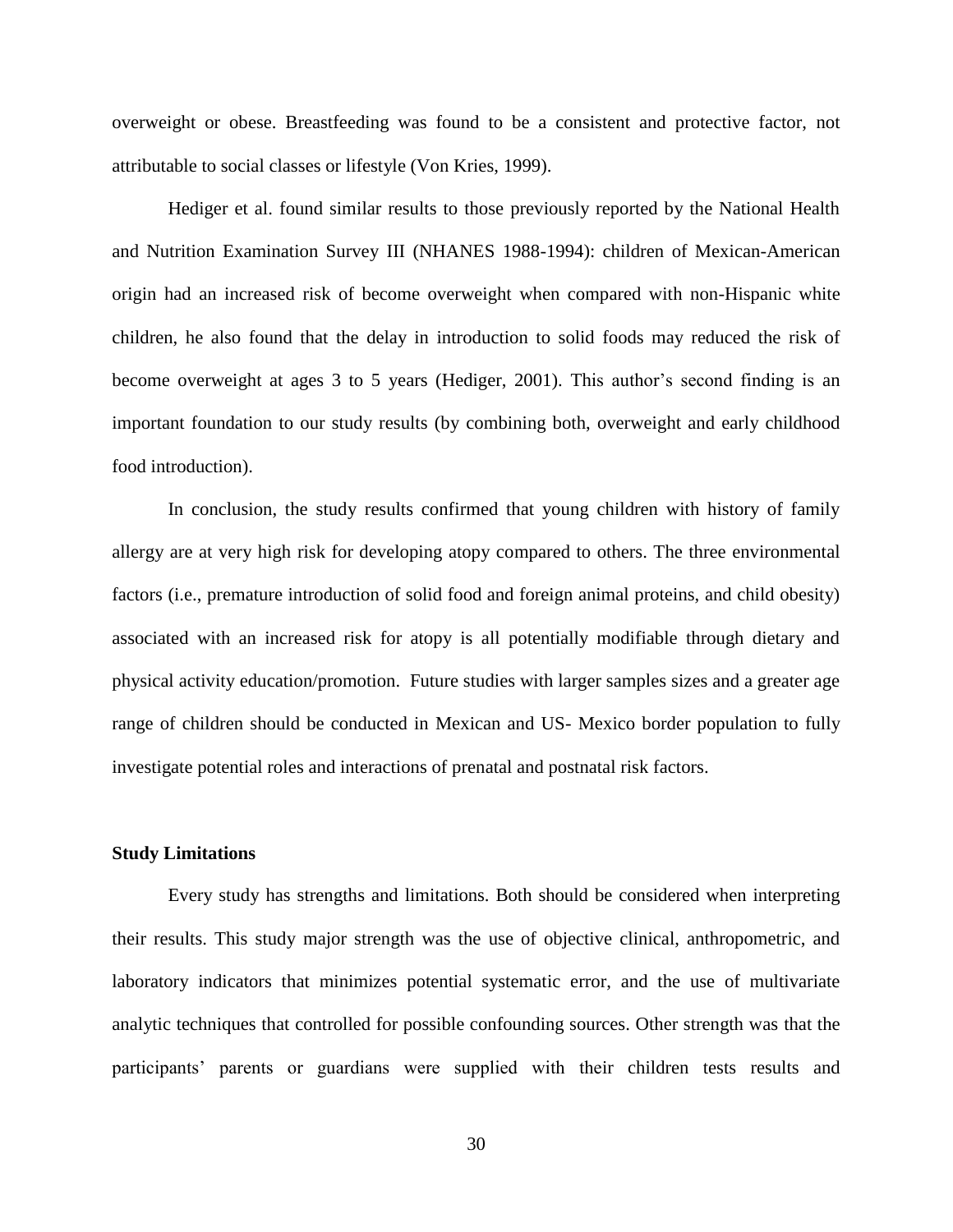overweight or obese. Breastfeeding was found to be a consistent and protective factor, not attributable to social classes or lifestyle (Von Kries, 1999).

Hediger et al. found similar results to those previously reported by the National Health and Nutrition Examination Survey III (NHANES 1988-1994): children of Mexican-American origin had an increased risk of become overweight when compared with non-Hispanic white children, he also found that the delay in introduction to solid foods may reduced the risk of become overweight at ages 3 to 5 years (Hediger, 2001). This author's second finding is an important foundation to our study results (by combining both, overweight and early childhood food introduction).

In conclusion, the study results confirmed that young children with history of family allergy are at very high risk for developing atopy compared to others. The three environmental factors (i.e., premature introduction of solid food and foreign animal proteins, and child obesity) associated with an increased risk for atopy is all potentially modifiable through dietary and physical activity education/promotion. Future studies with larger samples sizes and a greater age range of children should be conducted in Mexican and US- Mexico border population to fully investigate potential roles and interactions of prenatal and postnatal risk factors.

#### **Study Limitations**

Every study has strengths and limitations. Both should be considered when interpreting their results. This study major strength was the use of objective clinical, anthropometric, and laboratory indicators that minimizes potential systematic error, and the use of multivariate analytic techniques that controlled for possible confounding sources. Other strength was that the participants' parents or guardians were supplied with their children tests results and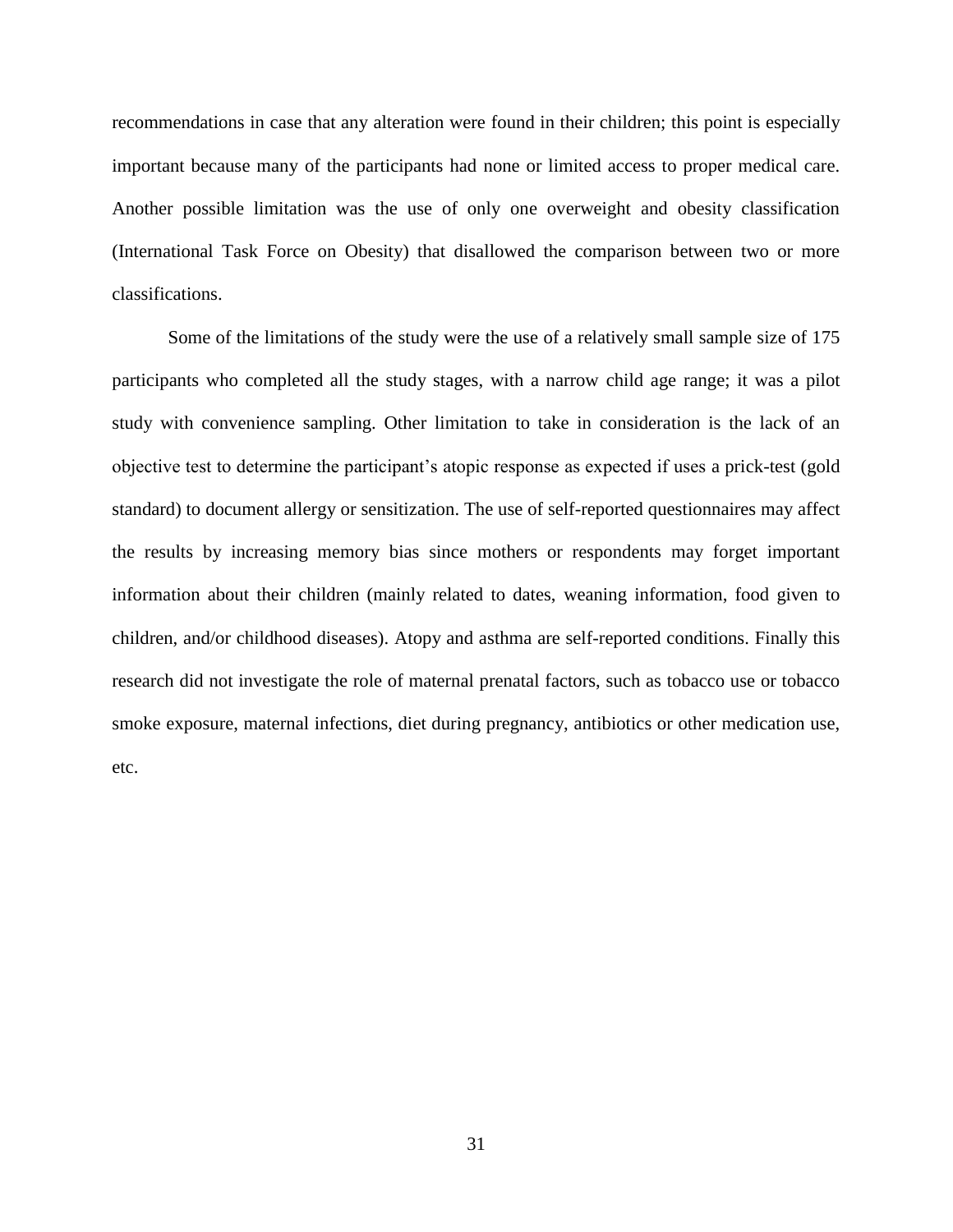recommendations in case that any alteration were found in their children; this point is especially important because many of the participants had none or limited access to proper medical care. Another possible limitation was the use of only one overweight and obesity classification (International Task Force on Obesity) that disallowed the comparison between two or more classifications.

Some of the limitations of the study were the use of a relatively small sample size of 175 participants who completed all the study stages, with a narrow child age range; it was a pilot study with convenience sampling. Other limitation to take in consideration is the lack of an objective test to determine the participant's atopic response as expected if uses a prick-test (gold standard) to document allergy or sensitization. The use of self-reported questionnaires may affect the results by increasing memory bias since mothers or respondents may forget important information about their children (mainly related to dates, weaning information, food given to children, and/or childhood diseases). Atopy and asthma are self-reported conditions. Finally this research did not investigate the role of maternal prenatal factors, such as tobacco use or tobacco smoke exposure, maternal infections, diet during pregnancy, antibiotics or other medication use, etc.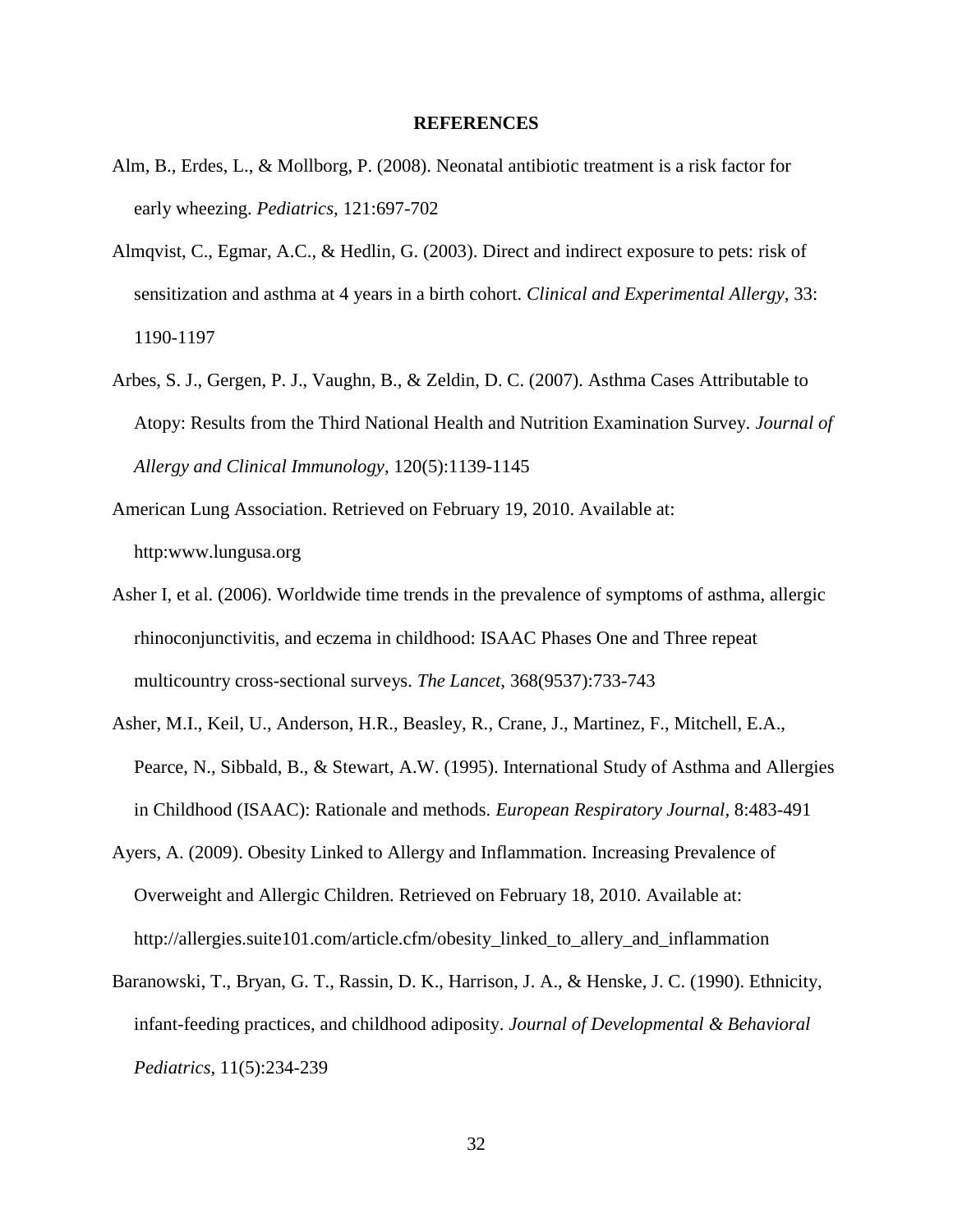#### **REFERENCES**

- Alm, B., Erdes, L., & Mollborg, P. (2008). Neonatal antibiotic treatment is a risk factor for early wheezing. *Pediatrics,* 121:697-702
- Almqvist, C., Egmar, A.C., & Hedlin, G. (2003). Direct and indirect exposure to pets: risk of sensitization and asthma at 4 years in a birth cohort. *Clinical and Experimental Allergy*, 33: 1190-1197
- Arbes, S. J., Gergen, P. J., Vaughn, B., & Zeldin, D. C. (2007). Asthma Cases Attributable to Atopy: Results from the Third National Health and Nutrition Examination Survey. *Journal of Allergy and Clinical Immunology*, 120(5):1139-1145
- American Lung Association. Retrieved on February 19, 2010. Available at: http:www.lungusa.org
- Asher I, et al. (2006). Worldwide time trends in the prevalence of symptoms of asthma, allergic rhinoconjunctivitis, and eczema in childhood: ISAAC Phases One and Three repeat multicountry cross-sectional surveys. *The Lancet,* 368(9537):733-743
- Asher, M.I., Keil, U., Anderson, H.R., Beasley, R., Crane, J., Martinez, F., Mitchell, E.A., Pearce, N., Sibbald, B., & Stewart, A.W. (1995). International Study of Asthma and Allergies in Childhood (ISAAC): Rationale and methods. *European Respiratory Journal,* 8:483-491
- Ayers, A. (2009). Obesity Linked to Allergy and Inflammation. Increasing Prevalence of Overweight and Allergic Children. Retrieved on February 18, 2010. Available at: http://allergies.suite101.com/article.cfm/obesity\_linked\_to\_allery\_and\_inflammation
- Baranowski, T., Bryan, G. T., Rassin, D. K., Harrison, J. A., & Henske, J. C. (1990). Ethnicity, infant-feeding practices, and childhood adiposity. *Journal of Developmental & Behavioral Pediatrics*, 11(5):234-239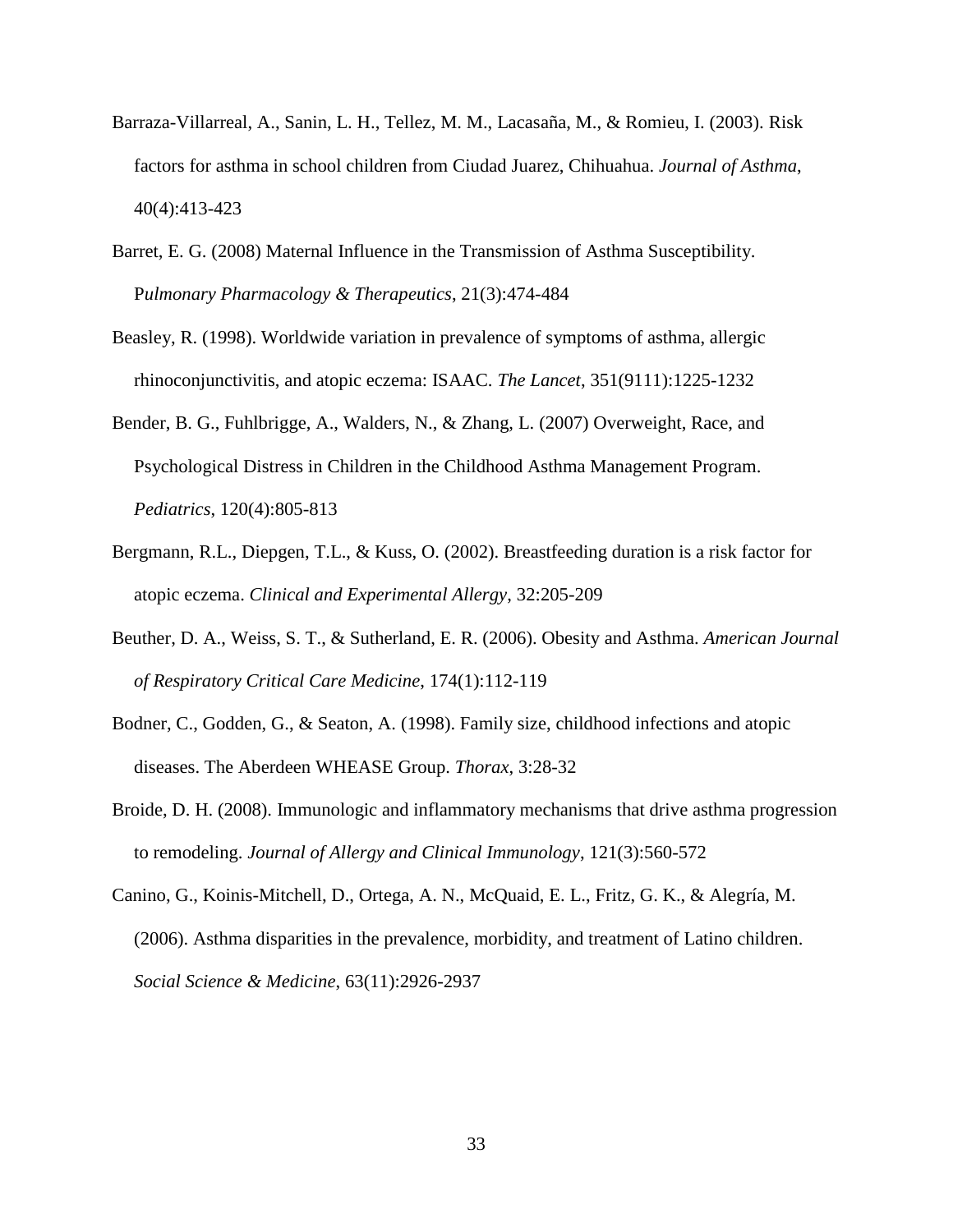- Barraza-Villarreal, A., Sanin, L. H., Tellez, M. M., Lacasaña, M., & Romieu, I. (2003). Risk factors for asthma in school children from Ciudad Juarez, Chihuahua. *Journal of Asthma*, 40(4):413-423
- Barret, E. G. (2008) Maternal Influence in the Transmission of Asthma Susceptibility. P*ulmonary Pharmacology & Therapeutics*, 21(3):474-484
- Beasley, R. (1998). Worldwide variation in prevalence of symptoms of asthma, allergic rhinoconjunctivitis, and atopic eczema: ISAAC. *The Lancet*, 351(9111):1225-1232
- Bender, B. G., Fuhlbrigge, A., Walders, N., & Zhang, L. (2007) Overweight, Race, and Psychological Distress in Children in the Childhood Asthma Management Program. *Pediatrics*, 120(4):805-813
- Bergmann, R.L., Diepgen, T.L., & Kuss, O. (2002). Breastfeeding duration is a risk factor for atopic eczema. *Clinical and Experimental Allergy*, 32:205-209
- Beuther, D. A., Weiss, S. T., & Sutherland, E. R. (2006). Obesity and Asthma. *American Journal of Respiratory Critical Care Medicine*, 174(1):112-119
- Bodner, C., Godden, G., & Seaton, A. (1998). Family size, childhood infections and atopic diseases. The Aberdeen WHEASE Group. *Thorax*, 3:28-32
- Broide, D. H. (2008). Immunologic and inflammatory mechanisms that drive asthma progression to remodeling. *Journal of Allergy and Clinical Immunology*, 121(3):560-572
- Canino, G., Koinis-Mitchell, D., Ortega, A. N., McQuaid, E. L., Fritz, G. K., & Alegría, M. (2006). Asthma disparities in the prevalence, morbidity, and treatment of Latino children. *Social Science & Medicine*, 63(11):2926-2937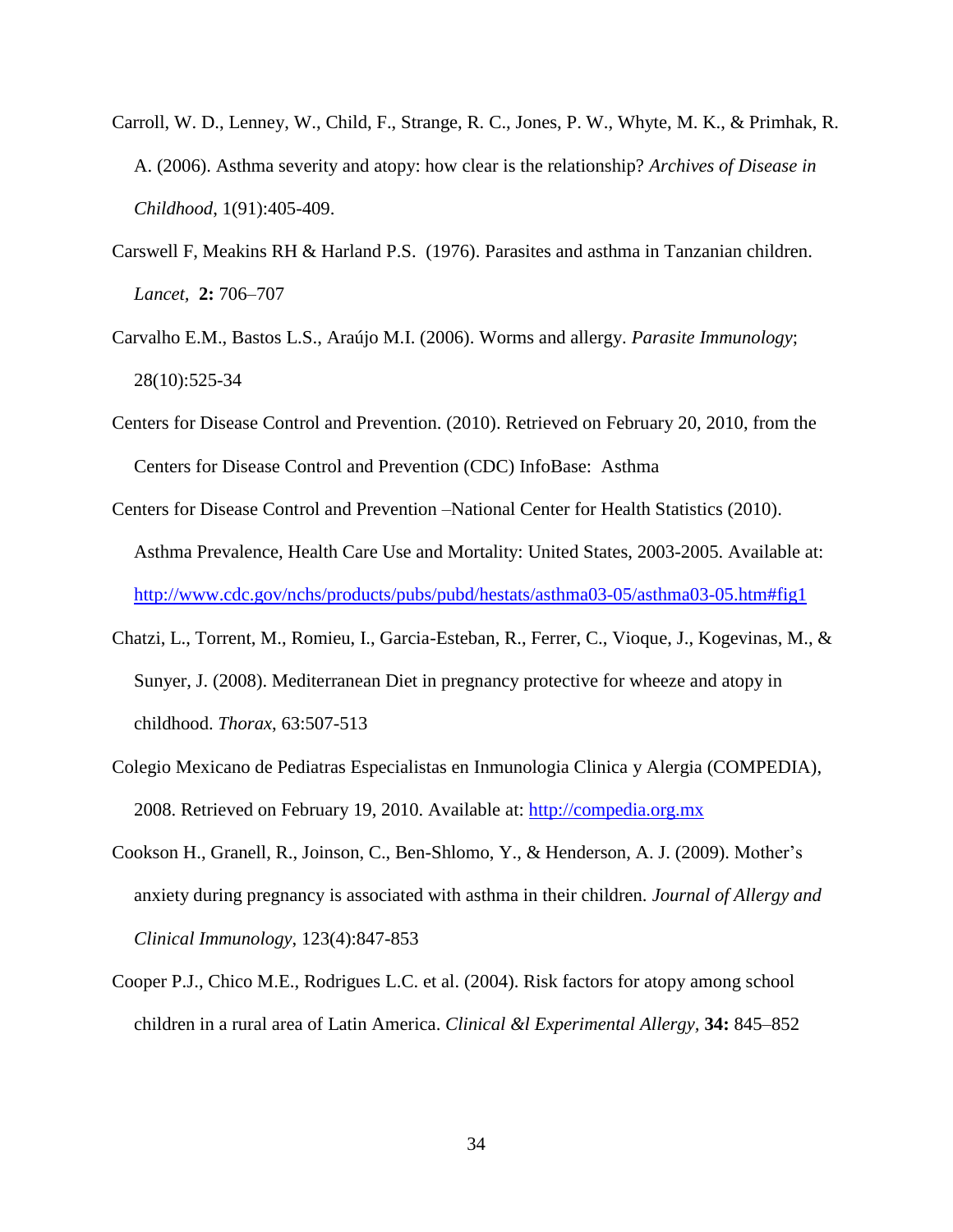- Carroll, W. D., Lenney, W., Child, F., Strange, R. C., Jones, P. W., Whyte, M. K., & Primhak, R. A. (2006). Asthma severity and atopy: how clear is the relationship? *Archives of Disease in Childhood*, 1(91):405-409.
- Carswell F, Meakins RH & Harland P.S. (1976). Parasites and asthma in Tanzanian children. *Lancet,* **2:** 706–707
- [Carvalho E.M.](http://www.ncbi.nlm.nih.gov/pubmed?term=%22Carvalho%20EM%22%5BAuthor%5D), [Bastos L.S.](http://www.ncbi.nlm.nih.gov/pubmed?term=%22Bastos%20LS%22%5BAuthor%5D), [Araújo M.I.](http://www.ncbi.nlm.nih.gov/pubmed?term=%22Ara%C3%BAjo%20MI%22%5BAuthor%5D) (2006). Worms and allergy. *[Parasite Immunology](javascript:AL_get(this,%20)*; 28(10):525-34
- Centers for Disease Control and Prevention. (2010). Retrieved on February 20, 2010, from the Centers for Disease Control and Prevention (CDC) InfoBase: Asthma
- Centers for Disease Control and Prevention –National Center for Health Statistics (2010). Asthma Prevalence, Health Care Use and Mortality: United States, 2003-2005. Available at: <http://www.cdc.gov/nchs/products/pubs/pubd/hestats/asthma03-05/asthma03-05.htm#fig1>
- Chatzi, L., Torrent, M., Romieu, I., Garcia-Esteban, R., Ferrer, C., Vioque, J., Kogevinas, M., & Sunyer, J. (2008). Mediterranean Diet in pregnancy protective for wheeze and atopy in childhood. *Thorax*, 63:507-513
- Colegio Mexicano de Pediatras Especialistas en Inmunologia Clinica y Alergia (COMPEDIA), 2008. Retrieved on February 19, 2010. Available at: [http://compedia.org.mx](http://compedia.org.mx/)
- Cookson H., Granell, R., Joinson, C., Ben-Shlomo, Y., & Henderson, A. J. (2009). Mother's anxiety during pregnancy is associated with asthma in their children. *Journal of Allergy and Clinical Immunology*, 123(4):847-853
- Cooper P.J., Chico M.E., Rodrigues L.C. et al. (2004). Risk factors for atopy among school children in a rural area of Latin America. *Clinical &l Experimental Allergy,* **34:** 845–852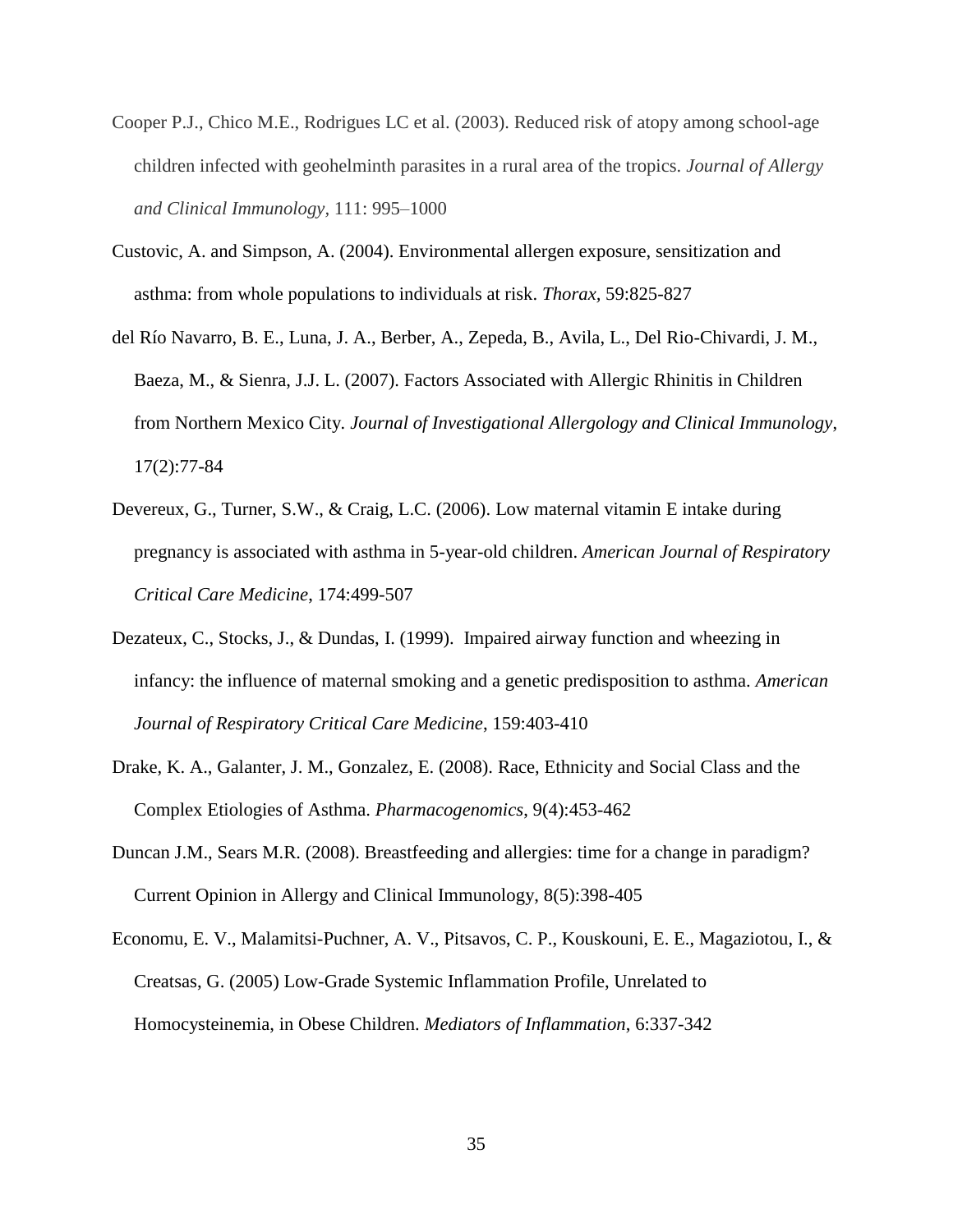- Cooper P.J., Chico M.E., Rodrigues LC et al. (2003). Reduced risk of atopy among school-age children infected with geohelminth parasites in a rural area of the tropics. *Journal of Allergy and Clinical Immunology,* 111: 995–1000
- Custovic, A. and Simpson, A. (2004). Environmental allergen exposure, sensitization and asthma: from whole populations to individuals at risk. *Thorax,* 59:825-827
- del Río Navarro, B. E., Luna, J. A., Berber, A., Zepeda, B., Avila, L., Del Rio-Chivardi, J. M., Baeza, M., & Sienra, J.J. L. (2007). Factors Associated with Allergic Rhinitis in Children from Northern Mexico City*. Journal of Investigational Allergology and Clinical Immunology*, 17(2):77-84
- Devereux, G., Turner, S.W., & Craig, L.C. (2006). Low maternal vitamin E intake during pregnancy is associated with asthma in 5-year-old children. *American Journal of Respiratory Critical Care Medicine*, 174:499-507
- Dezateux, C., Stocks, J., & Dundas, I. (1999). Impaired airway function and wheezing in infancy: the influence of maternal smoking and a genetic predisposition to asthma. *American Journal of Respiratory Critical Care Medicine*, 159:403-410
- Drake, K. A., Galanter, J. M., Gonzalez, E. (2008). Race, Ethnicity and Social Class and the Complex Etiologies of Asthma. *Pharmacogenomics*, 9(4):453-462
- Duncan J.M., Sears M.R. (2008). [Breastfeeding and allergies: time for a change in paradigm?](http://www.ncbi.nlm.nih.gov/pubmed/18769191) Current Opinion in Allergy and Clinical Immunology, 8(5):398-405
- Economu, E. V., Malamitsi-Puchner, A. V., Pitsavos, C. P., Kouskouni, E. E., Magaziotou, I., & Creatsas, G. (2005) Low-Grade Systemic Inflammation Profile, Unrelated to Homocysteinemia, in Obese Children. *Mediators of Inflammation*, 6:337-342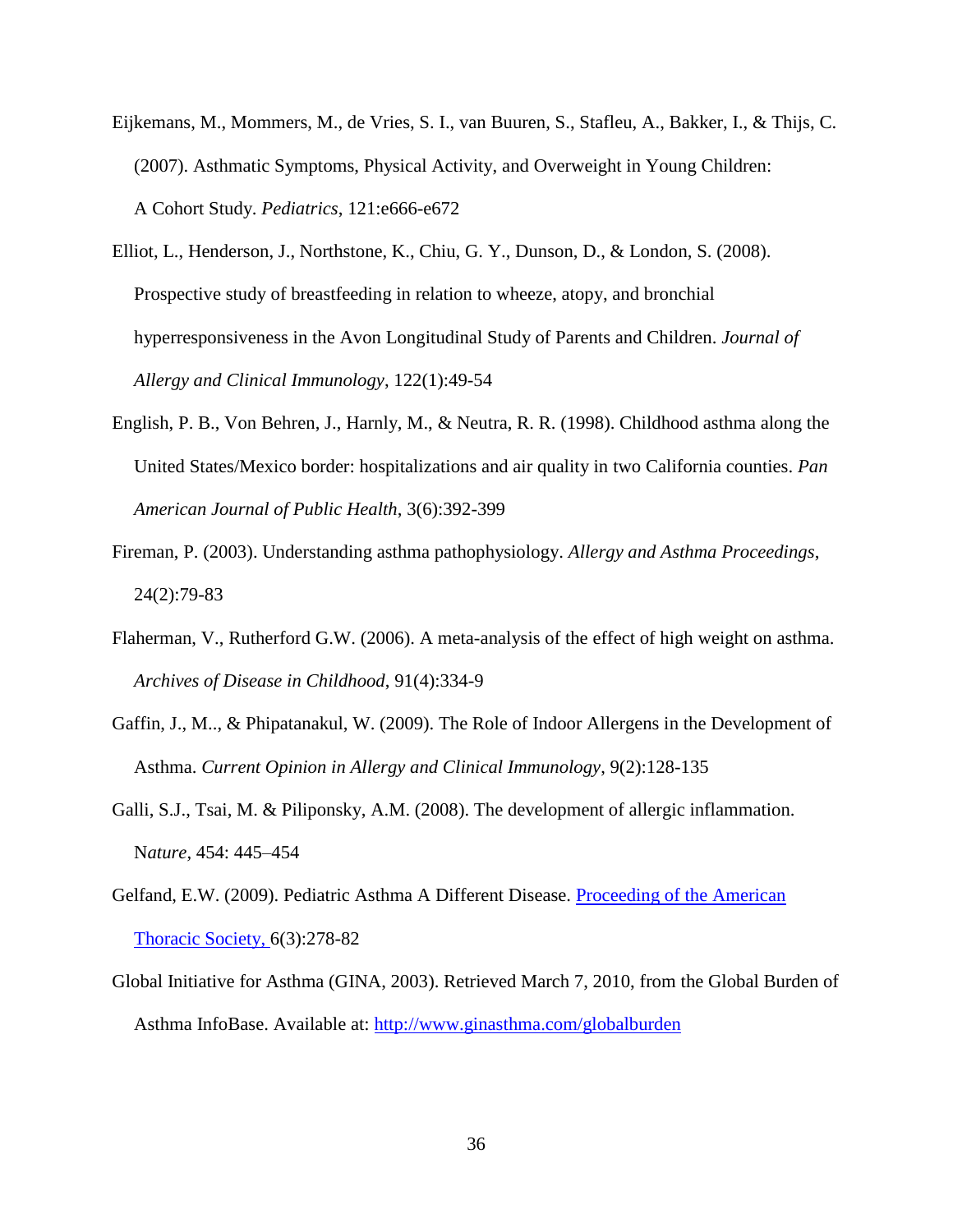- Eijkemans, M., Mommers, M., de Vries, S. I., van Buuren, S., Stafleu, A., Bakker, I., & Thijs, C. (2007). Asthmatic Symptoms, Physical Activity, and Overweight in Young Children: A Cohort Study. *Pediatrics*, 121:e666-e672
- Elliot, L., Henderson, J., Northstone, K., Chiu, G. Y., Dunson, D., & London, S. (2008). Prospective study of breastfeeding in relation to wheeze, atopy, and bronchial hyperresponsiveness in the Avon Longitudinal Study of Parents and Children. *Journal of Allergy and Clinical Immunology*, 122(1):49-54
- English, P. B., Von Behren, J., Harnly, M., & Neutra, R. R. (1998). Childhood asthma along the United States/Mexico border: hospitalizations and air quality in two California counties. *Pan American Journal of Public Health*, 3(6):392-399
- Fireman, P. (2003). Understanding asthma pathophysiology. *Allergy and Asthma Proceedings*, 24(2):79-83
- Flaherman, V., Rutherford G.W. (2006). [A meta-analysis of the effect of high weight on asthma.](http://www.ncbi.nlm.nih.gov/pubmed/16428358) *Archives of Disease in Childhood*, 91(4):334-9
- Gaffin, J., M.., & Phipatanakul, W. (2009). The Role of Indoor Allergens in the Development of Asthma. *Current Opinion in Allergy and Clinical Immunology*, 9(2):128-135
- Galli, S.J., Tsai, M. & Piliponsky, A.M. (2008). The development of allergic inflammation. N*ature,* 454: 445–454
- Gelfand, E.W. (2009). Pediatric Asthma A Different Disease. [Proceeding of the American](javascript:AL_get(this,%20)  [Thoracic Society, 6](javascript:AL_get(this,%20)(3):278-82
- Global Initiative for Asthma (GINA, 2003). Retrieved March 7, 2010, from the Global Burden of Asthma InfoBase. Available at:<http://www.ginasthma.com/globalburden>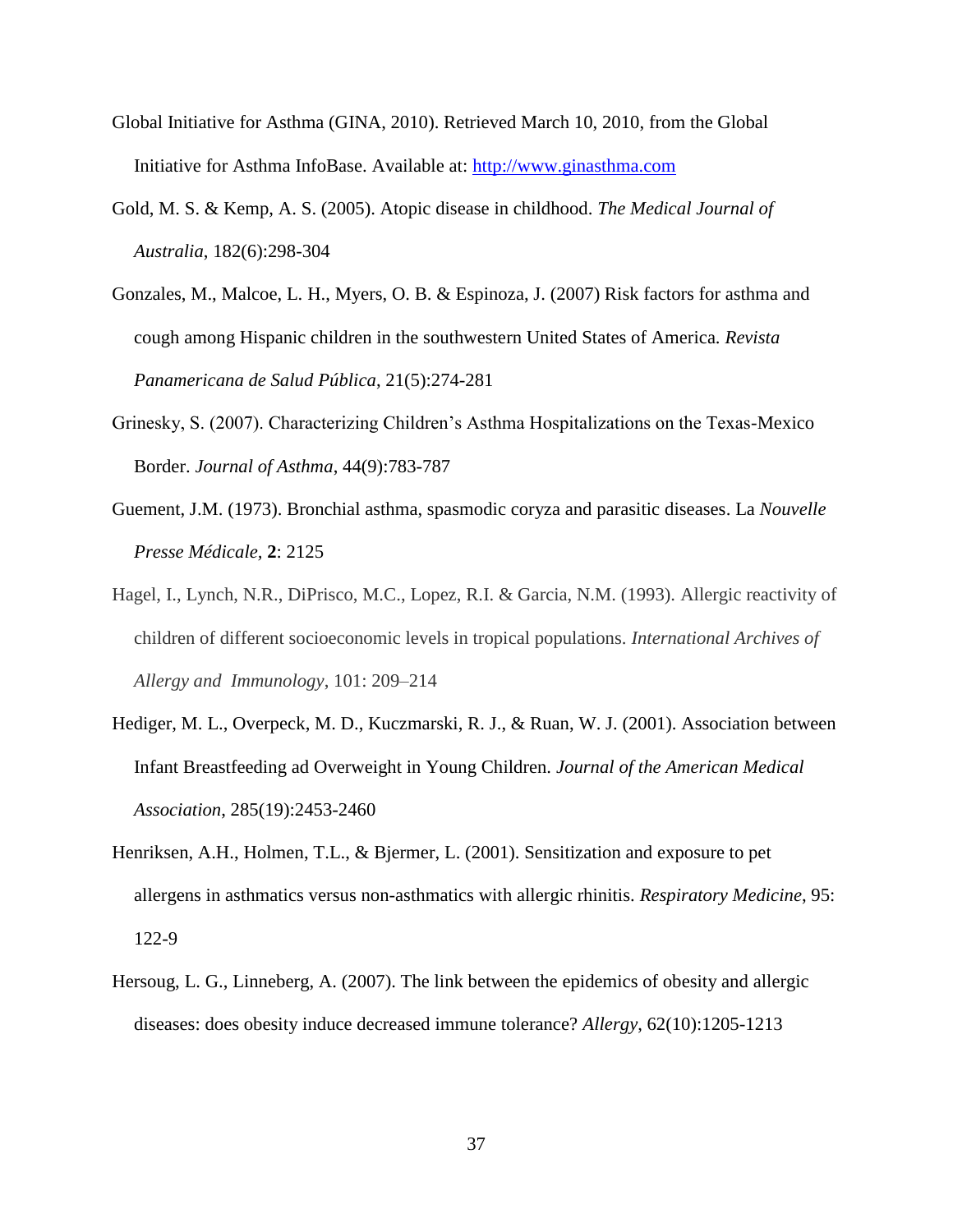- Global Initiative for Asthma (GINA, 2010). Retrieved March 10, 2010, from the Global Initiative for Asthma InfoBase. Available at: [http://www.ginasthma.com](http://www.ginasthma.com/)
- Gold, M. S. & Kemp, A. S. (2005). Atopic disease in childhood. *The Medical Journal of Australia*, 182(6):298-304
- Gonzales, M., Malcoe, L. H., Myers, O. B. & Espinoza, J. (2007) Risk factors for asthma and cough among Hispanic children in the southwestern United States of America. *Revista Panamericana de Salud Pública*, 21(5):274-281
- Grinesky, S. (2007). Characterizing Children's Asthma Hospitalizations on the Texas-Mexico Border. *Journal of Asthma*, 44(9):783-787
- Guement, J.M. (1973). Bronchial asthma, spasmodic coryza and parasitic diseases. La *Nouvelle Presse Médicale,* **2**: 2125
- Hagel, I., Lynch, N.R., DiPrisco, M.C., Lopez, R.I. & Garcia, N.M. (1993). Allergic reactivity of children of different socioeconomic levels in tropical populations. *International Archives of Allergy and Immunology*, 101: 209–214
- Hediger, M. L., Overpeck, M. D., Kuczmarski, R. J., & Ruan, W. J. (2001). Association between Infant Breastfeeding ad Overweight in Young Children. *Journal of the American Medical Association*, 285(19):2453-2460
- Henriksen, A.H., Holmen, T.L., & Bjermer, L. (2001). Sensitization and exposure to pet allergens in asthmatics versus non-asthmatics with allergic rhinitis. *Respiratory Medicine*, 95: 122-9
- Hersoug, L. G., Linneberg, A. (2007). The link between the epidemics of obesity and allergic diseases: does obesity induce decreased immune tolerance? *Allergy*, 62(10):1205-1213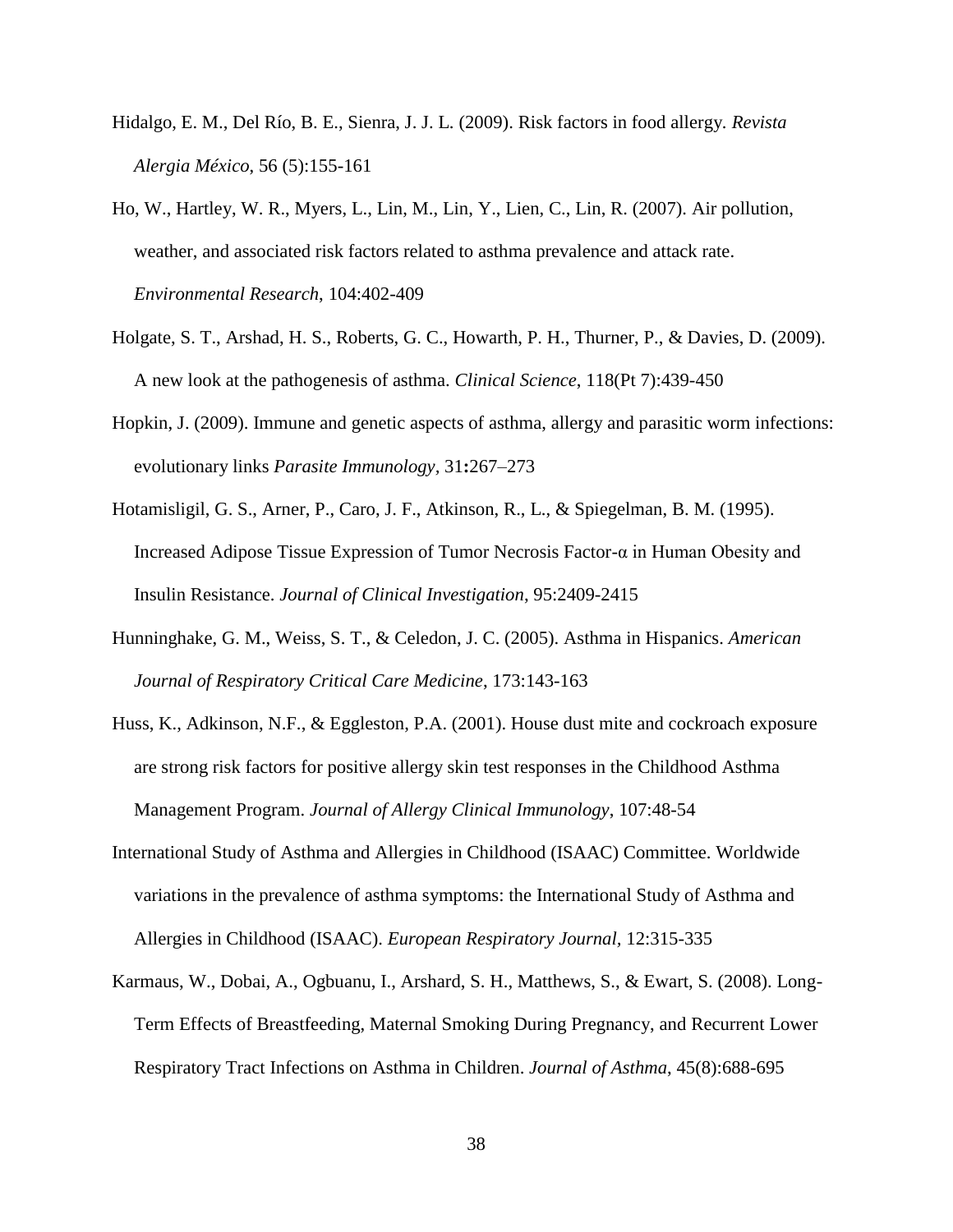- Hidalgo, E. M., Del Río, B. E., Sienra, J. J. L. (2009). Risk factors in food allergy*. Revista Alergia México*, 56 (5):155-161
- Ho, W., Hartley, W. R., Myers, L., Lin, M., Lin, Y., Lien, C., Lin, R. (2007). Air pollution, weather, and associated risk factors related to asthma prevalence and attack rate. *Environmental Research*, 104:402-409
- Holgate, S. T., Arshad, H. S., Roberts, G. C., Howarth, P. H., Thurner, P., & Davies, D. (2009). A new look at the pathogenesis of asthma. *Clinical Science*, 118(Pt 7):439-450l
- Hopkin, J. (2009). Immune and genetic aspects of asthma, allergy and parasitic worm infections: evolutionary links *Parasite Immunology,* 31**:**267–273
- Hotamisligil, G. S., Arner, P., Caro, J. F., Atkinson, R., L., & Spiegelman, B. M. (1995). Increased Adipose Tissue Expression of Tumor Necrosis Factor-α in Human Obesity and Insulin Resistance. *Journal of Clinical Investigation*, 95:2409-2415
- Hunninghake, G. M., Weiss, S. T., & Celedon, J. C. (2005). Asthma in Hispanics. *American Journal of Respiratory Critical Care Medicine*, 173:143-163
- Huss, K., Adkinson, N.F., & Eggleston, P.A. (2001). House dust mite and cockroach exposure are strong risk factors for positive allergy skin test responses in the Childhood Asthma Management Program. *Journal of Allergy Clinical Immunology*, 107:48-54
- International Study of Asthma and Allergies in Childhood (ISAAC) Committee. Worldwide variations in the prevalence of asthma symptoms: the International Study of Asthma and Allergies in Childhood (ISAAC). *European Respiratory Journal,* 12:315-335
- Karmaus, W., Dobai, A., Ogbuanu, I., Arshard, S. H., Matthews, S., & Ewart, S. (2008). Long-Term Effects of Breastfeeding, Maternal Smoking During Pregnancy, and Recurrent Lower Respiratory Tract Infections on Asthma in Children. *Journal of Asthma*, 45(8):688-695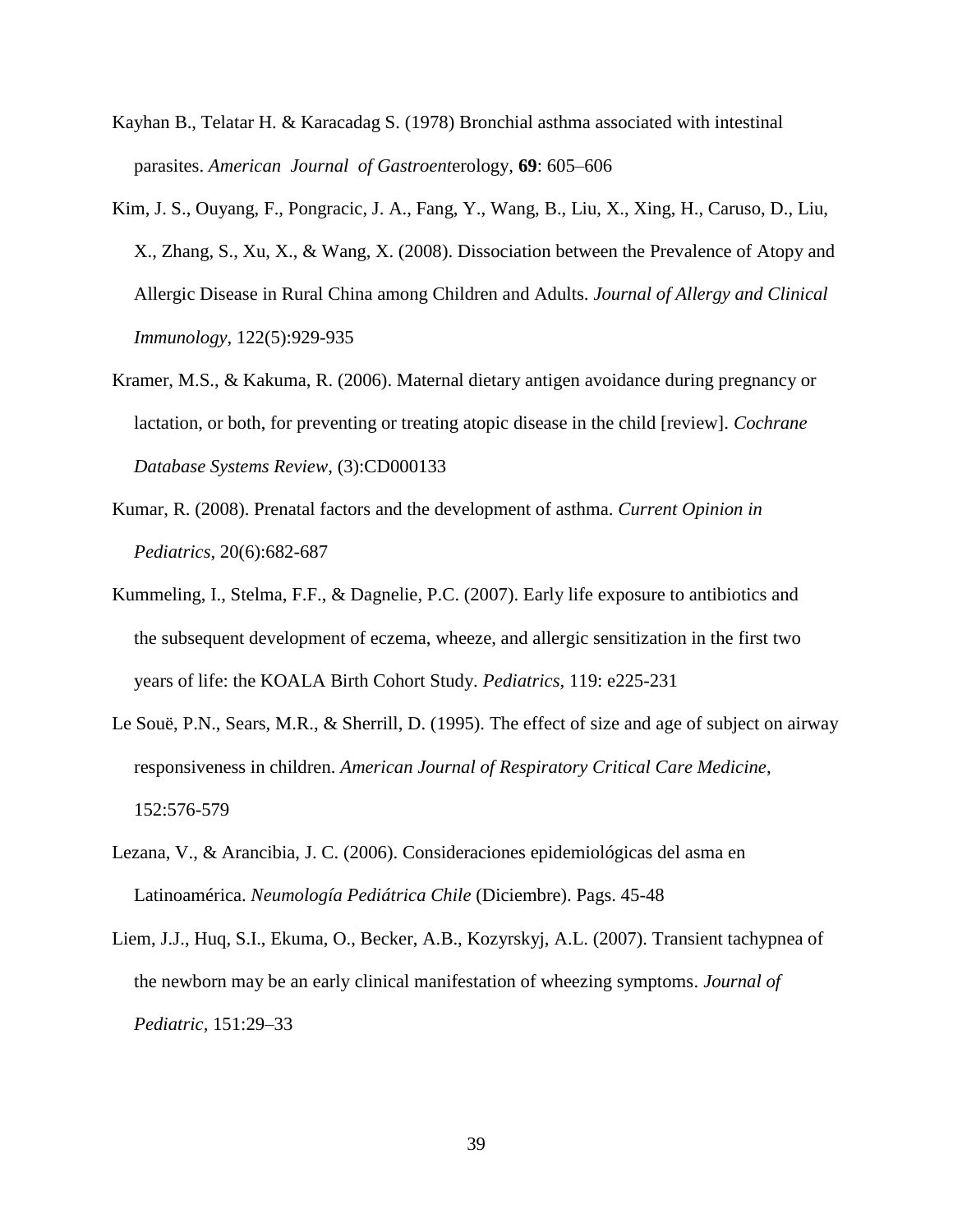- Kayhan B., Telatar H. & Karacadag S. (1978) Bronchial asthma associated with intestinal parasites. *American Journal of Gastroent*erology, **69**: 605–606
- Kim, J. S., Ouyang, F., Pongracic, J. A., Fang, Y., Wang, B., Liu, X., Xing, H., Caruso, D., Liu, X., Zhang, S., Xu, X., & Wang, X. (2008). Dissociation between the Prevalence of Atopy and Allergic Disease in Rural China among Children and Adults. *Journal of Allergy and Clinical Immunology*, 122(5):929-935
- Kramer, M.S., & Kakuma, R. (2006). Maternal dietary antigen avoidance during pregnancy or lactation, or both, for preventing or treating atopic disease in the child [review]. *Cochrane Database Systems Review*, (3):CD000133
- Kumar, R. (2008). Prenatal factors and the development of asthma. *Current Opinion in Pediatrics*, 20(6):682-687
- Kummeling, I., Stelma, F.F., & Dagnelie, P.C. (2007). Early life exposure to antibiotics and the subsequent development of eczema, wheeze, and allergic sensitization in the first two years of life: the KOALA Birth Cohort Study. *Pediatrics,* 119: e225-231
- Le Souë, P.N., Sears, M.R., & Sherrill, D. (1995). The effect of size and age of subject on airway responsiveness in children. *American Journal of Respiratory Critical Care Medicine*, 152:576-579
- Lezana, V., & Arancibia, J. C. (2006). Consideraciones epidemiológicas del asma en Latinoamérica. *Neumología Pediátrica Chile* (Diciembre). Pags. 45-48
- Liem, J.J., Huq, S.I., Ekuma, O., Becker, A.B., Kozyrskyj, A.L. (2007). Transient tachypnea of the newborn may be an early clinical manifestation of wheezing symptoms. *Journal of Pediatric,* 151:29–33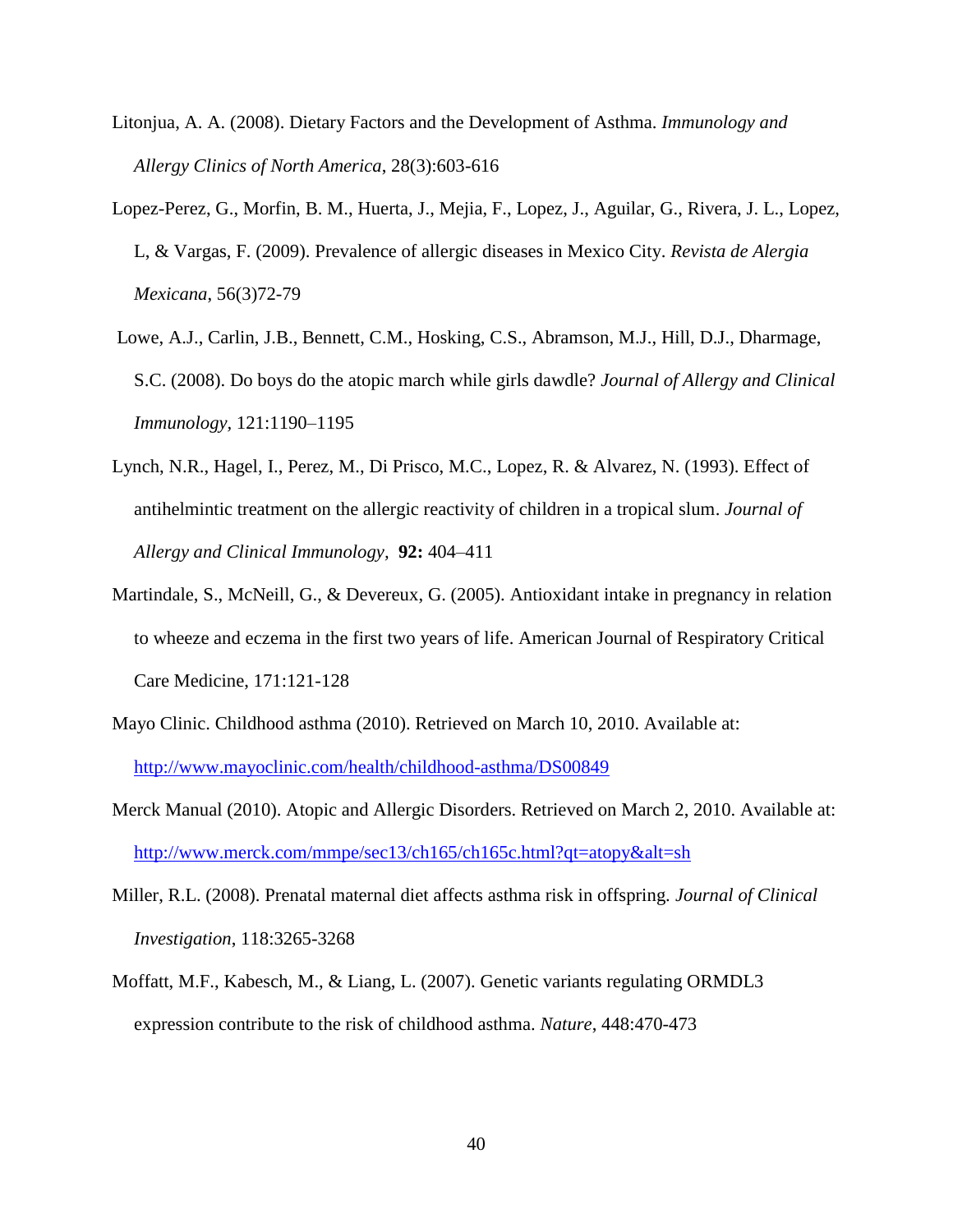- Litonjua, A. A. (2008). Dietary Factors and the Development of Asthma. *Immunology and Allergy Clinics of North America*, 28(3):603-616
- Lopez-Perez, G., Morfin, B. M., Huerta, J., Mejia, F., Lopez, J., Aguilar, G., Rivera, J. L., Lopez, L, & Vargas, F. (2009). Prevalence of allergic diseases in Mexico City. *Revista de Alergia Mexicana*, 56(3)72-79
- Lowe, A.J., Carlin, J.B., Bennett, C.M., Hosking, C.S., Abramson, M.J., Hill, D.J., Dharmage, S.C. (2008). Do boys do the atopic march while girls dawdle? *Journal of Allergy and Clinical Immunology,* 121:1190–1195
- Lynch, N.R., Hagel, I., Perez, M., Di Prisco, M.C., Lopez, R. & Alvarez, N. (1993). Effect of antihelmintic treatment on the allergic reactivity of children in a tropical slum. *Journal of Allergy and Clinical Immunology,* **92:** 404–411
- Martindale, S., McNeill, G., & Devereux, G. (2005). Antioxidant intake in pregnancy in relation to wheeze and eczema in the first two years of life. American Journal of Respiratory Critical Care Medicine, 171:121-128
- Mayo Clinic. Childhood asthma (2010). Retrieved on March 10, 2010. Available at: <http://www.mayoclinic.com/health/childhood-asthma/DS00849>
- Merck Manual (2010). Atopic and Allergic Disorders. Retrieved on March 2, 2010. Available at: <http://www.merck.com/mmpe/sec13/ch165/ch165c.html?qt=atopy&alt=sh>
- Miller, R.L. (2008). Prenatal maternal diet affects asthma risk in offspring. *Journal of Clinical Investigation*, 118:3265-3268
- Moffatt, M.F., Kabesch, M., & Liang, L. (2007). Genetic variants regulating ORMDL3 expression contribute to the risk of childhood asthma. *Nature*, 448:470-473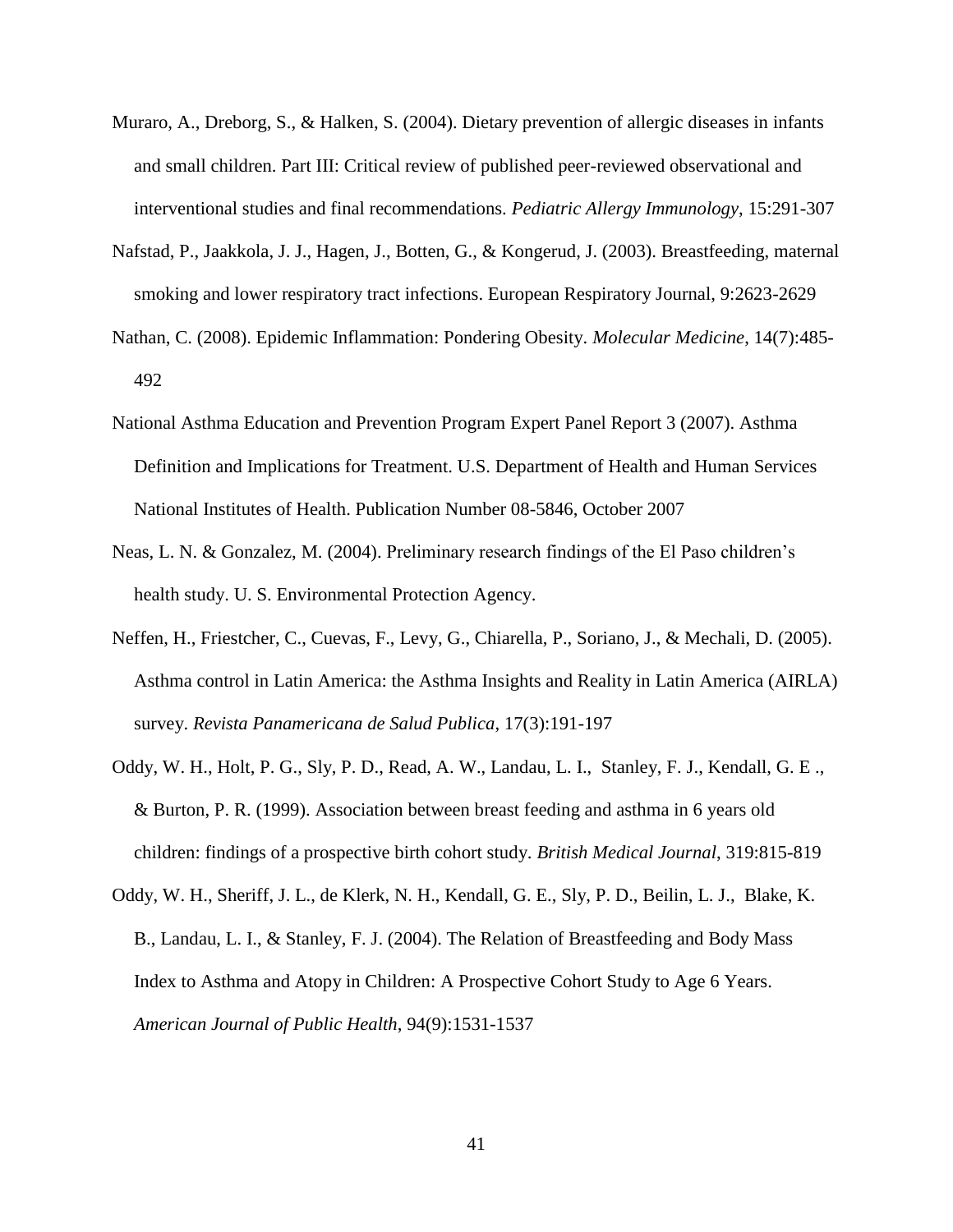- Muraro, A., Dreborg, S., & Halken, S. (2004). Dietary prevention of allergic diseases in infants and small children. Part III: Critical review of published peer-reviewed observational and interventional studies and final recommendations. *Pediatric Allergy Immunology*, 15:291-307
- Nafstad, P., Jaakkola, J. J., Hagen, J., Botten, G., & Kongerud, J. (2003). Breastfeeding, maternal smoking and lower respiratory tract infections. European Respiratory Journal, 9:2623-2629
- Nathan, C. (2008). Epidemic Inflammation: Pondering Obesity. *Molecular Medicine*, 14(7):485- 492
- National Asthma Education and Prevention Program Expert Panel Report 3 (2007). Asthma Definition and Implications for Treatment. U.S. Department of Health and Human Services National Institutes of Health. Publication Number 08-5846, October 2007
- Neas, L. N. & Gonzalez, M. (2004). Preliminary research findings of the El Paso children's health study. U. S. Environmental Protection Agency.
- Neffen, H., Friestcher, C., Cuevas, F., Levy, G., Chiarella, P., Soriano, J., & Mechali, D. (2005). Asthma control in Latin America: the Asthma Insights and Reality in Latin America (AIRLA) survey. *Revista Panamericana de Salud Publica*, 17(3):191-197
- Oddy, W. H., Holt, P. G., Sly, P. D., Read, A. W., Landau, L. I., Stanley, F. J., Kendall, G. E ., & Burton, P. R. (1999). Association between breast feeding and asthma in 6 years old children: findings of a prospective birth cohort study. *British Medical Journal*, 319:815-819
- Oddy, W. H., Sheriff, J. L., de Klerk, N. H., Kendall, G. E., Sly, P. D., Beilin, L. J., Blake, K. B., Landau, L. I., & Stanley, F. J. (2004). The Relation of Breastfeeding and Body Mass Index to Asthma and Atopy in Children: A Prospective Cohort Study to Age 6 Years. *American Journal of Public Health*, 94(9):1531-1537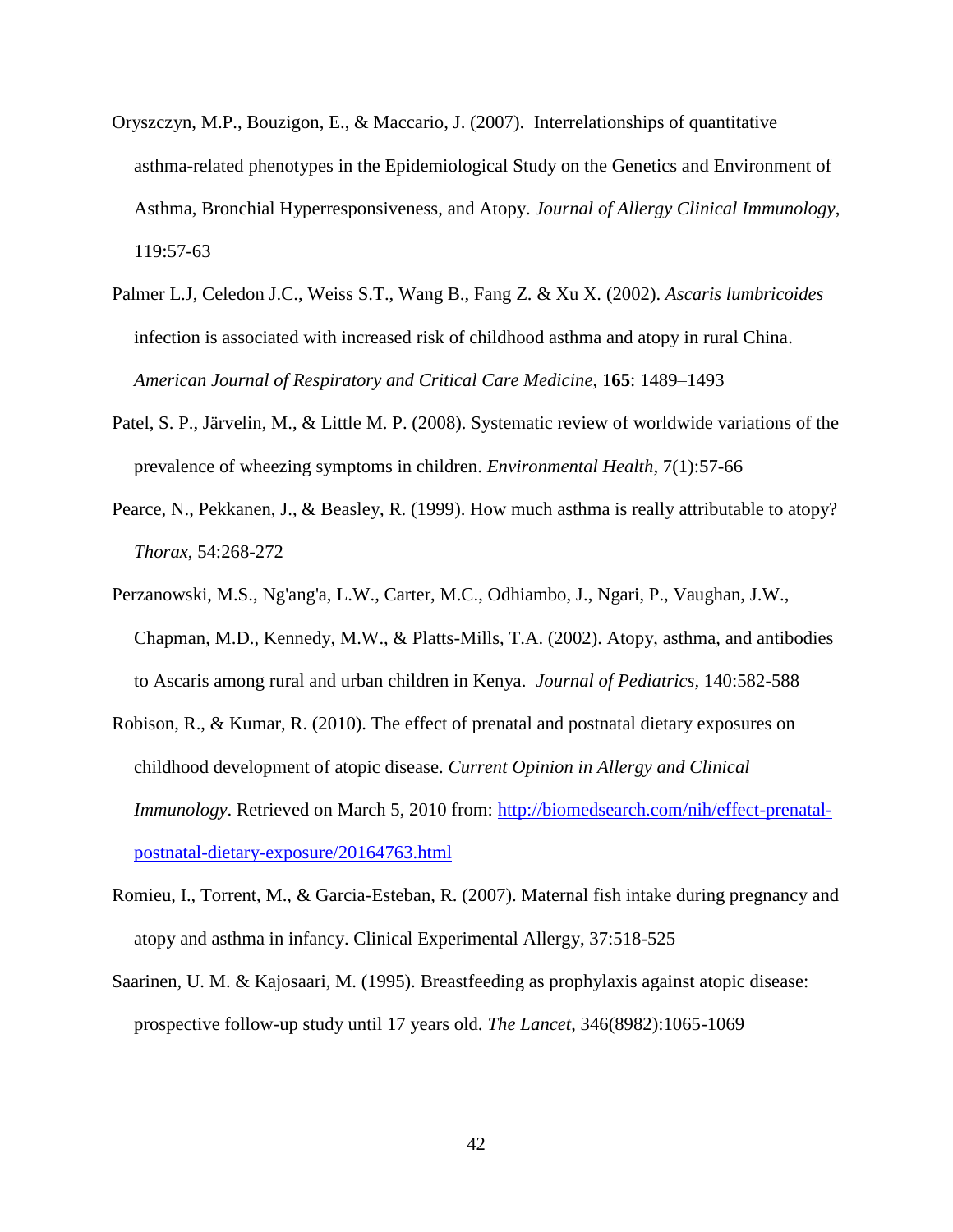- Oryszczyn, M.P., Bouzigon, E., & Maccario, J. (2007). Interrelationships of quantitative asthma-related phenotypes in the Epidemiological Study on the Genetics and Environment of Asthma, Bronchial Hyperresponsiveness, and Atopy. *Journal of Allergy Clinical Immunology*, 119:57-63
- Palmer L.J, Celedon J.C., Weiss S.T., Wang B., Fang Z. & Xu X. (2002). *Ascaris lumbricoides* infection is associated with increased risk of childhood asthma and atopy in rural China. *American Journal of Respiratory and Critical Care Medicine*, 1**65**: 1489–1493
- Patel, S. P., Järvelin, M., & Little M. P. (2008). Systematic review of worldwide variations of the prevalence of wheezing symptoms in children. *Environmental Health*, 7(1):57-66
- Pearce, N., Pekkanen, J., & Beasley, R. (1999). How much asthma is really attributable to atopy? *Thorax*, 54:268-272
- Perzanowski, M.S., Ng'ang'a, L.W., Carter, M.C., Odhiambo, J., Ngari, P., Vaughan, J.W., Chapman, M.D., Kennedy, M.W., & Platts-Mills, T.A. (2002). Atopy, asthma, and antibodies to Ascaris among rural and urban children in Kenya. *Journal of Pediatrics,* 140:582-588
- Robison, R., & Kumar, R. (2010). The effect of prenatal and postnatal dietary exposures on childhood development of atopic disease. *Current Opinion in Allergy and Clinical Immunology*. Retrieved on March 5, 2010 from: [http://biomedsearch.com/nih/effect-prenatal](http://biomedsearch.com/nih/effect-prenatal-postnatal-dietary-exposure/20164763.html)[postnatal-dietary-exposure/20164763.html](http://biomedsearch.com/nih/effect-prenatal-postnatal-dietary-exposure/20164763.html)
- Romieu, I., Torrent, M., & Garcia-Esteban, R. (2007). Maternal fish intake during pregnancy and atopy and asthma in infancy. Clinical Experimental Allergy, 37:518-525
- Saarinen, U. M. & Kajosaari, M. (1995). Breastfeeding as prophylaxis against atopic disease: prospective follow-up study until 17 years old. *The Lancet*, 346(8982):1065-1069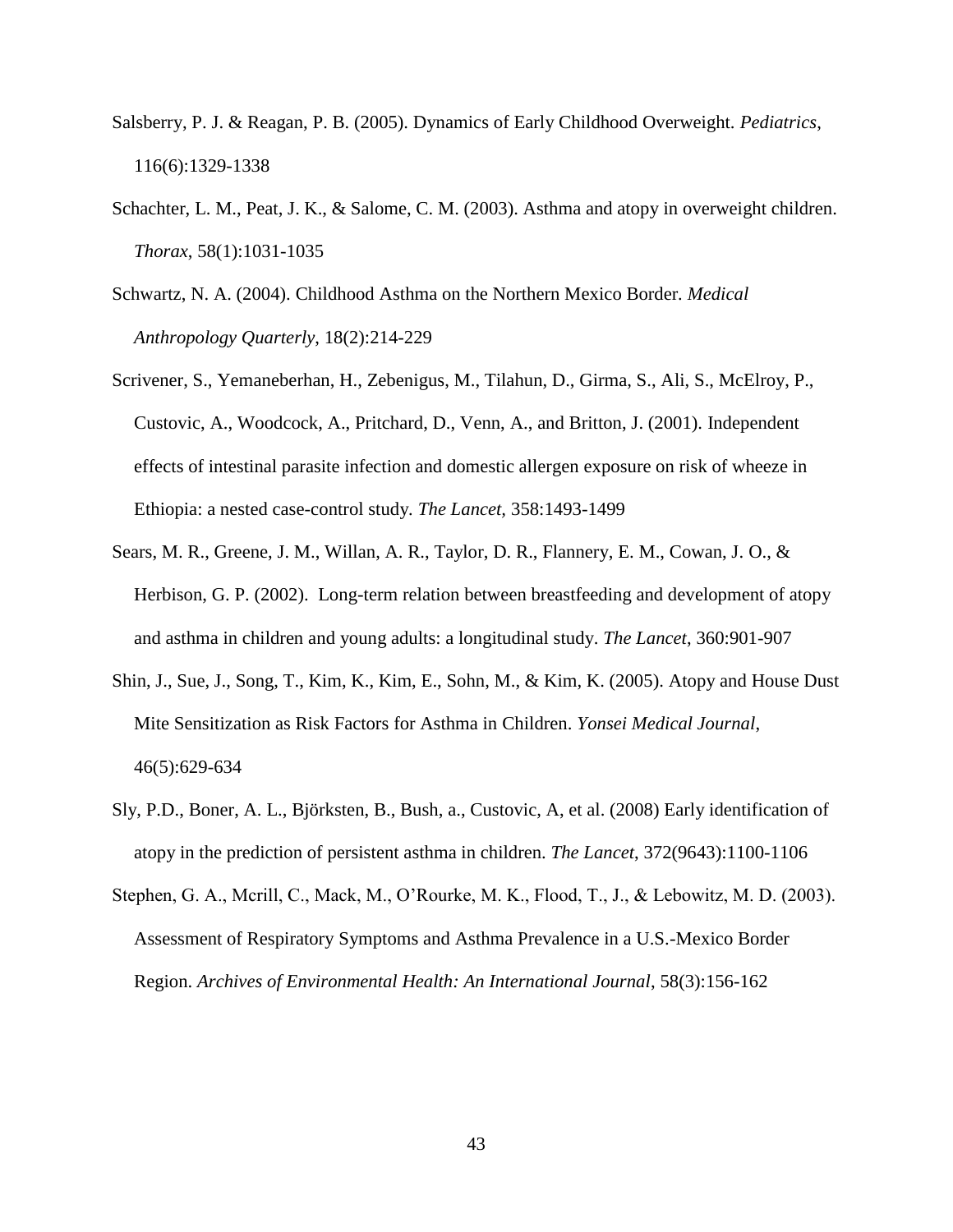- Salsberry, P. J. & Reagan, P. B. (2005). Dynamics of Early Childhood Overweight. *Pediatrics*, 116(6):1329-1338
- Schachter, L. M., Peat, J. K., & Salome, C. M. (2003). Asthma and atopy in overweight children. *Thorax*, 58(1):1031-1035
- Schwartz, N. A. (2004). Childhood Asthma on the Northern Mexico Border*. Medical Anthropology Quarterly*, 18(2):214-229
- Scrivener, S., Yemaneberhan, H., Zebenigus, M., Tilahun, D., Girma, S., Ali, S., McElroy, P., Custovic, A., Woodcock, A., Pritchard, D., Venn, A., and Britton, J. (2001). Independent effects of intestinal parasite infection and domestic allergen exposure on risk of wheeze in Ethiopia: a nested case-control study*. The Lancet,* 358:1493-1499
- Sears, M. R., Greene, J. M., Willan, A. R., Taylor, D. R., Flannery, E. M., Cowan, J. O., & Herbison, G. P. (2002). Long-term relation between breastfeeding and development of atopy and asthma in children and young adults: a longitudinal study. *The Lancet*, 360:901-907
- Shin, J., Sue, J., Song, T., Kim, K., Kim, E., Sohn, M., & Kim, K. (2005). Atopy and House Dust Mite Sensitization as Risk Factors for Asthma in Children. *Yonsei Medical Journal*, 46(5):629-634
- Sly, P.D., Boner, A. L., Björksten, B., Bush, a., Custovic, A, et al. (2008) Early identification of atopy in the prediction of persistent asthma in children. *The Lancet*, 372(9643):1100-1106
- Stephen, G. A., Mcrill, C., Mack, M., O'Rourke, M. K., Flood, T., J., & Lebowitz, M. D. (2003). Assessment of Respiratory Symptoms and Asthma Prevalence in a U.S.-Mexico Border Region. *Archives of Environmental Health: An International Journal*, 58(3):156-162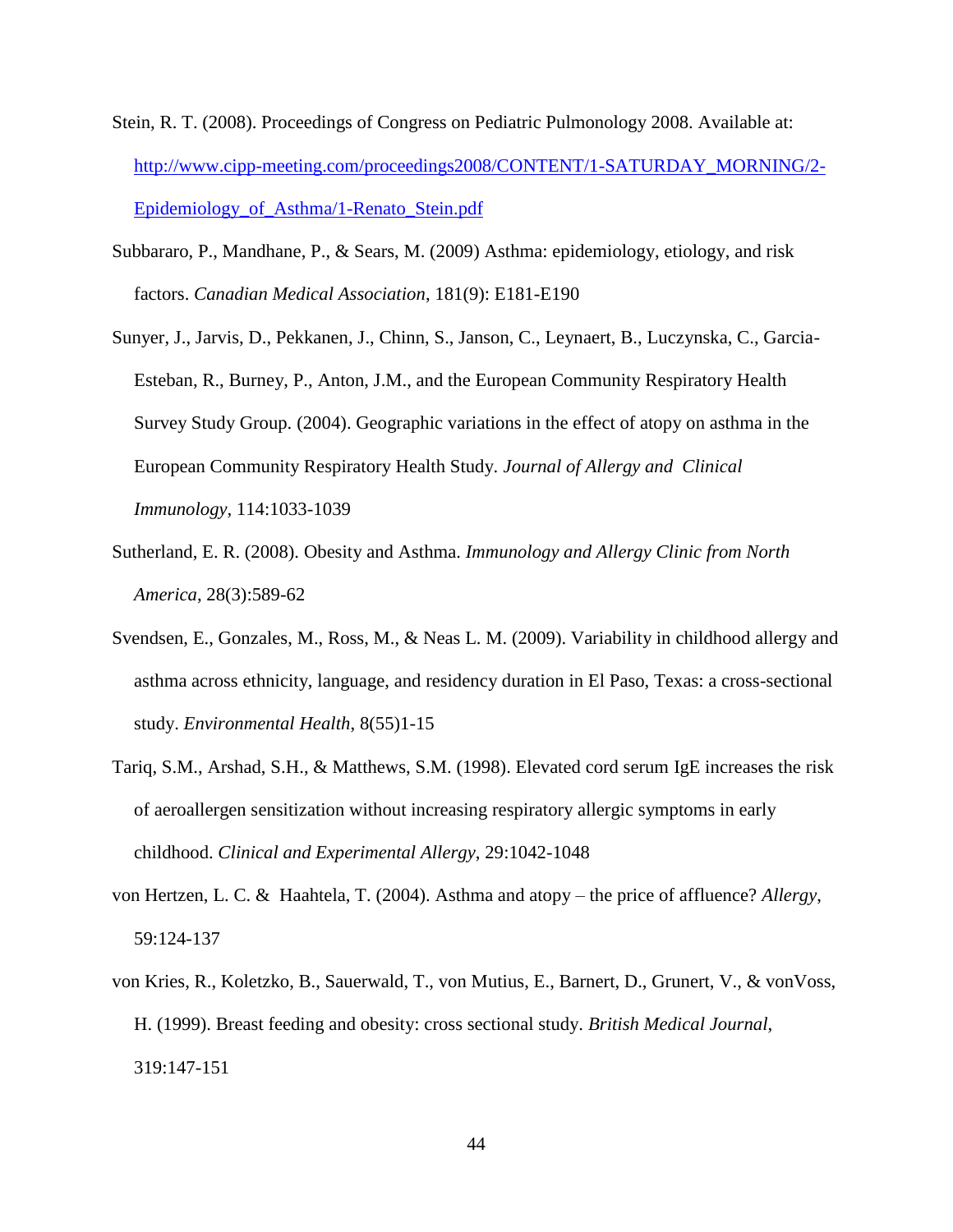- Stein, R. T. (2008). Proceedings of Congress on Pediatric Pulmonology 2008. Available at: [http://www.cipp-meeting.com/proceedings2008/CONTENT/1-SATURDAY\\_MORNING/2-](http://www.cipp-meeting.com/proceedings2008/CONTENT/1-SATURDAY_MORNING/2-Epidemiology_of_Asthma/1-Renato_Stein.pdf) [Epidemiology\\_of\\_Asthma/1-Renato\\_Stein.pdf](http://www.cipp-meeting.com/proceedings2008/CONTENT/1-SATURDAY_MORNING/2-Epidemiology_of_Asthma/1-Renato_Stein.pdf)
- Subbararo, P., Mandhane, P., & Sears, M. (2009) Asthma: epidemiology, etiology, and risk factors. *Canadian Medical Association*, 181(9): E181-E190
- Sunyer, J., Jarvis, D., Pekkanen, J., Chinn, S., Janson, C., Leynaert, B., Luczynska, C., Garcia-Esteban, R., Burney, P., Anton, J.M., and the European Community Respiratory Health Survey Study Group. (2004). Geographic variations in the effect of atopy on asthma in the European Community Respiratory Health Study. *Journal of Allergy and Clinical Immunology,* 114:1033-1039
- Sutherland, E. R. (2008). Obesity and Asthma. *Immunology and Allergy Clinic from North America*, 28(3):589-62
- Svendsen, E., Gonzales, M., Ross, M., & Neas L. M. (2009). Variability in childhood allergy and asthma across ethnicity, language, and residency duration in El Paso, Texas: a cross-sectional study. *Environmental Health*, 8(55)1-15
- Tariq, S.M., Arshad, S.H., & Matthews, S.M. (1998). Elevated cord serum IgE increases the risk of aeroallergen sensitization without increasing respiratory allergic symptoms in early childhood. *Clinical and Experimental Allergy*, 29:1042-1048
- von Hertzen, L. C. & Haahtela, T. (2004). Asthma and atopy the price of affluence? *Allergy*, 59:124-137
- von Kries, R., Koletzko, B., Sauerwald, T., von Mutius, E., Barnert, D., Grunert, V., & vonVoss, H. (1999). Breast feeding and obesity: cross sectional study. *British Medical Journal*, 319:147-151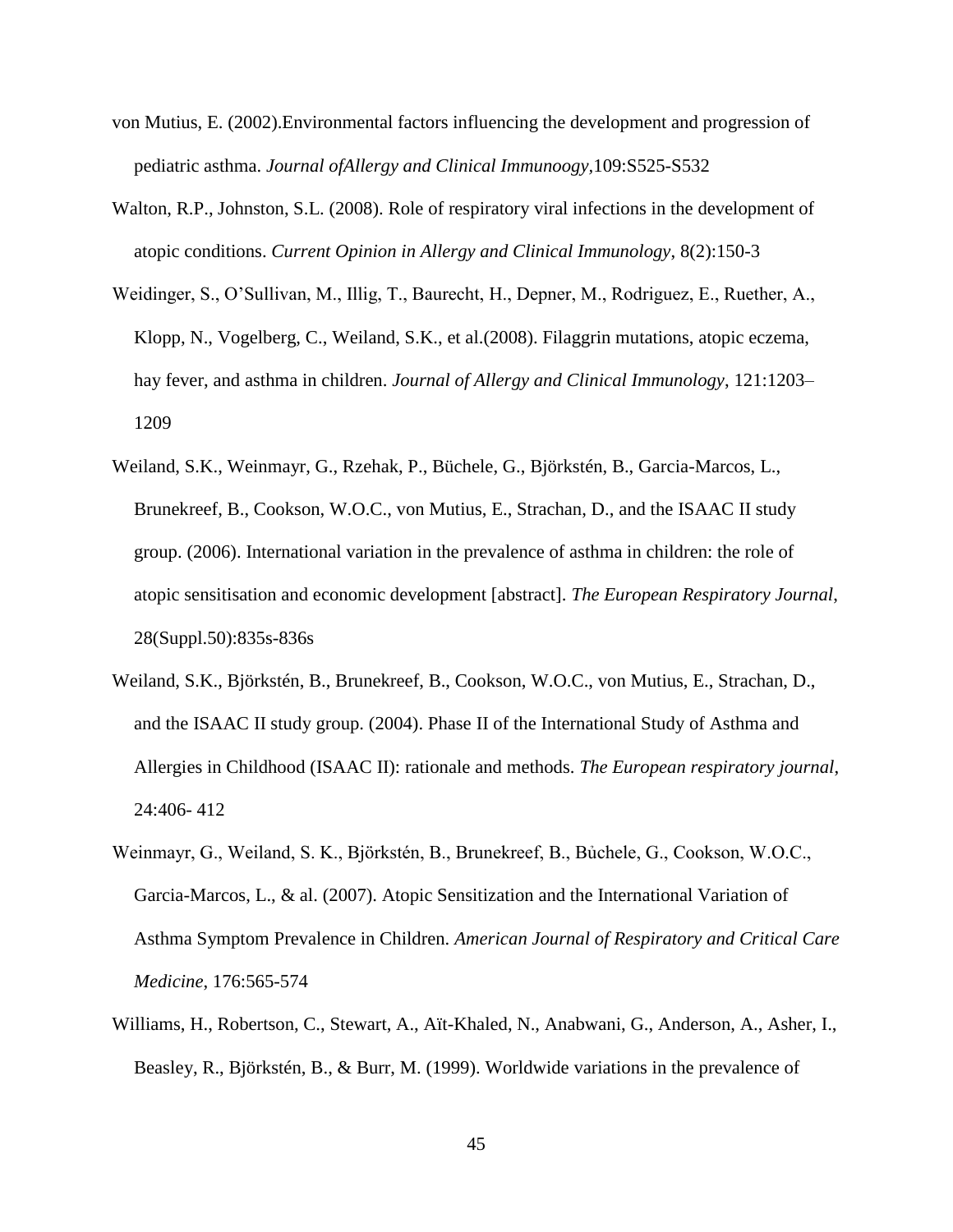- von Mutius, E. (2002).Environmental factors influencing the development and progression of pediatric asthma. *Journal ofAllergy and Clinical Immunoogy,*109:S525-S532
- Walton, R.P., Johnston, S.L. (2008). [Role of respiratory viral infections in the development of](http://www.ncbi.nlm.nih.gov/pubmed/18317024)  [atopic conditions.](http://www.ncbi.nlm.nih.gov/pubmed/18317024) *Current Opinion in Allergy and Clinical Immunology*, 8(2):150-3
- Weidinger, S., O'Sullivan, M., Illig, T., Baurecht, H., Depner, M., Rodriguez, E., Ruether, A., Klopp, N., Vogelberg, C., Weiland, S.K., et al.(2008). Filaggrin mutations, atopic eczema, hay fever, and asthma in children. *Journal of Allergy and Clinical Immunology*, 121:1203– 1209
- Weiland, S.K., Weinmayr, G., Rzehak, P., Büchele, G., Björkstén, B., Garcia-Marcos, L., Brunekreef, B., Cookson, W.O.C., von Mutius, E., Strachan, D., and the ISAAC II study group. (2006). International variation in the prevalence of asthma in children: the role of atopic sensitisation and economic development [abstract]. *The European Respiratory Journal*, 28(Suppl.50):835s-836s
- Weiland, S.K., Björkstén, B., Brunekreef, B., Cookson, W.O.C., von Mutius, E., Strachan, D., and the ISAAC II study group. (2004). Phase II of the International Study of Asthma and Allergies in Childhood (ISAAC II): rationale and methods. *The European respiratory journal*, 24:406- 412
- Weinmayr, G., Weiland, S. K., Björkstén, B., Brunekreef, B., Bủchele, G., Cookson, W.O.C., Garcia-Marcos, L., & al. (2007). Atopic Sensitization and the International Variation of Asthma Symptom Prevalence in Children. *American Journal of Respiratory and Critical Care Medicine*, 176:565-574
- Williams, H., Robertson, C., Stewart, A., Aït-Khaled, N., Anabwani, G., Anderson, A., Asher, I., Beasley, R., Björkstén, B., & Burr, M. (1999). Worldwide variations in the prevalence of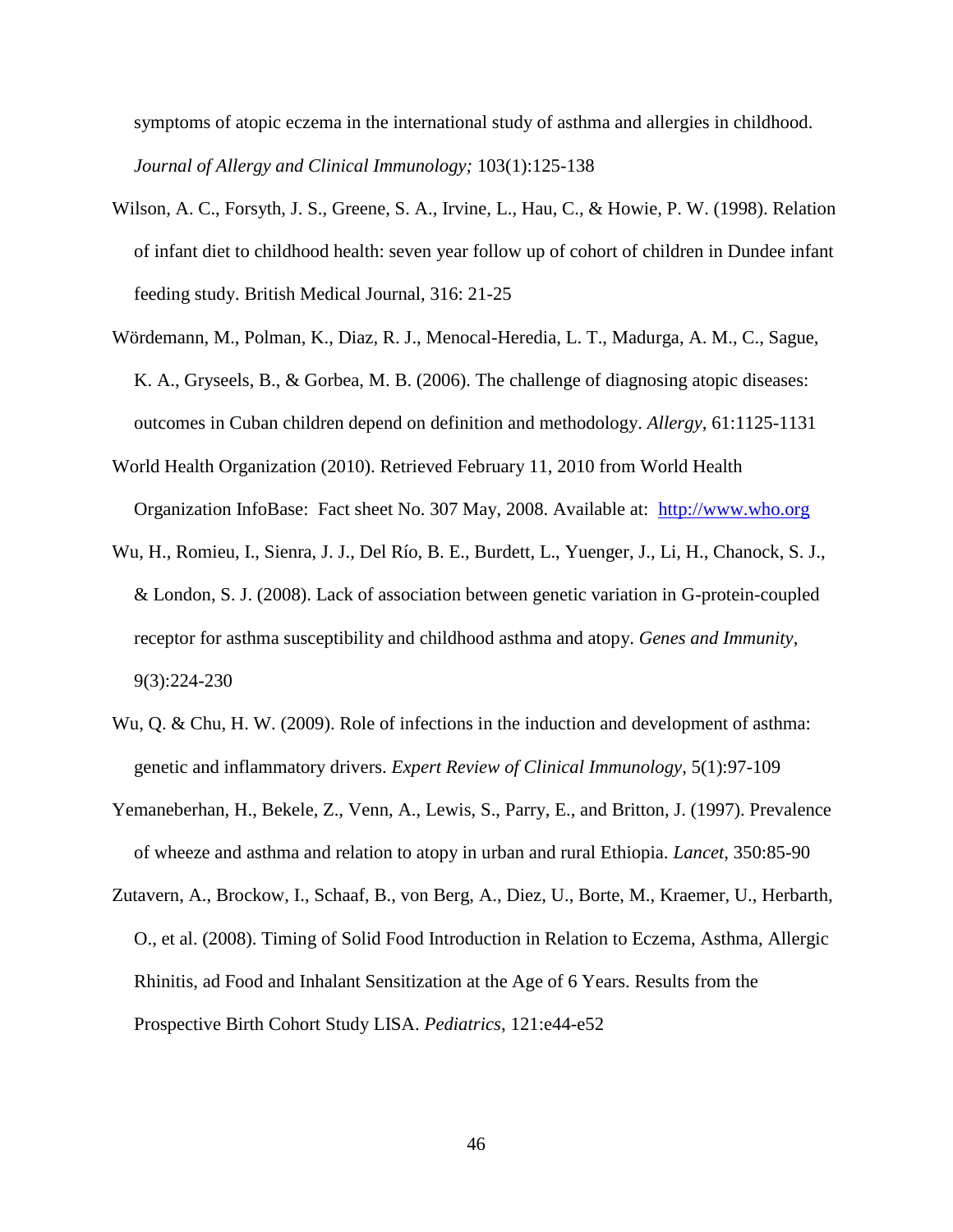symptoms of atopic eczema in the international study of asthma and allergies in childhood. *Journal of Allergy and Clinical Immunology;* 103(1):125-138

- Wilson, A. C., Forsyth, J. S., Greene, S. A., Irvine, L., Hau, C., & Howie, P. W. (1998). Relation of infant diet to childhood health: seven year follow up of cohort of children in Dundee infant feeding study. British Medical Journal, 316: 21-25
- Wördemann, M., Polman, K., Diaz, R. J., Menocal-Heredia, L. T., Madurga, A. M., C., Sague, K. A., Gryseels, B., & Gorbea, M. B. (2006). The challenge of diagnosing atopic diseases: outcomes in Cuban children depend on definition and methodology. *Allergy*, 61:1125-1131
- World Health Organization (2010). Retrieved February 11, 2010 from World Health Organization InfoBase: Fact sheet No. 307 May, 2008. Available at: [http://www.who.org](http://www.who.org/)
- Wu, H., Romieu, I., Sienra, J. J., Del Río, B. E., Burdett, L., Yuenger, J., Li, H., Chanock, S. J., & London, S. J. (2008). Lack of association between genetic variation in G-protein-coupled receptor for asthma susceptibility and childhood asthma and atopy. *Genes and Immunity*, 9(3):224-230
- Wu, Q. & Chu, H. W. (2009). Role of infections in the induction and development of asthma: genetic and inflammatory drivers. *Expert Review of Clinical Immunology*, 5(1):97-109
- Yemaneberhan, H., Bekele, Z., Venn, A., Lewis, S., Parry, E., and Britton, J. (1997). Prevalence of wheeze and asthma and relation to atopy in urban and rural Ethiopia. *Lancet,* 350:85-90
- Zutavern, A., Brockow, I., Schaaf, B., von Berg, A., Diez, U., Borte, M., Kraemer, U., Herbarth, O., et al. (2008). Timing of Solid Food Introduction in Relation to Eczema, Asthma, Allergic Rhinitis, ad Food and Inhalant Sensitization at the Age of 6 Years. Results from the Prospective Birth Cohort Study LISA. *Pediatrics*, 121:e44-e52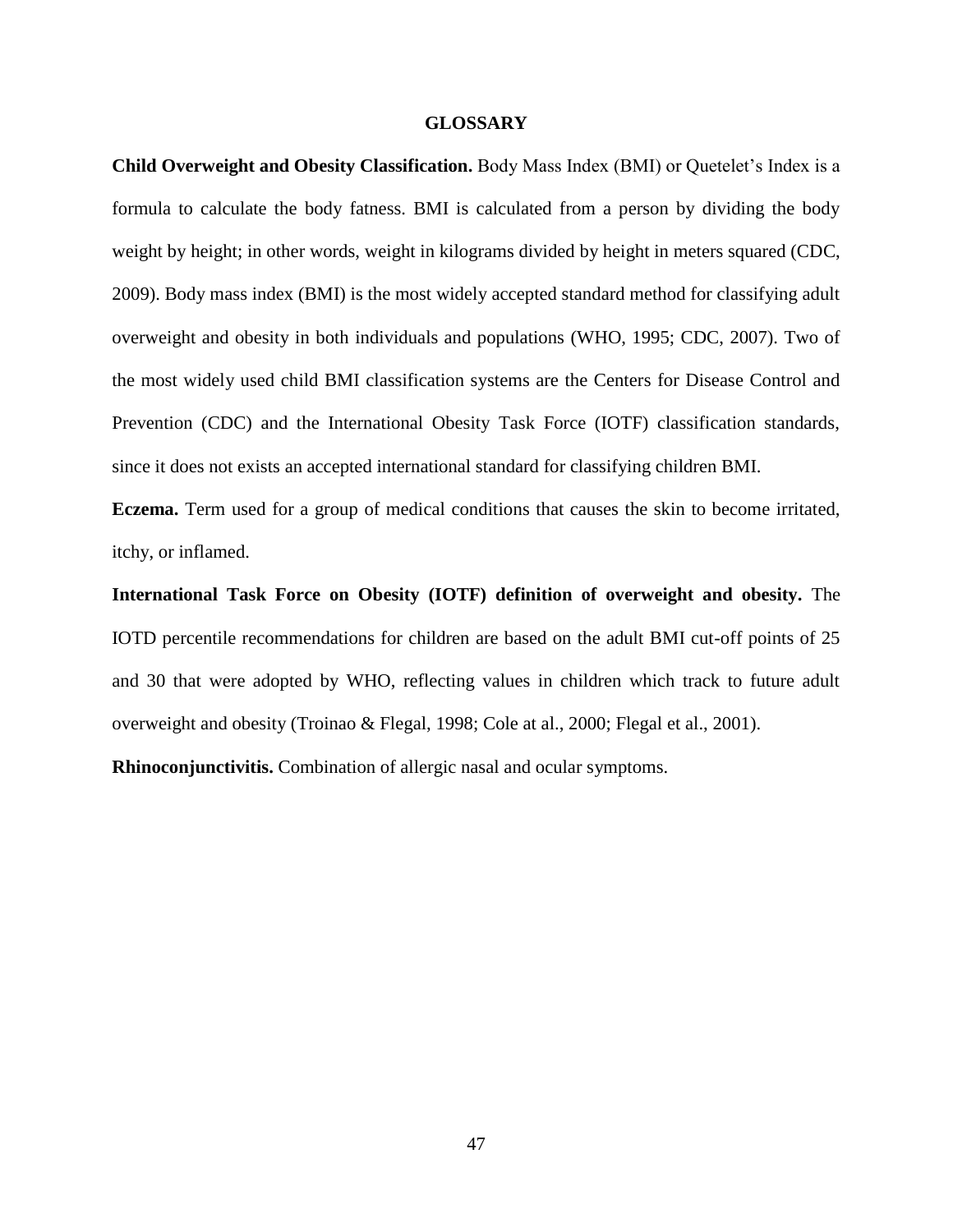#### **GLOSSARY**

**Child Overweight and Obesity Classification.** Body Mass Index (BMI) or Quetelet's Index is a formula to calculate the body fatness. BMI is calculated from a person by dividing the body weight by height; in other words, weight in kilograms divided by height in meters squared (CDC, 2009). Body mass index (BMI) is the most widely accepted standard method for classifying adult overweight and obesity in both individuals and populations (WHO, 1995; CDC, 2007). Two of the most widely used child BMI classification systems are the Centers for Disease Control and Prevention (CDC) and the International Obesity Task Force (IOTF) classification standards, since it does not exists an accepted international standard for classifying children BMI.

**Eczema.** Term used for a group of medical conditions that causes the skin to become irritated, itchy, or inflamed.

**International Task Force on Obesity (IOTF) definition of overweight and obesity.** The IOTD percentile recommendations for children are based on the adult BMI cut-off points of 25 and 30 that were adopted by WHO, reflecting values in children which track to future adult overweight and obesity (Troinao & Flegal, 1998; Cole at al., 2000; Flegal et al., 2001).

**Rhinoconjunctivitis.** Combination of allergic nasal and ocular symptoms.

47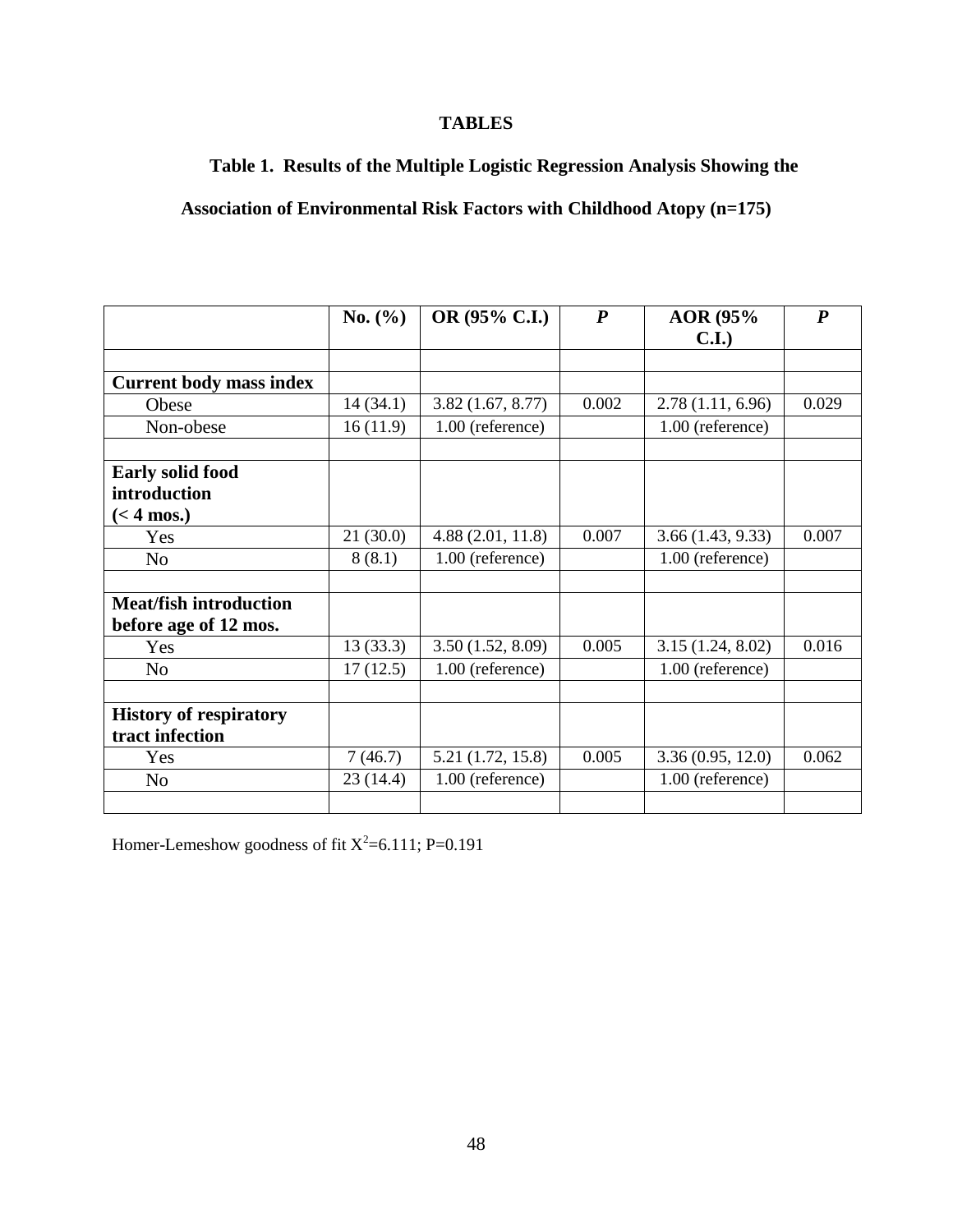# **TABLES**

**Table 1. Results of the Multiple Logistic Regression Analysis Showing the** 

# **Association of Environmental Risk Factors with Childhood Atopy (n=175)**

|                                | No. $(\% )$ | OR (95% C.I.)     | $\boldsymbol{P}$ | AOR (95%         | $\boldsymbol{P}$ |
|--------------------------------|-------------|-------------------|------------------|------------------|------------------|
|                                |             |                   |                  | C.I.             |                  |
|                                |             |                   |                  |                  |                  |
| <b>Current body mass index</b> |             |                   |                  |                  |                  |
| Obese                          | 14(34.1)    | 3.82(1.67, 8.77)  | 0.002            | 2.78(1.11, 6.96) | 0.029            |
| Non-obese                      | 16(11.9)    | 1.00 (reference)  |                  | 1.00 (reference) |                  |
|                                |             |                   |                  |                  |                  |
| <b>Early solid food</b>        |             |                   |                  |                  |                  |
| introduction                   |             |                   |                  |                  |                  |
| $(< 4$ mos.)                   |             |                   |                  |                  |                  |
| Yes                            | 21(30.0)    | 4.88(2.01, 11.8)  | 0.007            | 3.66(1.43, 9.33) | 0.007            |
| No                             | 8(8.1)      | 1.00 (reference)  |                  | 1.00 (reference) |                  |
|                                |             |                   |                  |                  |                  |
| <b>Meat/fish introduction</b>  |             |                   |                  |                  |                  |
| before age of 12 mos.          |             |                   |                  |                  |                  |
| Yes                            | 13(33.3)    | 3.50(1.52, 8.09)  | 0.005            | 3.15(1.24, 8.02) | 0.016            |
| N <sub>o</sub>                 | 17(12.5)    | 1.00 (reference)  |                  | 1.00 (reference) |                  |
|                                |             |                   |                  |                  |                  |
| <b>History of respiratory</b>  |             |                   |                  |                  |                  |
| tract infection                |             |                   |                  |                  |                  |
| Yes                            | 7(46.7)     | 5.21 (1.72, 15.8) | 0.005            | 3.36(0.95, 12.0) | 0.062            |
| N <sub>o</sub>                 | 23 (14.4)   | 1.00 (reference)  |                  | 1.00 (reference) |                  |
|                                |             |                   |                  |                  |                  |

Homer-Lemeshow goodness of fit  $X^2$ =6.111; P=0.191